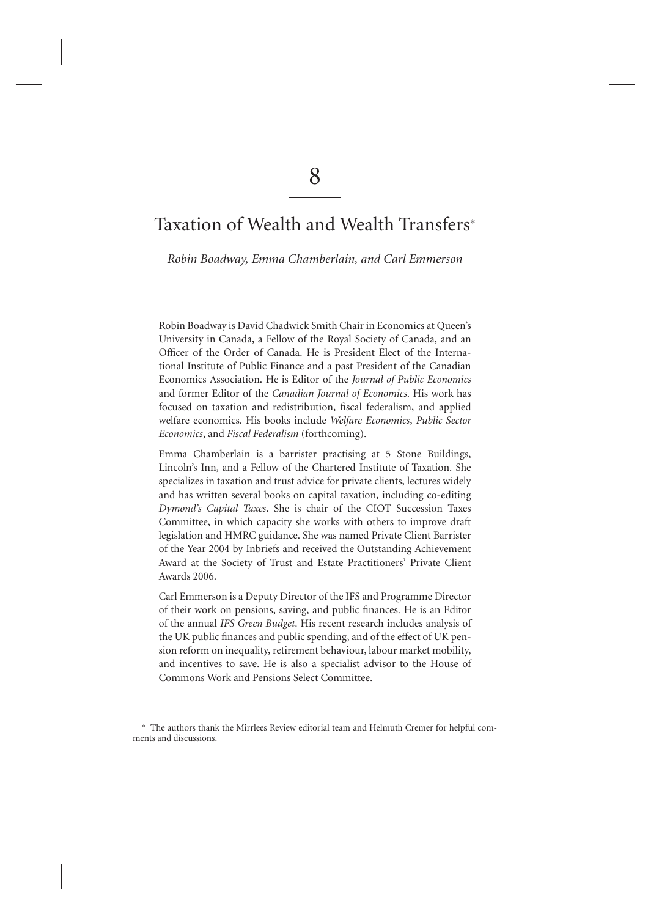# 8

# Taxation of Wealth and Wealth Transfers<sup>∗</sup>

*Robin Boadway, Emma Chamberlain, and Carl Emmerson*

Robin Boadway is David Chadwick Smith Chair in Economics at Queen's University in Canada, a Fellow of the Royal Society of Canada, and an Officer of the Order of Canada. He is President Elect of the International Institute of Public Finance and a past President of the Canadian Economics Association. He is Editor of the *Journal of Public Economics* and former Editor of the *Canadian Journal of Economics*. His work has focused on taxation and redistribution, fiscal federalism, and applied welfare economics. His books include *Welfare Economics*, *Public Sector Economics*, and *Fiscal Federalism* (forthcoming).

Emma Chamberlain is a barrister practising at 5 Stone Buildings, Lincoln's Inn, and a Fellow of the Chartered Institute of Taxation. She specializes in taxation and trust advice for private clients, lectures widely and has written several books on capital taxation, including co-editing *Dymond's Capital Taxes*. She is chair of the CIOT Succession Taxes Committee, in which capacity she works with others to improve draft legislation and HMRC guidance. She was named Private Client Barrister of the Year 2004 by Inbriefs and received the Outstanding Achievement Award at the Society of Trust and Estate Practitioners' Private Client Awards 2006.

Carl Emmerson is a Deputy Director of the IFS and Programme Director of their work on pensions, saving, and public finances. He is an Editor of the annual *IFS Green Budget*. His recent research includes analysis of the UK public finances and public spending, and of the effect of UK pension reform on inequality, retirement behaviour, labour market mobility, and incentives to save. He is also a specialist advisor to the House of Commons Work and Pensions Select Committee.

<sup>∗</sup> The authors thank the Mirrlees Review editorial team and Helmuth Cremer for helpful comments and discussions.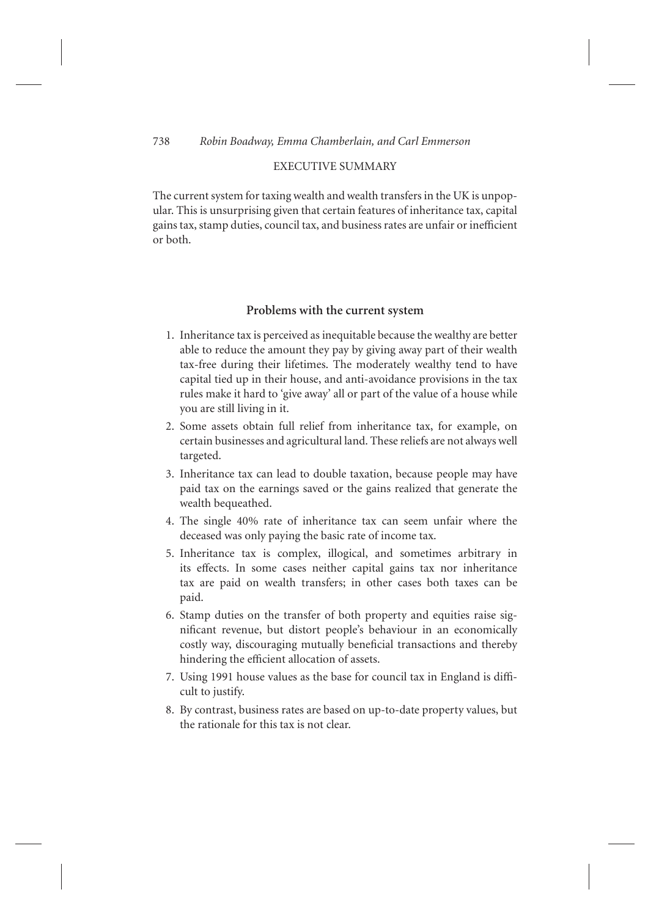# EXECUTIVE SUMMARY

The current system for taxing wealth and wealth transfers in the UK is unpopular. This is unsurprising given that certain features of inheritance tax, capital gains tax, stamp duties, council tax, and business rates are unfair or inefficient or both.

#### **Problems with the current system**

- 1. Inheritance tax is perceived as inequitable because the wealthy are better able to reduce the amount they pay by giving away part of their wealth tax-free during their lifetimes. The moderately wealthy tend to have capital tied up in their house, and anti-avoidance provisions in the tax rules make it hard to 'give away' all or part of the value of a house while you are still living in it.
- 2. Some assets obtain full relief from inheritance tax, for example, on certain businesses and agricultural land. These reliefs are not always well targeted.
- 3. Inheritance tax can lead to double taxation, because people may have paid tax on the earnings saved or the gains realized that generate the wealth bequeathed.
- 4. The single 40% rate of inheritance tax can seem unfair where the deceased was only paying the basic rate of income tax.
- 5. Inheritance tax is complex, illogical, and sometimes arbitrary in its effects. In some cases neither capital gains tax nor inheritance tax are paid on wealth transfers; in other cases both taxes can be paid.
- 6. Stamp duties on the transfer of both property and equities raise significant revenue, but distort people's behaviour in an economically costly way, discouraging mutually beneficial transactions and thereby hindering the efficient allocation of assets.
- 7. Using 1991 house values as the base for council tax in England is difficult to justify.
- 8. By contrast, business rates are based on up-to-date property values, but the rationale for this tax is not clear.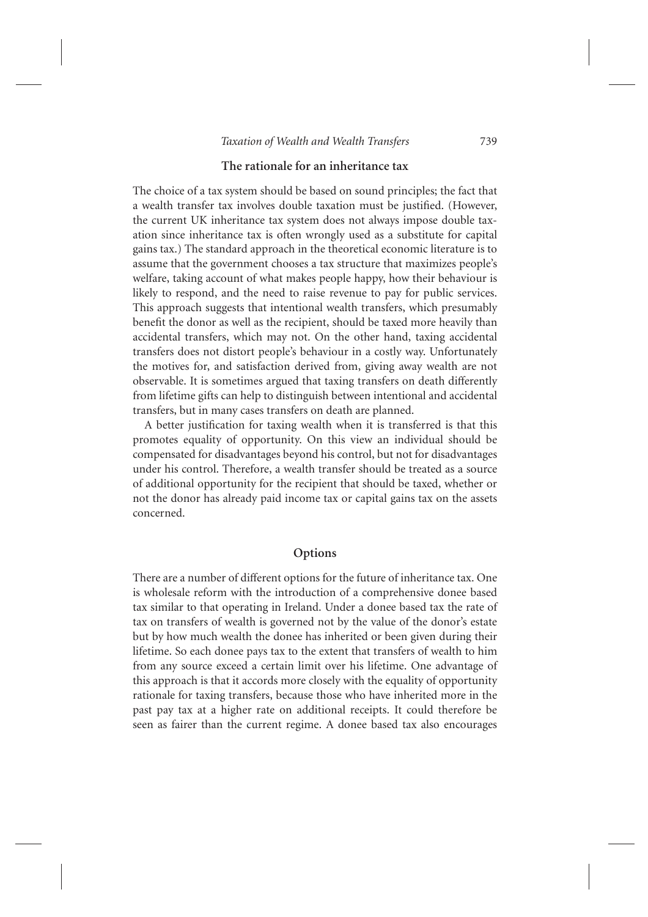#### **The rationale for an inheritance tax**

The choice of a tax system should be based on sound principles; the fact that a wealth transfer tax involves double taxation must be justified. (However, the current UK inheritance tax system does not always impose double taxation since inheritance tax is often wrongly used as a substitute for capital gains tax.) The standard approach in the theoretical economic literature is to assume that the government chooses a tax structure that maximizes people's welfare, taking account of what makes people happy, how their behaviour is likely to respond, and the need to raise revenue to pay for public services. This approach suggests that intentional wealth transfers, which presumably benefit the donor as well as the recipient, should be taxed more heavily than accidental transfers, which may not. On the other hand, taxing accidental transfers does not distort people's behaviour in a costly way. Unfortunately the motives for, and satisfaction derived from, giving away wealth are not observable. It is sometimes argued that taxing transfers on death differently from lifetime gifts can help to distinguish between intentional and accidental transfers, but in many cases transfers on death are planned.

A better justification for taxing wealth when it is transferred is that this promotes equality of opportunity. On this view an individual should be compensated for disadvantages beyond his control, but not for disadvantages under his control. Therefore, a wealth transfer should be treated as a source of additional opportunity for the recipient that should be taxed, whether or not the donor has already paid income tax or capital gains tax on the assets concerned.

# **Options**

There are a number of different options for the future of inheritance tax. One is wholesale reform with the introduction of a comprehensive donee based tax similar to that operating in Ireland. Under a donee based tax the rate of tax on transfers of wealth is governed not by the value of the donor's estate but by how much wealth the donee has inherited or been given during their lifetime. So each donee pays tax to the extent that transfers of wealth to him from any source exceed a certain limit over his lifetime. One advantage of this approach is that it accords more closely with the equality of opportunity rationale for taxing transfers, because those who have inherited more in the past pay tax at a higher rate on additional receipts. It could therefore be seen as fairer than the current regime. A donee based tax also encourages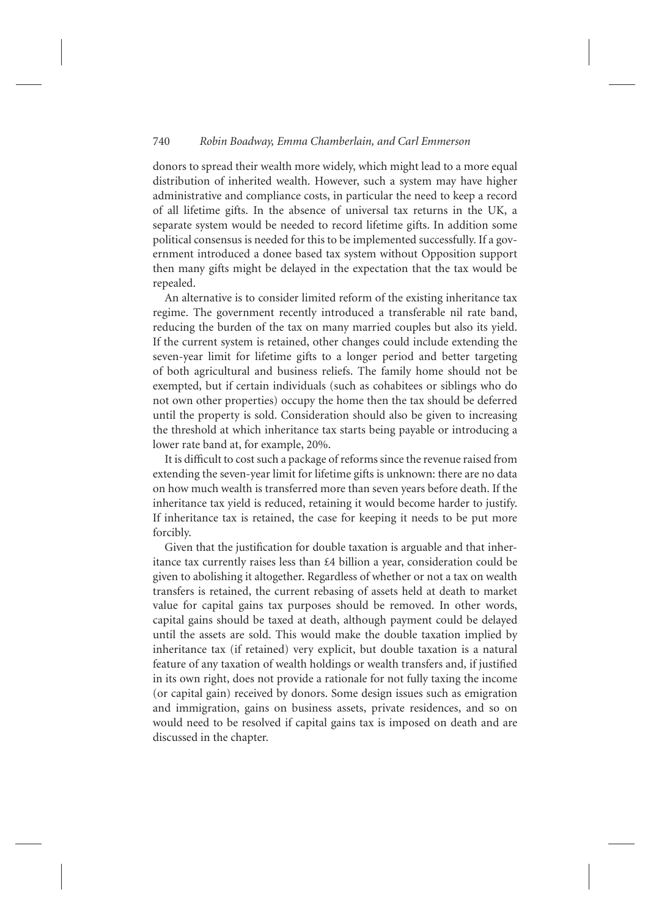donors to spread their wealth more widely, which might lead to a more equal distribution of inherited wealth. However, such a system may have higher administrative and compliance costs, in particular the need to keep a record of all lifetime gifts. In the absence of universal tax returns in the UK, a separate system would be needed to record lifetime gifts. In addition some political consensus is needed for this to be implemented successfully. If a government introduced a donee based tax system without Opposition support then many gifts might be delayed in the expectation that the tax would be repealed.

An alternative is to consider limited reform of the existing inheritance tax regime. The government recently introduced a transferable nil rate band, reducing the burden of the tax on many married couples but also its yield. If the current system is retained, other changes could include extending the seven-year limit for lifetime gifts to a longer period and better targeting of both agricultural and business reliefs. The family home should not be exempted, but if certain individuals (such as cohabitees or siblings who do not own other properties) occupy the home then the tax should be deferred until the property is sold. Consideration should also be given to increasing the threshold at which inheritance tax starts being payable or introducing a lower rate band at, for example, 20%.

It is difficult to cost such a package of reforms since the revenue raised from extending the seven-year limit for lifetime gifts is unknown: there are no data on how much wealth is transferred more than seven years before death. If the inheritance tax yield is reduced, retaining it would become harder to justify. If inheritance tax is retained, the case for keeping it needs to be put more forcibly.

Given that the justification for double taxation is arguable and that inheritance tax currently raises less than  $\epsilon$ 4 billion a year, consideration could be given to abolishing it altogether. Regardless of whether or not a tax on wealth transfers is retained, the current rebasing of assets held at death to market value for capital gains tax purposes should be removed. In other words, capital gains should be taxed at death, although payment could be delayed until the assets are sold. This would make the double taxation implied by inheritance tax (if retained) very explicit, but double taxation is a natural feature of any taxation of wealth holdings or wealth transfers and, if justified in its own right, does not provide a rationale for not fully taxing the income (or capital gain) received by donors. Some design issues such as emigration and immigration, gains on business assets, private residences, and so on would need to be resolved if capital gains tax is imposed on death and are discussed in the chapter.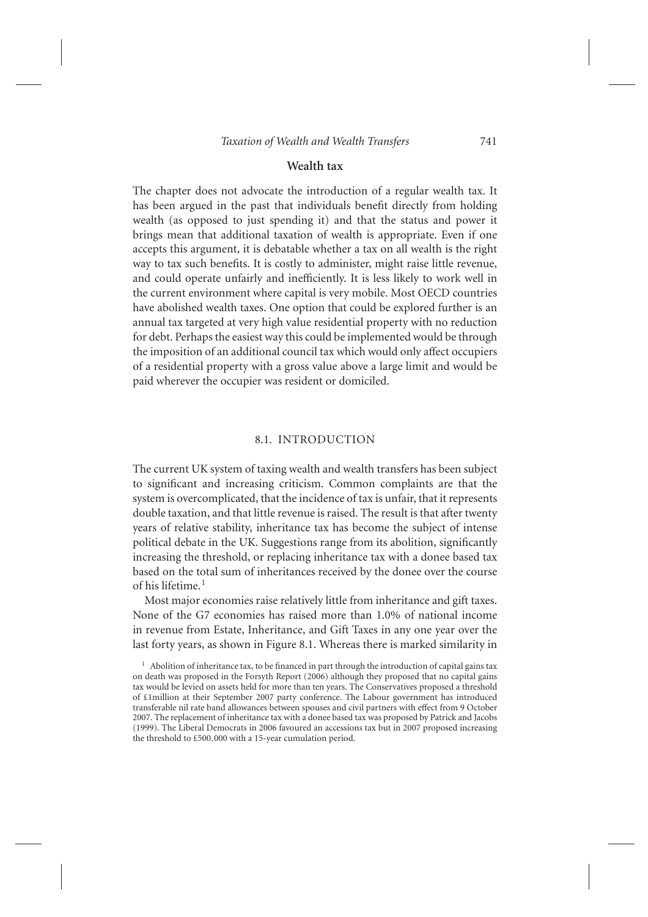#### **Wealth tax**

The chapter does not advocate the introduction of a regular wealth tax. It has been argued in the past that individuals benefit directly from holding wealth (as opposed to just spending it) and that the status and power it brings mean that additional taxation of wealth is appropriate. Even if one accepts this argument, it is debatable whether a tax on all wealth is the right way to tax such benefits. It is costly to administer, might raise little revenue, and could operate unfairly and inefficiently. It is less likely to work well in the current environment where capital is very mobile. Most OECD countries have abolished wealth taxes. One option that could be explored further is an annual tax targeted at very high value residential property with no reduction for debt. Perhaps the easiest way this could be implemented would be through the imposition of an additional council tax which would only affect occupiers of a residential property with a gross value above a large limit and would be paid wherever the occupier was resident or domiciled.

#### 8.1. INTRODUCTION

The current UK system of taxing wealth and wealth transfers has been subject to significant and increasing criticism. Common complaints are that the system is overcomplicated, that the incidence of tax is unfair, that it represents double taxation, and that little revenue is raised. The result is that after twenty years of relative stability, inheritance tax has become the subject of intense political debate in the UK. Suggestions range from its abolition, significantly increasing the threshold, or replacing inheritance tax with a donee based tax based on the total sum of inheritances received by the donee over the course of his lifetime. $<sup>1</sup>$ </sup>

Most major economies raise relatively little from inheritance and gift taxes. None of the G7 economies has raised more than 1.0% of national income in revenue from Estate, Inheritance, and Gift Taxes in any one year over the last forty years, as shown in Figure 8.1. Whereas there is marked similarity in

<sup>1</sup> Abolition of inheritance tax, to be financed in part through the introduction of capital gains tax on death was proposed in the Forsyth Report (2006) although they proposed that no capital gains tax would be levied on assets held for more than ten years. The Conservatives proposed a threshold of £1million at their September 2007 party conference. The Labour government has introduced transferable nil rate band allowances between spouses and civil partners with effect from 9 October 2007. The replacement of inheritance tax with a donee based tax was proposed by Patrick and Jacobs (1999). The Liberal Democrats in 2006 favoured an accessions tax but in 2007 proposed increasing the threshold to £500,000 with a 15-year cumulation period.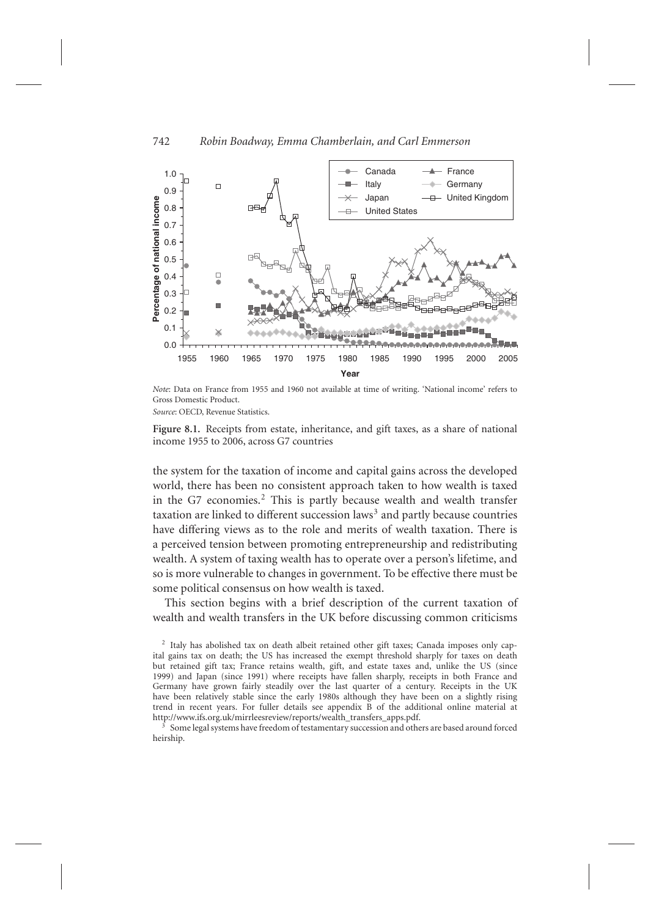

*Note*: Data on France from 1955 and 1960 not available at time of writing. 'National income' refers to Gross Domestic Product.

*Source*: OECD, Revenue Statistics.

**Figure 8.1.** Receipts from estate, inheritance, and gift taxes, as a share of national income 1955 to 2006, across G7 countries

the system for the taxation of income and capital gains across the developed world, there has been no consistent approach taken to how wealth is taxed in the G7 economies.<sup>2</sup> This is partly because wealth and wealth transfer taxation are linked to different succession laws<sup>3</sup> and partly because countries have differing views as to the role and merits of wealth taxation. There is a perceived tension between promoting entrepreneurship and redistributing wealth. A system of taxing wealth has to operate over a person's lifetime, and so is more vulnerable to changes in government. To be effective there must be some political consensus on how wealth is taxed.

This section begins with a brief description of the current taxation of wealth and wealth transfers in the UK before discussing common criticisms

<sup>3</sup> Some legal systems have freedom of testamentary succession and others are based around forced heirship.

<sup>2</sup> Italy has abolished tax on death albeit retained other gift taxes; Canada imposes only capital gains tax on death; the US has increased the exempt threshold sharply for taxes on death but retained gift tax; France retains wealth, gift, and estate taxes and, unlike the US (since 1999) and Japan (since 1991) where receipts have fallen sharply, receipts in both France and Germany have grown fairly steadily over the last quarter of a century. Receipts in the UK have been relatively stable since the early 1980s although they have been on a slightly rising trend in recent years. For fuller details see appendix B of the additional online material at http://www.ifs.org.uk/mirrleesreview/reports/wealth\_transfers\_apps.pdf.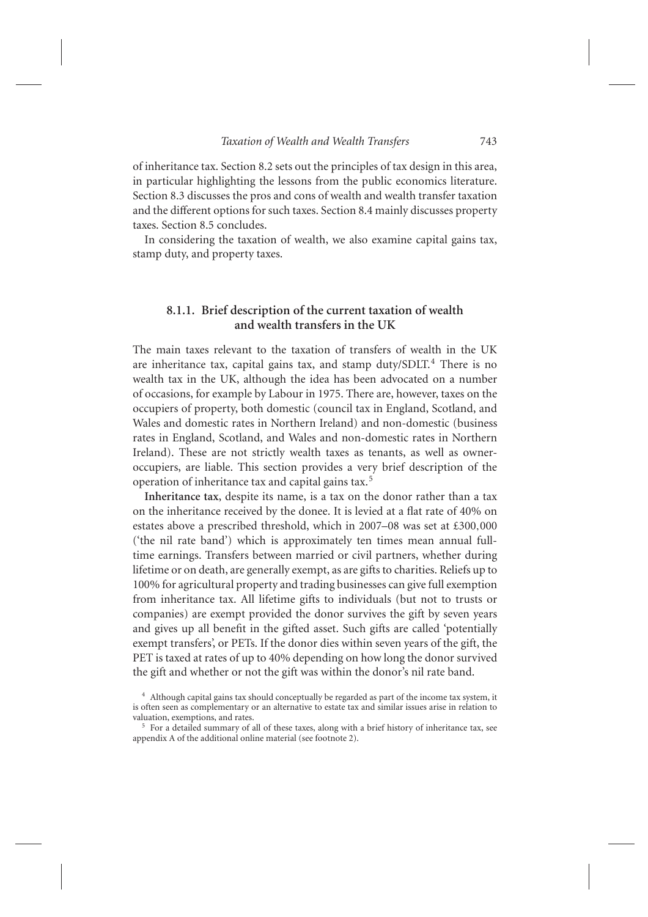of inheritance tax. Section 8.2 sets out the principles of tax design in this area, in particular highlighting the lessons from the public economics literature. Section 8.3 discusses the pros and cons of wealth and wealth transfer taxation and the different options for such taxes. Section 8.4 mainly discusses property taxes. Section 8.5 concludes.

In considering the taxation of wealth, we also examine capital gains tax, stamp duty, and property taxes.

# **8.1.1. Brief description of the current taxation of wealth and wealth transfers in the UK**

The main taxes relevant to the taxation of transfers of wealth in the UK are inheritance tax, capital gains tax, and stamp duty/SDLT.<sup>4</sup> There is no wealth tax in the UK, although the idea has been advocated on a number of occasions, for example by Labour in 1975. There are, however, taxes on the occupiers of property, both domestic (council tax in England, Scotland, and Wales and domestic rates in Northern Ireland) and non-domestic (business rates in England, Scotland, and Wales and non-domestic rates in Northern Ireland). These are not strictly wealth taxes as tenants, as well as owneroccupiers, are liable. This section provides a very brief description of the operation of inheritance tax and capital gains tax.<sup>5</sup>

**Inheritance tax**, despite its name, is a tax on the donor rather than a tax on the inheritance received by the donee. It is levied at a flat rate of 40% on estates above a prescribed threshold, which in 2007–08 was set at £300,000 ('the nil rate band') which is approximately ten times mean annual fulltime earnings. Transfers between married or civil partners, whether during lifetime or on death, are generally exempt, as are gifts to charities. Reliefs up to 100% for agricultural property and trading businesses can give full exemption from inheritance tax. All lifetime gifts to individuals (but not to trusts or companies) are exempt provided the donor survives the gift by seven years and gives up all benefit in the gifted asset. Such gifts are called 'potentially exempt transfers', or PETs. If the donor dies within seven years of the gift, the PET is taxed at rates of up to 40% depending on how long the donor survived the gift and whether or not the gift was within the donor's nil rate band.

<sup>&</sup>lt;sup>4</sup> Although capital gains tax should conceptually be regarded as part of the income tax system, it is often seen as complementary or an alternative to estate tax and similar issues arise in relation to valuation, exemptions, and rates.<br><sup>5</sup> For a detailed summary of all of these taxes, along with a brief history of inheritance tax, see

appendix A of the additional online material (see footnote 2).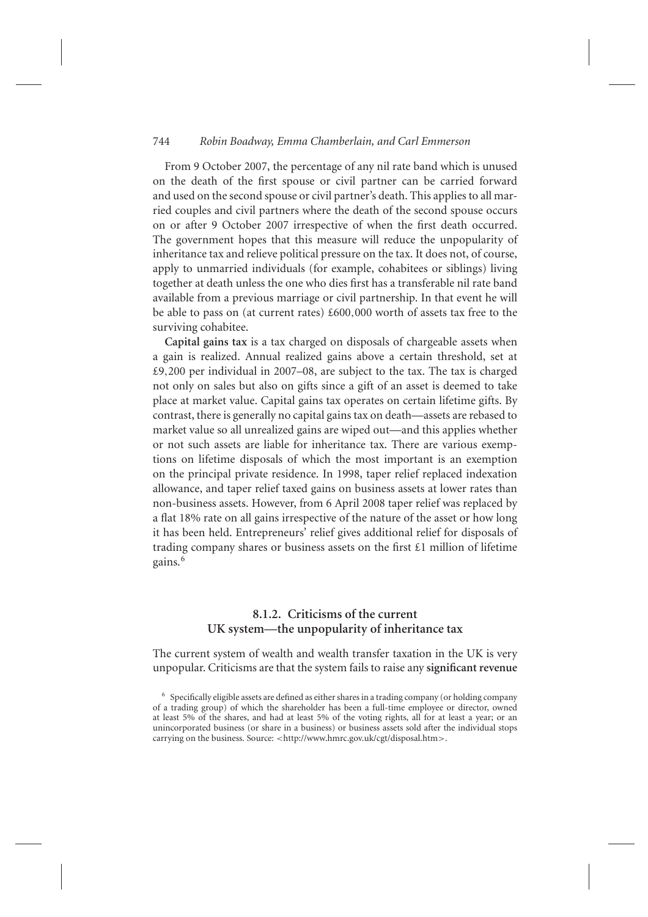From 9 October 2007, the percentage of any nil rate band which is unused on the death of the first spouse or civil partner can be carried forward and used on the second spouse or civil partner's death. This applies to all married couples and civil partners where the death of the second spouse occurs on or after 9 October 2007 irrespective of when the first death occurred. The government hopes that this measure will reduce the unpopularity of inheritance tax and relieve political pressure on the tax. It does not, of course, apply to unmarried individuals (for example, cohabitees or siblings) living together at death unless the one who dies first has a transferable nil rate band available from a previous marriage or civil partnership. In that event he will be able to pass on (at current rates) £600,000 worth of assets tax free to the surviving cohabitee.

**Capital gains tax** is a tax charged on disposals of chargeable assets when a gain is realized. Annual realized gains above a certain threshold, set at £9,200 per individual in 2007–08, are subject to the tax. The tax is charged not only on sales but also on gifts since a gift of an asset is deemed to take place at market value. Capital gains tax operates on certain lifetime gifts. By contrast, there is generally no capital gains tax on death—assets are rebased to market value so all unrealized gains are wiped out—and this applies whether or not such assets are liable for inheritance tax. There are various exemptions on lifetime disposals of which the most important is an exemption on the principal private residence. In 1998, taper relief replaced indexation allowance, and taper relief taxed gains on business assets at lower rates than non-business assets. However, from 6 April 2008 taper relief was replaced by a flat 18% rate on all gains irrespective of the nature of the asset or how long it has been held. Entrepreneurs' relief gives additional relief for disposals of trading company shares or business assets on the first £1 million of lifetime gains.<sup>6</sup>

# **8.1.2. Criticisms of the current UK system—the unpopularity of inheritance tax**

The current system of wealth and wealth transfer taxation in the UK is very unpopular. Criticisms are that the system fails to raise any **significant revenue**

<sup>6</sup> Specifically eligible assets are defined as either shares in a trading company (or holding company of a trading group) of which the shareholder has been a full-time employee or director, owned at least 5% of the shares, and had at least 5% of the voting rights, all for at least a year; or an unincorporated business (or share in a business) or business assets sold after the individual stops carrying on the business. Source: <http://www.hmrc.gov.uk/cgt/disposal.htm>.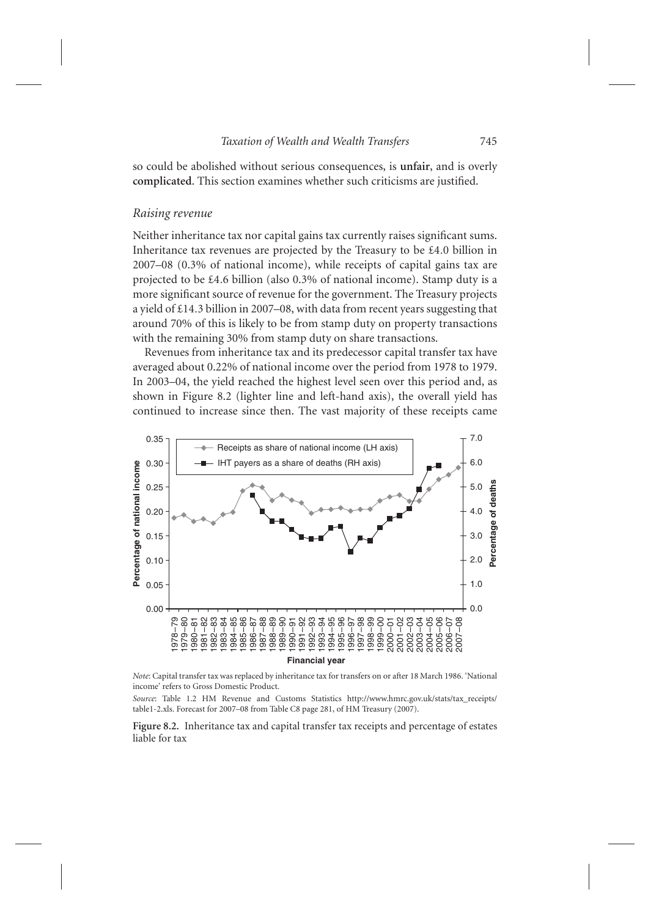so could be abolished without serious consequences, is **unfair**, and is overly **complicated**. This section examines whether such criticisms are justified.

#### *Raising revenue*

Neither inheritance tax nor capital gains tax currently raises significant sums. Inheritance tax revenues are projected by the Treasury to be £4.0 billion in 2007–08 (0.3% of national income), while receipts of capital gains tax are projected to be £4.6 billion (also 0.3% of national income). Stamp duty is a more significant source of revenue for the government. The Treasury projects a yield of £14.3 billion in 2007–08, with data from recent years suggesting that around 70% of this is likely to be from stamp duty on property transactions with the remaining 30% from stamp duty on share transactions.

Revenues from inheritance tax and its predecessor capital transfer tax have averaged about 0.22% of national income over the period from 1978 to 1979. In 2003–04, the yield reached the highest level seen over this period and, as shown in Figure 8.2 (lighter line and left-hand axis), the overall yield has continued to increase since then. The vast majority of these receipts came



*Note*: Capital transfer tax was replaced by inheritance tax for transfers on or after 18 March 1986. 'National income' refers to Gross Domestic Product.

*Source*: Table 1.2 HM Revenue and Customs Statistics http://www.hmrc.gov.uk/stats/tax\_receipts/ table1-2.xls. Forecast for 2007–08 from Table C8 page 281, of HM Treasury (2007).

**Figure 8.2.** Inheritance tax and capital transfer tax receipts and percentage of estates liable for tax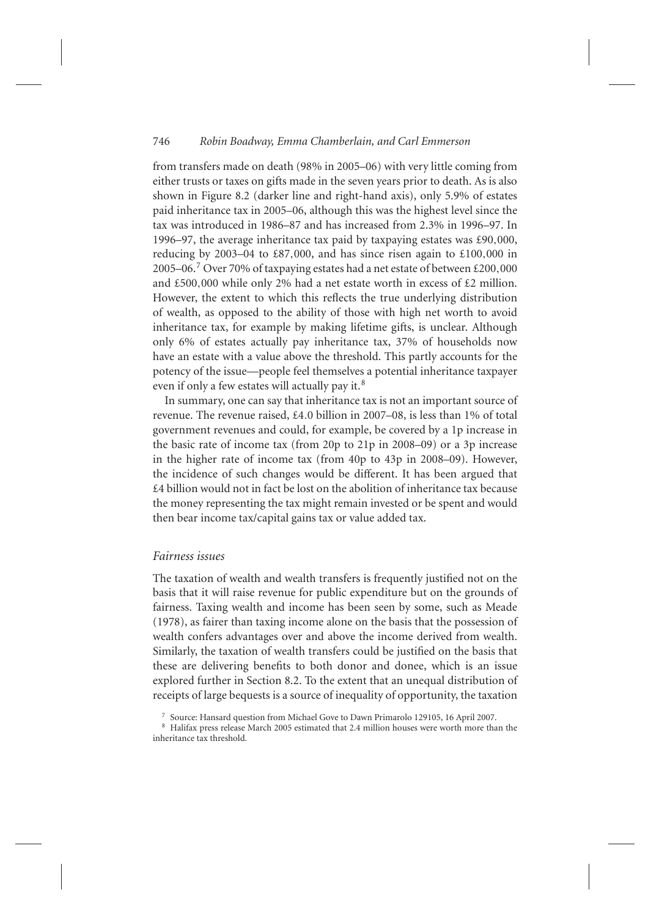from transfers made on death (98% in 2005–06) with very little coming from either trusts or taxes on gifts made in the seven years prior to death. As is also shown in Figure 8.2 (darker line and right-hand axis), only 5.9% of estates paid inheritance tax in 2005–06, although this was the highest level since the tax was introduced in 1986–87 and has increased from 2.3% in 1996–97. In 1996–97, the average inheritance tax paid by taxpaying estates was £90,000, reducing by 2003–04 to £87,000, and has since risen again to £100,000 in 2005–06.<sup>7</sup> Over 70% of taxpaying estates had a net estate of between £200,000 and £500,000 while only 2% had a net estate worth in excess of £2 million. However, the extent to which this reflects the true underlying distribution of wealth, as opposed to the ability of those with high net worth to avoid inheritance tax, for example by making lifetime gifts, is unclear. Although only 6% of estates actually pay inheritance tax, 37% of households now have an estate with a value above the threshold. This partly accounts for the potency of the issue—people feel themselves a potential inheritance taxpayer even if only a few estates will actually pay it.<sup>8</sup>

In summary, one can say that inheritance tax is not an important source of revenue. The revenue raised, £4.0 billion in 2007–08, is less than 1% of total government revenues and could, for example, be covered by a 1p increase in the basic rate of income tax (from 20p to 21p in 2008–09) or a 3p increase in the higher rate of income tax (from 40p to 43p in 2008–09). However, the incidence of such changes would be different. It has been argued that  $\pounds$ 4 billion would not in fact be lost on the abolition of inheritance tax because the money representing the tax might remain invested or be spent and would then bear income tax/capital gains tax or value added tax.

#### *Fairness issues*

The taxation of wealth and wealth transfers is frequently justified not on the basis that it will raise revenue for public expenditure but on the grounds of fairness. Taxing wealth and income has been seen by some, such as Meade (1978), as fairer than taxing income alone on the basis that the possession of wealth confers advantages over and above the income derived from wealth. Similarly, the taxation of wealth transfers could be justified on the basis that these are delivering benefits to both donor and donee, which is an issue explored further in Section 8.2. To the extent that an unequal distribution of receipts of large bequests is a source of inequality of opportunity, the taxation

<sup>7</sup> Source: Hansard question from Michael Gove to Dawn Primarolo 129105, 16 April 2007.

<sup>8</sup> Halifax press release March 2005 estimated that 2.4 million houses were worth more than the inheritance tax threshold.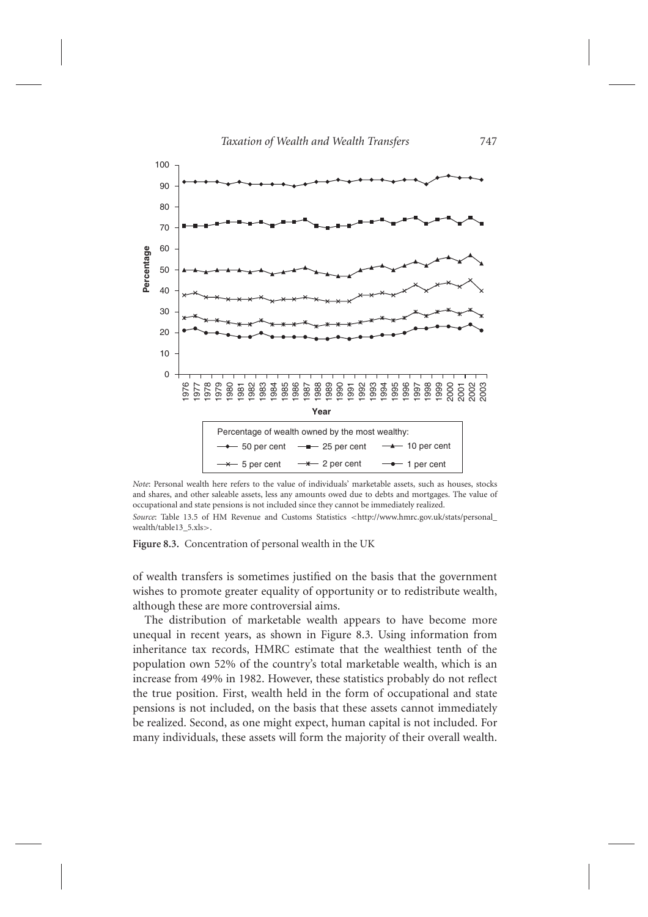



*Note*: Personal wealth here refers to the value of individuals' marketable assets, such as houses, stocks and shares, and other saleable assets, less any amounts owed due to debts and mortgages. The value of occupational and state pensions is not included since they cannot be immediately realized. Source: Table 13.5 of HM Revenue and Customs Statistics <http://www.hmrc.gov.uk/stats/personal\_

wealth/table13\_5.xls>.

**Figure 8.3.** Concentration of personal wealth in the UK

of wealth transfers is sometimes justified on the basis that the government wishes to promote greater equality of opportunity or to redistribute wealth, although these are more controversial aims.

The distribution of marketable wealth appears to have become more unequal in recent years, as shown in Figure 8.3. Using information from inheritance tax records, HMRC estimate that the wealthiest tenth of the population own 52% of the country's total marketable wealth, which is an increase from 49% in 1982. However, these statistics probably do not reflect the true position. First, wealth held in the form of occupational and state pensions is not included, on the basis that these assets cannot immediately be realized. Second, as one might expect, human capital is not included. For many individuals, these assets will form the majority of their overall wealth.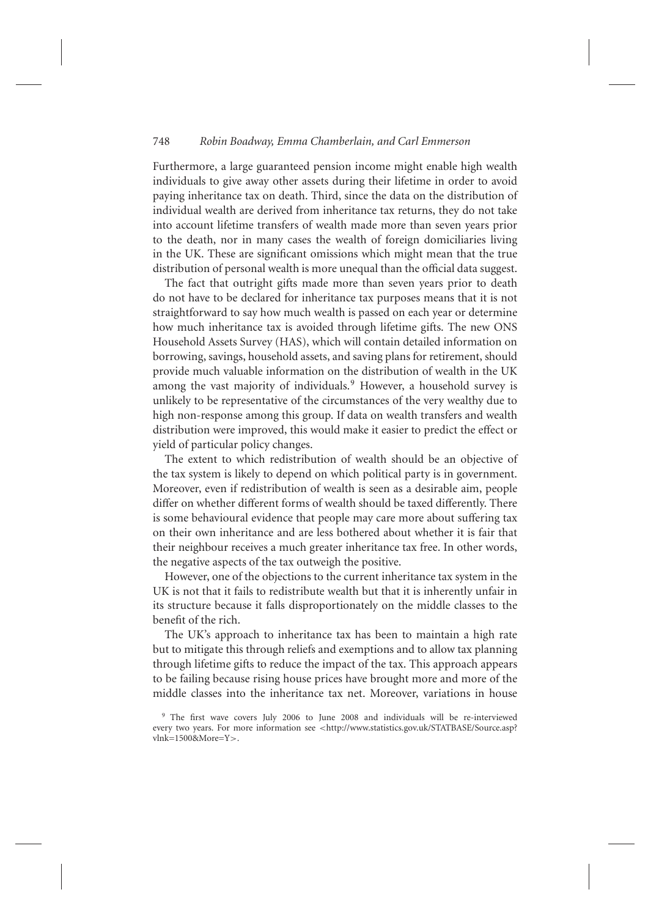Furthermore, a large guaranteed pension income might enable high wealth individuals to give away other assets during their lifetime in order to avoid paying inheritance tax on death. Third, since the data on the distribution of individual wealth are derived from inheritance tax returns, they do not take into account lifetime transfers of wealth made more than seven years prior to the death, nor in many cases the wealth of foreign domiciliaries living in the UK. These are significant omissions which might mean that the true distribution of personal wealth is more unequal than the official data suggest.

The fact that outright gifts made more than seven years prior to death do not have to be declared for inheritance tax purposes means that it is not straightforward to say how much wealth is passed on each year or determine how much inheritance tax is avoided through lifetime gifts. The new ONS Household Assets Survey (HAS), which will contain detailed information on borrowing, savings, household assets, and saving plans for retirement, should provide much valuable information on the distribution of wealth in the UK among the vast majority of individuals.<sup>9</sup> However, a household survey is unlikely to be representative of the circumstances of the very wealthy due to high non-response among this group. If data on wealth transfers and wealth distribution were improved, this would make it easier to predict the effect or yield of particular policy changes.

The extent to which redistribution of wealth should be an objective of the tax system is likely to depend on which political party is in government. Moreover, even if redistribution of wealth is seen as a desirable aim, people differ on whether different forms of wealth should be taxed differently. There is some behavioural evidence that people may care more about suffering tax on their own inheritance and are less bothered about whether it is fair that their neighbour receives a much greater inheritance tax free. In other words, the negative aspects of the tax outweigh the positive.

However, one of the objections to the current inheritance tax system in the UK is not that it fails to redistribute wealth but that it is inherently unfair in its structure because it falls disproportionately on the middle classes to the benefit of the rich.

The UK's approach to inheritance tax has been to maintain a high rate but to mitigate this through reliefs and exemptions and to allow tax planning through lifetime gifts to reduce the impact of the tax. This approach appears to be failing because rising house prices have brought more and more of the middle classes into the inheritance tax net. Moreover, variations in house

<sup>9</sup> The first wave covers July 2006 to June 2008 and individuals will be re-interviewed every two years. For more information see <http://www.statistics.gov.uk/STATBASE/Source.asp? vlnk=1500&More=Y>.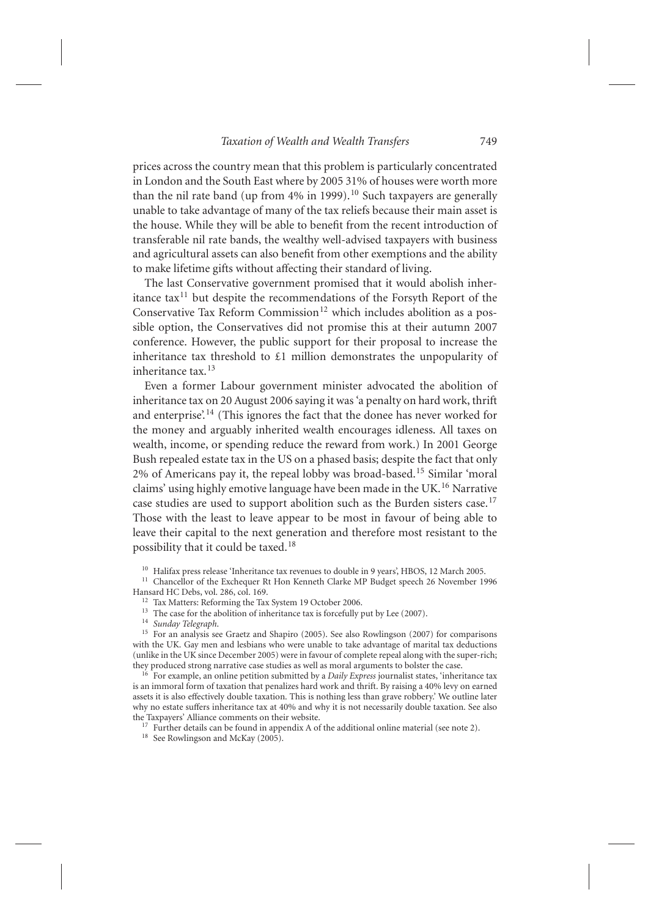prices across the country mean that this problem is particularly concentrated in London and the South East where by 2005 31% of houses were worth more than the nil rate band (up from  $4\%$  in 1999).<sup>10</sup> Such taxpayers are generally unable to take advantage of many of the tax reliefs because their main asset is the house. While they will be able to benefit from the recent introduction of transferable nil rate bands, the wealthy well-advised taxpayers with business and agricultural assets can also benefit from other exemptions and the ability to make lifetime gifts without affecting their standard of living.

The last Conservative government promised that it would abolish inheritance tax<sup>11</sup> but despite the recommendations of the Forsyth Report of the Conservative Tax Reform Commission<sup>12</sup> which includes abolition as a possible option, the Conservatives did not promise this at their autumn 2007 conference. However, the public support for their proposal to increase the inheritance tax threshold to £1 million demonstrates the unpopularity of inheritance tax.<sup>13</sup>

Even a former Labour government minister advocated the abolition of inheritance tax on 20 August 2006 saying it was 'a penalty on hard work, thrift and enterprise'.<sup>14</sup> (This ignores the fact that the donee has never worked for the money and arguably inherited wealth encourages idleness. All taxes on wealth, income, or spending reduce the reward from work.) In 2001 George Bush repealed estate tax in the US on a phased basis; despite the fact that only 2% of Americans pay it, the repeal lobby was broad-based.<sup>15</sup> Similar 'moral claims' using highly emotive language have been made in the UK.<sup>16</sup> Narrative case studies are used to support abolition such as the Burden sisters case.<sup>17</sup> Those with the least to leave appear to be most in favour of being able to leave their capital to the next generation and therefore most resistant to the possibility that it could be taxed.<sup>18</sup>

<sup>10</sup> Halifax press release 'Inheritance tax revenues to double in 9 years', HBOS, 12 March 2005.

<sup>11</sup> Chancellor of the Exchequer Rt Hon Kenneth Clarke MP Budget speech 26 November 1996 Hansard HC Debs, vol. 286, col. 169.

<sup>12</sup> Tax Matters: Reforming the Tax System 19 October 2006.

 $13$  The case for the abolition of inheritance tax is forcefully put by Lee (2007).

<sup>14</sup> *Sunday Telegraph*.

<sup>15</sup> For an analysis see Graetz and Shapiro (2005). See also Rowlingson (2007) for comparisons with the UK. Gay men and lesbians who were unable to take advantage of marital tax deductions (unlike in the UK since December 2005) were in favour of complete repeal along with the super-rich; they produced strong narrative case studies as well as moral arguments to bolster the case.

<sup>16</sup> For example, an online petition submitted by a *Daily Express* journalist states, 'inheritance tax is an immoral form of taxation that penalizes hard work and thrift. By raising a 40% levy on earned assets it is also effectively double taxation. This is nothing less than grave robbery.' We outline later why no estate suffers inheritance tax at 40% and why it is not necessarily double taxation. See also the Taxpayers' Alliance comments on their website.

<sup>17</sup> Further details can be found in appendix A of the additional online material (see note 2).

<sup>18</sup> See Rowlingson and McKay (2005).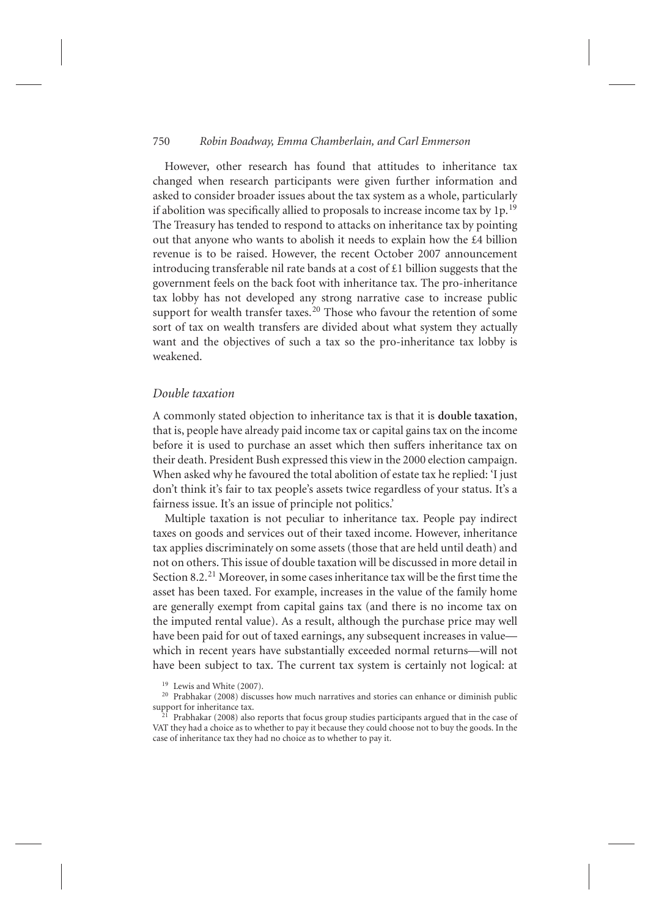However, other research has found that attitudes to inheritance tax changed when research participants were given further information and asked to consider broader issues about the tax system as a whole, particularly if abolition was specifically allied to proposals to increase income tax by  $1p^{19}$ . The Treasury has tended to respond to attacks on inheritance tax by pointing out that anyone who wants to abolish it needs to explain how the £4 billion revenue is to be raised. However, the recent October 2007 announcement introducing transferable nil rate bands at a cost of £1 billion suggests that the government feels on the back foot with inheritance tax. The pro-inheritance tax lobby has not developed any strong narrative case to increase public support for wealth transfer taxes.<sup>20</sup> Those who favour the retention of some sort of tax on wealth transfers are divided about what system they actually want and the objectives of such a tax so the pro-inheritance tax lobby is weakened.

#### *Double taxation*

A commonly stated objection to inheritance tax is that it is **double taxation**, that is, people have already paid income tax or capital gains tax on the income before it is used to purchase an asset which then suffers inheritance tax on their death. President Bush expressed this view in the 2000 election campaign. When asked why he favoured the total abolition of estate tax he replied: 'I just don't think it's fair to tax people's assets twice regardless of your status. It's a fairness issue. It's an issue of principle not politics.'

Multiple taxation is not peculiar to inheritance tax. People pay indirect taxes on goods and services out of their taxed income. However, inheritance tax applies discriminately on some assets (those that are held until death) and not on others. This issue of double taxation will be discussed in more detail in Section 8.2.<sup>21</sup> Moreover, in some cases inheritance tax will be the first time the asset has been taxed. For example, increases in the value of the family home are generally exempt from capital gains tax (and there is no income tax on the imputed rental value). As a result, although the purchase price may well have been paid for out of taxed earnings, any subsequent increases in value which in recent years have substantially exceeded normal returns—will not have been subject to tax. The current tax system is certainly not logical: at

<sup>&</sup>lt;sup>19</sup> Lewis and White (2007).

<sup>&</sup>lt;sup>20</sup> Prabhakar (2008) discusses how much narratives and stories can enhance or diminish public support for inheritance tax.

Prabhakar (2008) also reports that focus group studies participants argued that in the case of VAT they had a choice as to whether to pay it because they could choose not to buy the goods. In the case of inheritance tax they had no choice as to whether to pay it.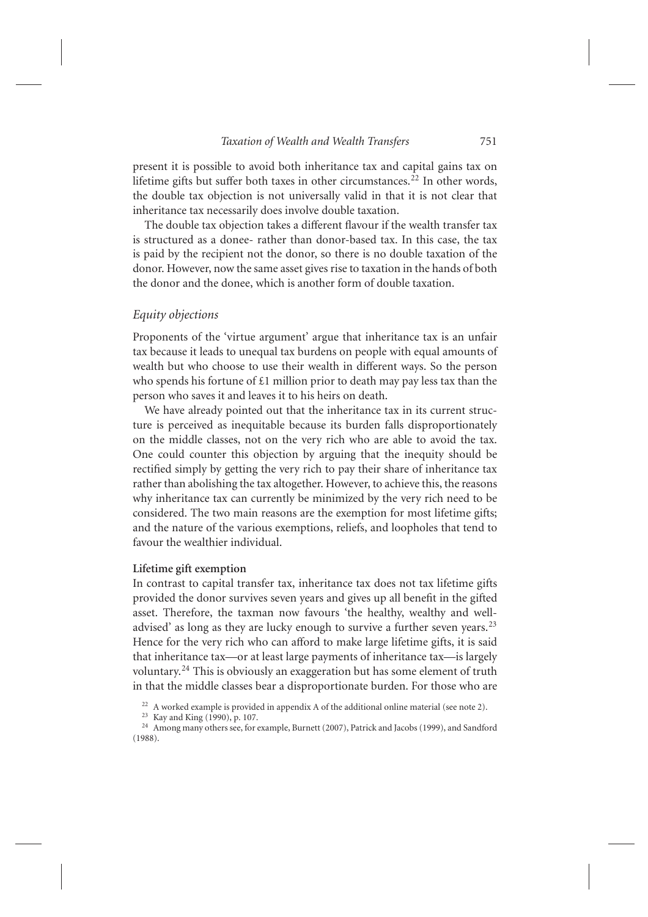present it is possible to avoid both inheritance tax and capital gains tax on lifetime gifts but suffer both taxes in other circumstances.<sup>22</sup> In other words, the double tax objection is not universally valid in that it is not clear that inheritance tax necessarily does involve double taxation.

The double tax objection takes a different flavour if the wealth transfer tax is structured as a donee- rather than donor-based tax. In this case, the tax is paid by the recipient not the donor, so there is no double taxation of the donor. However, now the same asset gives rise to taxation in the hands of both the donor and the donee, which is another form of double taxation.

#### *Equity objections*

Proponents of the 'virtue argument' argue that inheritance tax is an unfair tax because it leads to unequal tax burdens on people with equal amounts of wealth but who choose to use their wealth in different ways. So the person who spends his fortune of  $\pounds1$  million prior to death may pay less tax than the person who saves it and leaves it to his heirs on death.

We have already pointed out that the inheritance tax in its current structure is perceived as inequitable because its burden falls disproportionately on the middle classes, not on the very rich who are able to avoid the tax. One could counter this objection by arguing that the inequity should be rectified simply by getting the very rich to pay their share of inheritance tax rather than abolishing the tax altogether. However, to achieve this, the reasons why inheritance tax can currently be minimized by the very rich need to be considered. The two main reasons are the exemption for most lifetime gifts; and the nature of the various exemptions, reliefs, and loopholes that tend to favour the wealthier individual.

#### **Lifetime gift exemption**

In contrast to capital transfer tax, inheritance tax does not tax lifetime gifts provided the donor survives seven years and gives up all benefit in the gifted asset. Therefore, the taxman now favours 'the healthy, wealthy and welladvised' as long as they are lucky enough to survive a further seven years.<sup>23</sup> Hence for the very rich who can afford to make large lifetime gifts, it is said that inheritance tax—or at least large payments of inheritance tax—is largely voluntary.<sup>24</sup> This is obviously an exaggeration but has some element of truth in that the middle classes bear a disproportionate burden. For those who are

 $22$  A worked example is provided in appendix A of the additional online material (see note 2).

<sup>23</sup> Kay and King (1990), p. 107.

<sup>&</sup>lt;sup>24</sup> Among many others see, for example, Burnett (2007), Patrick and Jacobs (1999), and Sandford (1988).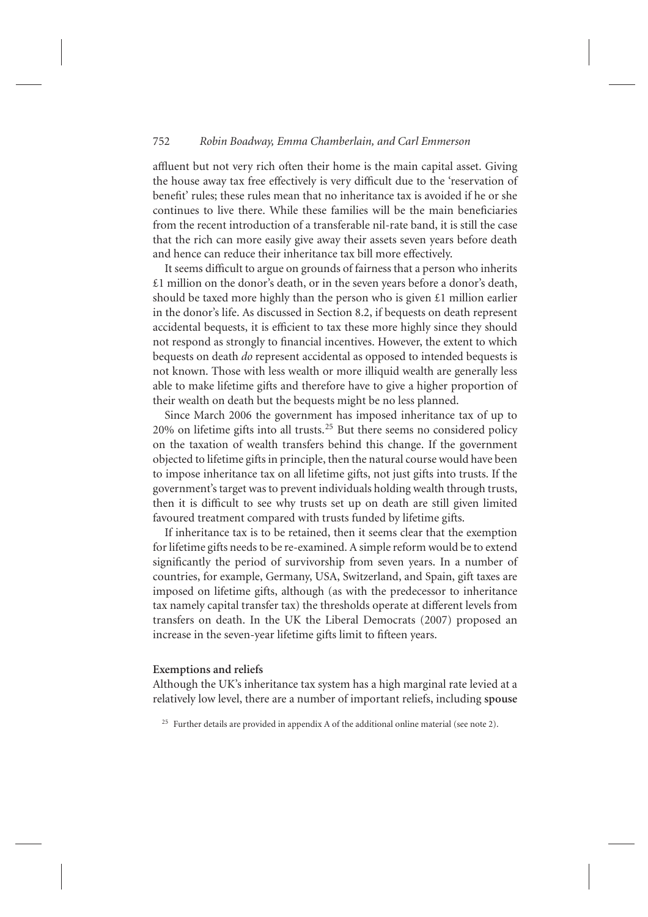affluent but not very rich often their home is the main capital asset. Giving the house away tax free effectively is very difficult due to the 'reservation of benefit' rules; these rules mean that no inheritance tax is avoided if he or she continues to live there. While these families will be the main beneficiaries from the recent introduction of a transferable nil-rate band, it is still the case that the rich can more easily give away their assets seven years before death and hence can reduce their inheritance tax bill more effectively.

It seems difficult to argue on grounds of fairness that a person who inherits  $£1$  million on the donor's death, or in the seven years before a donor's death, should be taxed more highly than the person who is given £1 million earlier in the donor's life. As discussed in Section 8.2, if bequests on death represent accidental bequests, it is efficient to tax these more highly since they should not respond as strongly to financial incentives. However, the extent to which bequests on death *do* represent accidental as opposed to intended bequests is not known. Those with less wealth or more illiquid wealth are generally less able to make lifetime gifts and therefore have to give a higher proportion of their wealth on death but the bequests might be no less planned.

Since March 2006 the government has imposed inheritance tax of up to 20% on lifetime gifts into all trusts.<sup>25</sup> But there seems no considered policy on the taxation of wealth transfers behind this change. If the government objected to lifetime gifts in principle, then the natural course would have been to impose inheritance tax on all lifetime gifts, not just gifts into trusts. If the government's target was to prevent individuals holding wealth through trusts, then it is difficult to see why trusts set up on death are still given limited favoured treatment compared with trusts funded by lifetime gifts.

If inheritance tax is to be retained, then it seems clear that the exemption for lifetime gifts needs to be re-examined. A simple reform would be to extend significantly the period of survivorship from seven years. In a number of countries, for example, Germany, USA, Switzerland, and Spain, gift taxes are imposed on lifetime gifts, although (as with the predecessor to inheritance tax namely capital transfer tax) the thresholds operate at different levels from transfers on death. In the UK the Liberal Democrats (2007) proposed an increase in the seven-year lifetime gifts limit to fifteen years.

#### **Exemptions and reliefs**

Although the UK's inheritance tax system has a high marginal rate levied at a relatively low level, there are a number of important reliefs, including **spouse**

 $25$  Further details are provided in appendix A of the additional online material (see note 2).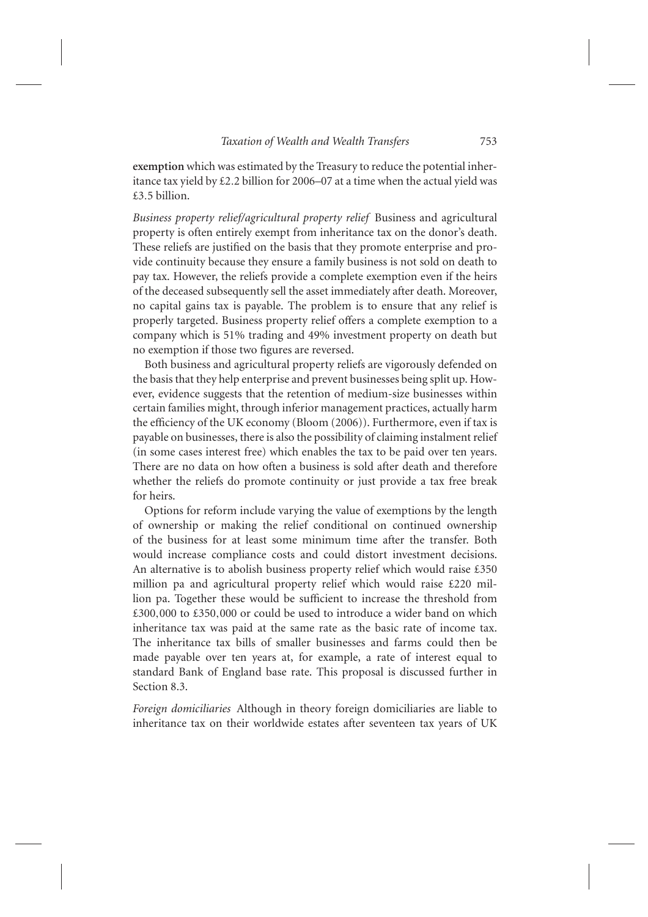**exemption** which was estimated by the Treasury to reduce the potential inheritance tax yield by £2.2 billion for 2006–07 at a time when the actual yield was £3.5 billion.

*Business property relief/agricultural property relief* Business and agricultural property is often entirely exempt from inheritance tax on the donor's death. These reliefs are justified on the basis that they promote enterprise and provide continuity because they ensure a family business is not sold on death to pay tax. However, the reliefs provide a complete exemption even if the heirs of the deceased subsequently sell the asset immediately after death. Moreover, no capital gains tax is payable. The problem is to ensure that any relief is properly targeted. Business property relief offers a complete exemption to a company which is 51% trading and 49% investment property on death but no exemption if those two figures are reversed.

Both business and agricultural property reliefs are vigorously defended on the basis that they help enterprise and prevent businesses being split up. However, evidence suggests that the retention of medium-size businesses within certain families might, through inferior management practices, actually harm the efficiency of the UK economy (Bloom (2006)). Furthermore, even if tax is payable on businesses, there is also the possibility of claiming instalment relief (in some cases interest free) which enables the tax to be paid over ten years. There are no data on how often a business is sold after death and therefore whether the reliefs do promote continuity or just provide a tax free break for heirs.

Options for reform include varying the value of exemptions by the length of ownership or making the relief conditional on continued ownership of the business for at least some minimum time after the transfer. Both would increase compliance costs and could distort investment decisions. An alternative is to abolish business property relief which would raise £350 million pa and agricultural property relief which would raise £220 million pa. Together these would be sufficient to increase the threshold from £300,000 to £350,000 or could be used to introduce a wider band on which inheritance tax was paid at the same rate as the basic rate of income tax. The inheritance tax bills of smaller businesses and farms could then be made payable over ten years at, for example, a rate of interest equal to standard Bank of England base rate. This proposal is discussed further in Section 8.3.

*Foreign domiciliaries* Although in theory foreign domiciliaries are liable to inheritance tax on their worldwide estates after seventeen tax years of UK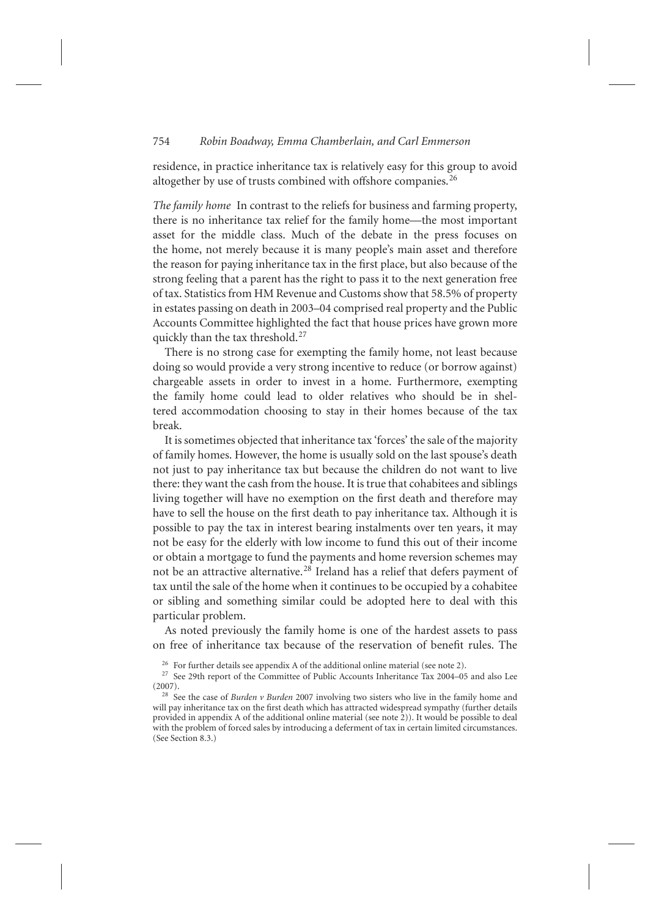residence, in practice inheritance tax is relatively easy for this group to avoid altogether by use of trusts combined with offshore companies.<sup>26</sup>

*The family home* In contrast to the reliefs for business and farming property, there is no inheritance tax relief for the family home—the most important asset for the middle class. Much of the debate in the press focuses on the home, not merely because it is many people's main asset and therefore the reason for paying inheritance tax in the first place, but also because of the strong feeling that a parent has the right to pass it to the next generation free of tax. Statistics from HM Revenue and Customs show that 58.5% of property in estates passing on death in 2003–04 comprised real property and the Public Accounts Committee highlighted the fact that house prices have grown more quickly than the tax threshold.<sup>27</sup>

There is no strong case for exempting the family home, not least because doing so would provide a very strong incentive to reduce (or borrow against) chargeable assets in order to invest in a home. Furthermore, exempting the family home could lead to older relatives who should be in sheltered accommodation choosing to stay in their homes because of the tax break.

It is sometimes objected that inheritance tax 'forces' the sale of the majority of family homes. However, the home is usually sold on the last spouse's death not just to pay inheritance tax but because the children do not want to live there: they want the cash from the house. It is true that cohabitees and siblings living together will have no exemption on the first death and therefore may have to sell the house on the first death to pay inheritance tax. Although it is possible to pay the tax in interest bearing instalments over ten years, it may not be easy for the elderly with low income to fund this out of their income or obtain a mortgage to fund the payments and home reversion schemes may not be an attractive alternative.<sup>28</sup> Ireland has a relief that defers payment of tax until the sale of the home when it continues to be occupied by a cohabitee or sibling and something similar could be adopted here to deal with this particular problem.

As noted previously the family home is one of the hardest assets to pass on free of inheritance tax because of the reservation of benefit rules. The

 $26$  For further details see appendix A of the additional online material (see note 2).

<sup>&</sup>lt;sup>27</sup> See 29th report of the Committee of Public Accounts Inheritance Tax 2004–05 and also Lee (2007).

<sup>28</sup> See the case of *Burden v Burden* 2007 involving two sisters who live in the family home and will pay inheritance tax on the first death which has attracted widespread sympathy (further details provided in appendix A of the additional online material (see note 2)). It would be possible to deal with the problem of forced sales by introducing a deferment of tax in certain limited circumstances. (See Section 8.3.)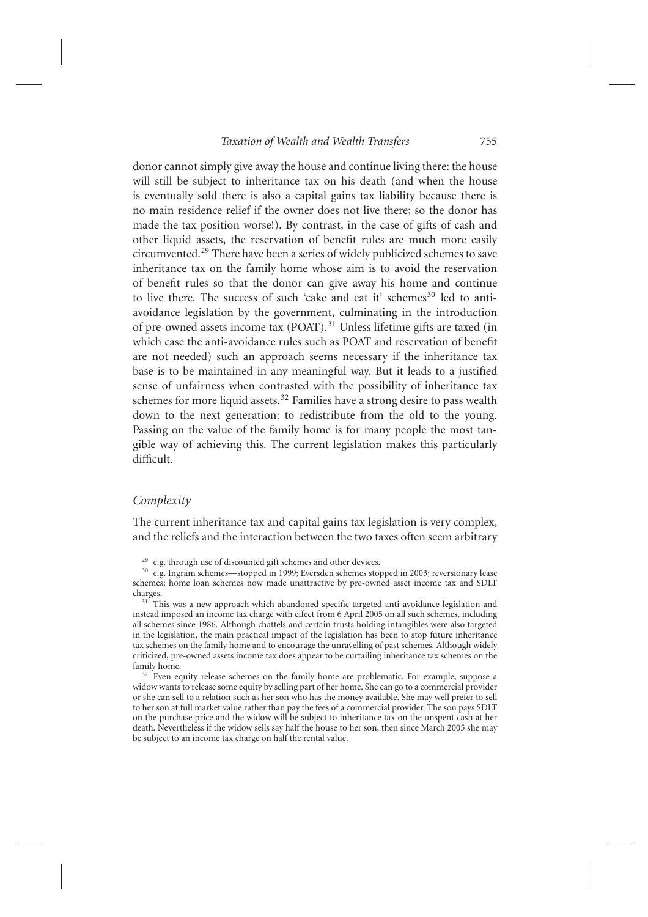donor cannot simply give away the house and continue living there: the house will still be subject to inheritance tax on his death (and when the house is eventually sold there is also a capital gains tax liability because there is no main residence relief if the owner does not live there; so the donor has made the tax position worse!). By contrast, in the case of gifts of cash and other liquid assets, the reservation of benefit rules are much more easily circumvented.<sup>29</sup> There have been a series of widely publicized schemes to save inheritance tax on the family home whose aim is to avoid the reservation of benefit rules so that the donor can give away his home and continue to live there. The success of such 'cake and eat it' schemes<sup>30</sup> led to antiavoidance legislation by the government, culminating in the introduction of pre-owned assets income tax (POAT).<sup>31</sup> Unless lifetime gifts are taxed (in which case the anti-avoidance rules such as POAT and reservation of benefit are not needed) such an approach seems necessary if the inheritance tax base is to be maintained in any meaningful way. But it leads to a justified sense of unfairness when contrasted with the possibility of inheritance tax schemes for more liquid assets.<sup>32</sup> Families have a strong desire to pass wealth down to the next generation: to redistribute from the old to the young. Passing on the value of the family home is for many people the most tangible way of achieving this. The current legislation makes this particularly difficult.

#### *Complexity*

The current inheritance tax and capital gains tax legislation is very complex, and the reliefs and the interaction between the two taxes often seem arbitrary

<sup>31</sup> This was a new approach which abandoned specific targeted anti-avoidance legislation and instead imposed an income tax charge with effect from 6 April 2005 on all such schemes, including all schemes since 1986. Although chattels and certain trusts holding intangibles were also targeted in the legislation, the main practical impact of the legislation has been to stop future inheritance tax schemes on the family home and to encourage the unravelling of past schemes. Although widely criticized, pre-owned assets income tax does appear to be curtailing inheritance tax schemes on the family home.

 $32$  Even equity release schemes on the family home are problematic. For example, suppose a widow wants to release some equity by selling part of her home. She can go to a commercial provider or she can sell to a relation such as her son who has the money available. She may well prefer to sell to her son at full market value rather than pay the fees of a commercial provider. The son pays SDLT on the purchase price and the widow will be subject to inheritance tax on the unspent cash at her death. Nevertheless if the widow sells say half the house to her son, then since March 2005 she may be subject to an income tax charge on half the rental value.

 $29$  e.g. through use of discounted gift schemes and other devices.

<sup>30</sup> e.g. Ingram schemes—stopped in 1999; Eversden schemes stopped in 2003; reversionary lease schemes; home loan schemes now made unattractive by pre-owned asset income tax and SDLT charges.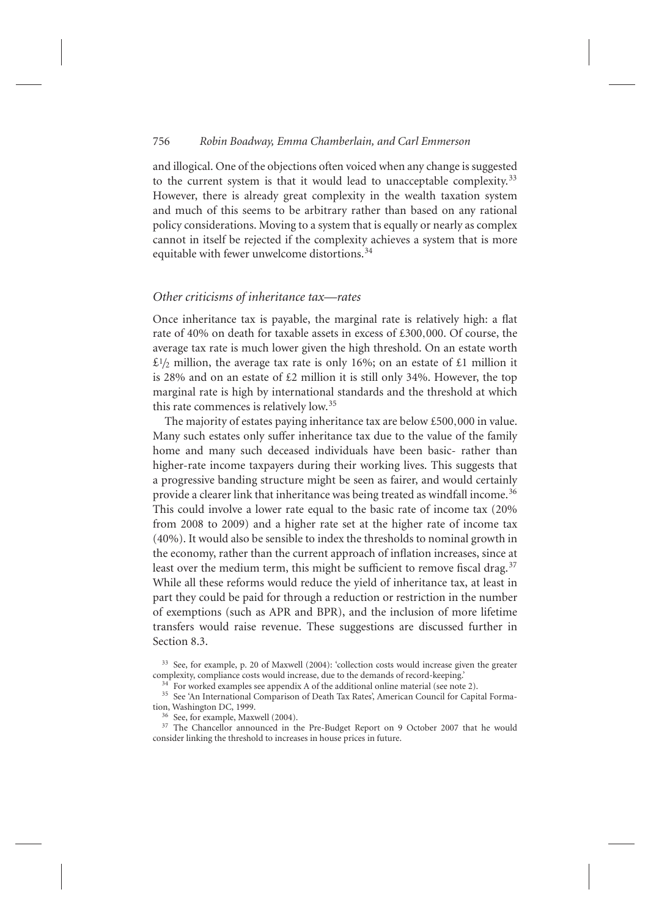and illogical. One of the objections often voiced when any change is suggested to the current system is that it would lead to unacceptable complexity.<sup>33</sup> However, there is already great complexity in the wealth taxation system and much of this seems to be arbitrary rather than based on any rational policy considerations. Moving to a system that is equally or nearly as complex cannot in itself be rejected if the complexity achieves a system that is more equitable with fewer unwelcome distortions.<sup>34</sup>

#### *Other criticisms of inheritance tax—rates*

Once inheritance tax is payable, the marginal rate is relatively high: a flat rate of 40% on death for taxable assets in excess of £300,000. Of course, the average tax rate is much lower given the high threshold. On an estate worth  $\mathfrak{L}^{1}/_{2}$  million, the average tax rate is only 16%; on an estate of £1 million it is 28% and on an estate of £2 million it is still only 34%. However, the top marginal rate is high by international standards and the threshold at which this rate commences is relatively low.<sup>35</sup>

The majority of estates paying inheritance tax are below £500,000 in value. Many such estates only suffer inheritance tax due to the value of the family home and many such deceased individuals have been basic- rather than higher-rate income taxpayers during their working lives. This suggests that a progressive banding structure might be seen as fairer, and would certainly provide a clearer link that inheritance was being treated as windfall income.<sup>36</sup> This could involve a lower rate equal to the basic rate of income tax (20% from 2008 to 2009) and a higher rate set at the higher rate of income tax (40%). It would also be sensible to index the thresholds to nominal growth in the economy, rather than the current approach of inflation increases, since at least over the medium term, this might be sufficient to remove fiscal drag.<sup>37</sup> While all these reforms would reduce the yield of inheritance tax, at least in part they could be paid for through a reduction or restriction in the number of exemptions (such as APR and BPR), and the inclusion of more lifetime transfers would raise revenue. These suggestions are discussed further in Section 8.3.

<sup>&</sup>lt;sup>33</sup> See, for example, p. 20 of Maxwell (2004): 'collection costs would increase given the greater complexity, compliance costs would increase, due to the demands of record-keeping.'

 $34$  For worked examples see appendix A of the additional online material (see note 2).

<sup>&</sup>lt;sup>35</sup> See 'An International Comparison of Death Tax Rates', American Council for Capital Formation, Washington DC, 1999.

See, for example, Maxwell (2004).

<sup>&</sup>lt;sup>37</sup> The Chancellor announced in the Pre-Budget Report on 9 October 2007 that he would consider linking the threshold to increases in house prices in future.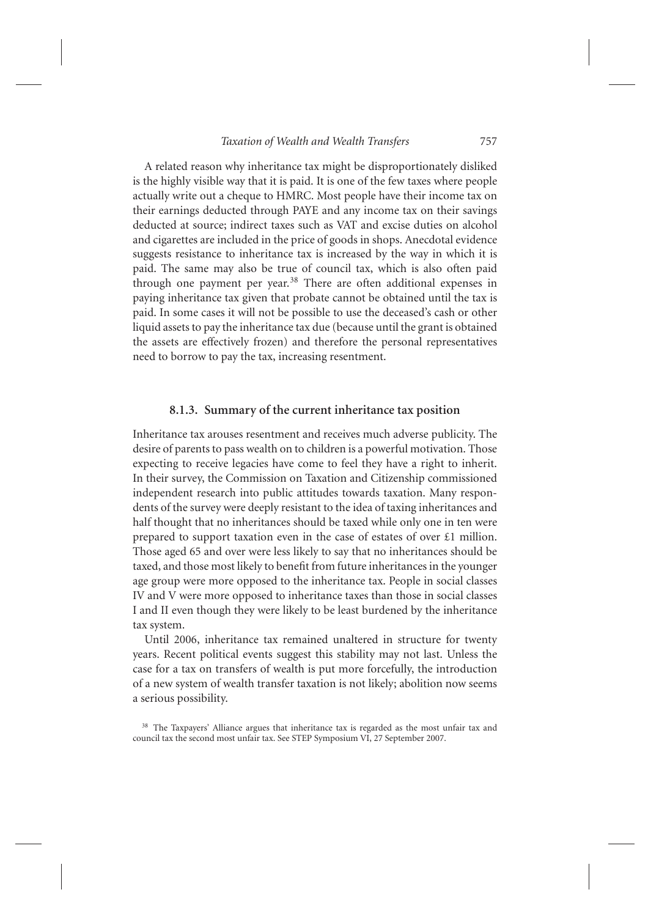A related reason why inheritance tax might be disproportionately disliked is the highly visible way that it is paid. It is one of the few taxes where people actually write out a cheque to HMRC. Most people have their income tax on their earnings deducted through PAYE and any income tax on their savings deducted at source; indirect taxes such as VAT and excise duties on alcohol and cigarettes are included in the price of goods in shops. Anecdotal evidence suggests resistance to inheritance tax is increased by the way in which it is paid. The same may also be true of council tax, which is also often paid through one payment per year.<sup>38</sup> There are often additional expenses in paying inheritance tax given that probate cannot be obtained until the tax is paid. In some cases it will not be possible to use the deceased's cash or other liquid assets to pay the inheritance tax due (because until the grant is obtained the assets are effectively frozen) and therefore the personal representatives need to borrow to pay the tax, increasing resentment.

# **8.1.3. Summary of the current inheritance tax position**

Inheritance tax arouses resentment and receives much adverse publicity. The desire of parents to pass wealth on to children is a powerful motivation. Those expecting to receive legacies have come to feel they have a right to inherit. In their survey, the Commission on Taxation and Citizenship commissioned independent research into public attitudes towards taxation. Many respondents of the survey were deeply resistant to the idea of taxing inheritances and half thought that no inheritances should be taxed while only one in ten were prepared to support taxation even in the case of estates of over  $\pounds 1$  million. Those aged 65 and over were less likely to say that no inheritances should be taxed, and those most likely to benefit from future inheritances in the younger age group were more opposed to the inheritance tax. People in social classes IV and V were more opposed to inheritance taxes than those in social classes I and II even though they were likely to be least burdened by the inheritance tax system.

Until 2006, inheritance tax remained unaltered in structure for twenty years. Recent political events suggest this stability may not last. Unless the case for a tax on transfers of wealth is put more forcefully, the introduction of a new system of wealth transfer taxation is not likely; abolition now seems a serious possibility.

<sup>38</sup> The Taxpayers' Alliance argues that inheritance tax is regarded as the most unfair tax and council tax the second most unfair tax. See STEP Symposium VI, 27 September 2007.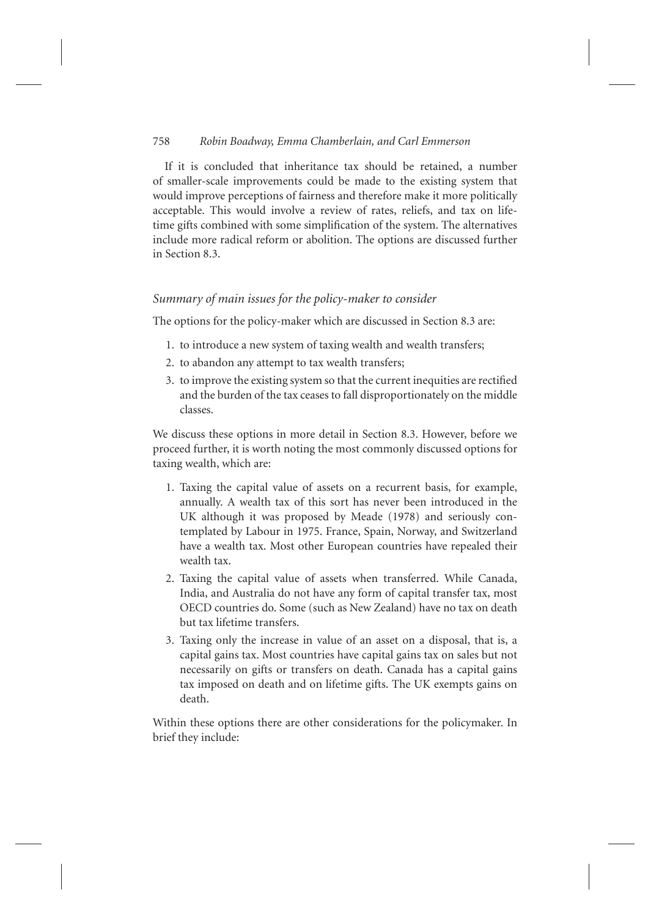If it is concluded that inheritance tax should be retained, a number of smaller-scale improvements could be made to the existing system that would improve perceptions of fairness and therefore make it more politically acceptable. This would involve a review of rates, reliefs, and tax on lifetime gifts combined with some simplification of the system. The alternatives include more radical reform or abolition. The options are discussed further in Section 8.3.

#### *Summary of main issues for the policy-maker to consider*

The options for the policy-maker which are discussed in Section 8.3 are:

- 1. to introduce a new system of taxing wealth and wealth transfers;
- 2. to abandon any attempt to tax wealth transfers;
- 3. to improve the existing system so that the current inequities are rectified and the burden of the tax ceases to fall disproportionately on the middle classes.

We discuss these options in more detail in Section 8.3. However, before we proceed further, it is worth noting the most commonly discussed options for taxing wealth, which are:

- 1. Taxing the capital value of assets on a recurrent basis, for example, annually. A wealth tax of this sort has never been introduced in the UK although it was proposed by Meade (1978) and seriously contemplated by Labour in 1975. France, Spain, Norway, and Switzerland have a wealth tax. Most other European countries have repealed their wealth tax.
- 2. Taxing the capital value of assets when transferred. While Canada, India, and Australia do not have any form of capital transfer tax, most OECD countries do. Some (such as New Zealand) have no tax on death but tax lifetime transfers.
- 3. Taxing only the increase in value of an asset on a disposal, that is, a capital gains tax. Most countries have capital gains tax on sales but not necessarily on gifts or transfers on death. Canada has a capital gains tax imposed on death and on lifetime gifts. The UK exempts gains on death.

Within these options there are other considerations for the policymaker. In brief they include: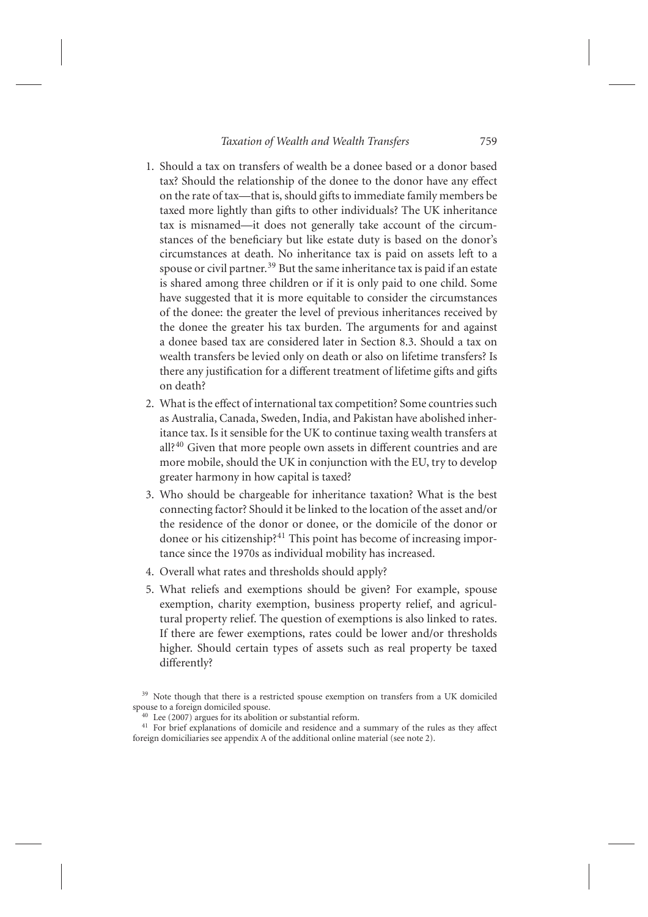- 1. Should a tax on transfers of wealth be a donee based or a donor based tax? Should the relationship of the donee to the donor have any effect on the rate of tax—that is, should gifts to immediate family members be taxed more lightly than gifts to other individuals? The UK inheritance tax is misnamed—it does not generally take account of the circumstances of the beneficiary but like estate duty is based on the donor's circumstances at death. No inheritance tax is paid on assets left to a spouse or civil partner.<sup>39</sup> But the same inheritance tax is paid if an estate is shared among three children or if it is only paid to one child. Some have suggested that it is more equitable to consider the circumstances of the donee: the greater the level of previous inheritances received by the donee the greater his tax burden. The arguments for and against a donee based tax are considered later in Section 8.3. Should a tax on wealth transfers be levied only on death or also on lifetime transfers? Is there any justification for a different treatment of lifetime gifts and gifts on death?
- 2. What is the effect of international tax competition? Some countries such as Australia, Canada, Sweden, India, and Pakistan have abolished inheritance tax. Is it sensible for the UK to continue taxing wealth transfers at all?<sup>40</sup> Given that more people own assets in different countries and are more mobile, should the UK in conjunction with the EU, try to develop greater harmony in how capital is taxed?
- 3. Who should be chargeable for inheritance taxation? What is the best connecting factor? Should it be linked to the location of the asset and/or the residence of the donor or donee, or the domicile of the donor or donee or his citizenship?<sup>41</sup> This point has become of increasing importance since the 1970s as individual mobility has increased.
- 4. Overall what rates and thresholds should apply?
- 5. What reliefs and exemptions should be given? For example, spouse exemption, charity exemption, business property relief, and agricultural property relief. The question of exemptions is also linked to rates. If there are fewer exemptions, rates could be lower and/or thresholds higher. Should certain types of assets such as real property be taxed differently?

<sup>&</sup>lt;sup>39</sup> Note though that there is a restricted spouse exemption on transfers from a UK domiciled spouse to a foreign domiciled spouse.

 $^{40}$  Lee (2007) argues for its abolition or substantial reform.

<sup>&</sup>lt;sup>41</sup> For brief explanations of domicile and residence and a summary of the rules as they affect foreign domiciliaries see appendix A of the additional online material (see note 2).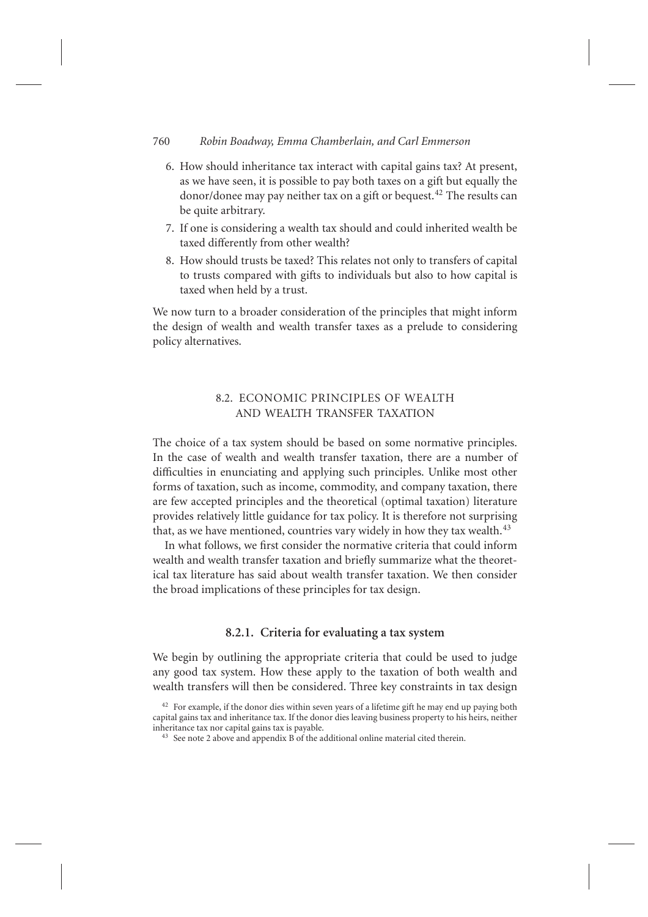- 6. How should inheritance tax interact with capital gains tax? At present, as we have seen, it is possible to pay both taxes on a gift but equally the donor/donee may pay neither tax on a gift or bequest.<sup>42</sup> The results can be quite arbitrary.
- 7. If one is considering a wealth tax should and could inherited wealth be taxed differently from other wealth?
- 8. How should trusts be taxed? This relates not only to transfers of capital to trusts compared with gifts to individuals but also to how capital is taxed when held by a trust.

We now turn to a broader consideration of the principles that might inform the design of wealth and wealth transfer taxes as a prelude to considering policy alternatives.

# 8.2. ECONOMIC PRINCIPLES OF WEALTH AND WEALTH TRANSFER TAXATION

The choice of a tax system should be based on some normative principles. In the case of wealth and wealth transfer taxation, there are a number of difficulties in enunciating and applying such principles. Unlike most other forms of taxation, such as income, commodity, and company taxation, there are few accepted principles and the theoretical (optimal taxation) literature provides relatively little guidance for tax policy. It is therefore not surprising that, as we have mentioned, countries vary widely in how they tax wealth.<sup>43</sup>

In what follows, we first consider the normative criteria that could inform wealth and wealth transfer taxation and briefly summarize what the theoretical tax literature has said about wealth transfer taxation. We then consider the broad implications of these principles for tax design.

# **8.2.1. Criteria for evaluating a tax system**

We begin by outlining the appropriate criteria that could be used to judge any good tax system. How these apply to the taxation of both wealth and wealth transfers will then be considered. Three key constraints in tax design

<sup>&</sup>lt;sup>42</sup> For example, if the donor dies within seven years of a lifetime gift he may end up paying both capital gains tax and inheritance tax. If the donor dies leaving business property to his heirs, neither inheritance tax nor capital gains tax is payable.

<sup>&</sup>lt;sup>43</sup> See note 2 above and appendix B of the additional online material cited therein.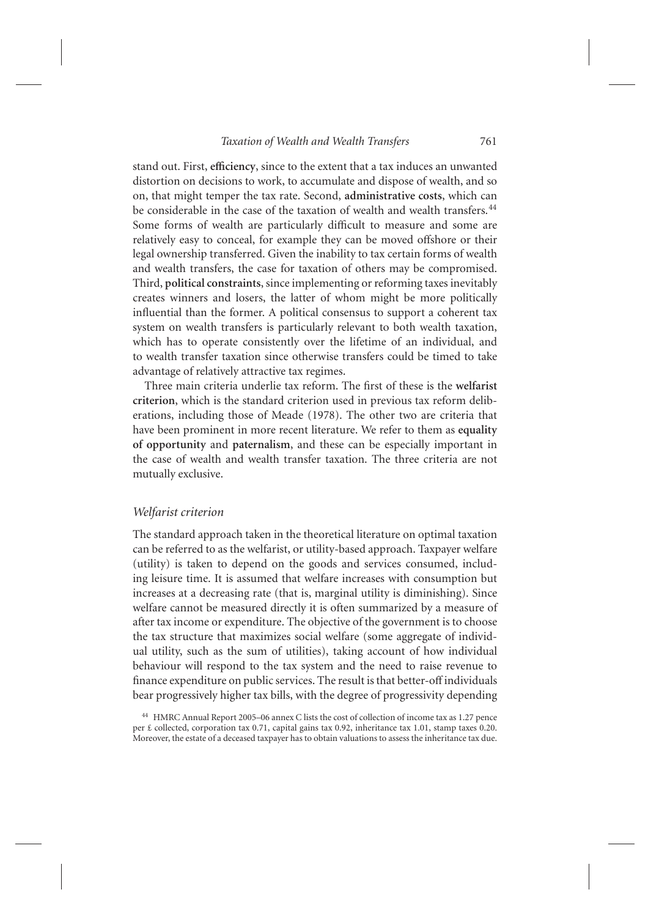stand out. First, **efficiency**, since to the extent that a tax induces an unwanted distortion on decisions to work, to accumulate and dispose of wealth, and so on, that might temper the tax rate. Second, **administrative costs**, which can be considerable in the case of the taxation of wealth and wealth transfers.<sup>44</sup> Some forms of wealth are particularly difficult to measure and some are relatively easy to conceal, for example they can be moved offshore or their legal ownership transferred. Given the inability to tax certain forms of wealth and wealth transfers, the case for taxation of others may be compromised. Third, **political constraints**, since implementing or reforming taxes inevitably creates winners and losers, the latter of whom might be more politically influential than the former. A political consensus to support a coherent tax system on wealth transfers is particularly relevant to both wealth taxation, which has to operate consistently over the lifetime of an individual, and to wealth transfer taxation since otherwise transfers could be timed to take advantage of relatively attractive tax regimes.

Three main criteria underlie tax reform. The first of these is the **welfarist criterion**, which is the standard criterion used in previous tax reform deliberations, including those of Meade (1978). The other two are criteria that have been prominent in more recent literature. We refer to them as **equality of opportunity** and **paternalism**, and these can be especially important in the case of wealth and wealth transfer taxation. The three criteria are not mutually exclusive.

#### *Welfarist criterion*

The standard approach taken in the theoretical literature on optimal taxation can be referred to as the welfarist, or utility-based approach. Taxpayer welfare (utility) is taken to depend on the goods and services consumed, including leisure time. It is assumed that welfare increases with consumption but increases at a decreasing rate (that is, marginal utility is diminishing). Since welfare cannot be measured directly it is often summarized by a measure of after tax income or expenditure. The objective of the government is to choose the tax structure that maximizes social welfare (some aggregate of individual utility, such as the sum of utilities), taking account of how individual behaviour will respond to the tax system and the need to raise revenue to finance expenditure on public services. The result is that better-off individuals bear progressively higher tax bills, with the degree of progressivity depending

<sup>44</sup> HMRC Annual Report 2005–06 annex C lists the cost of collection of income tax as 1.27 pence per £ collected, corporation tax 0.71, capital gains tax 0.92, inheritance tax 1.01, stamp taxes 0.20. Moreover, the estate of a deceased taxpayer has to obtain valuations to assess the inheritance tax due.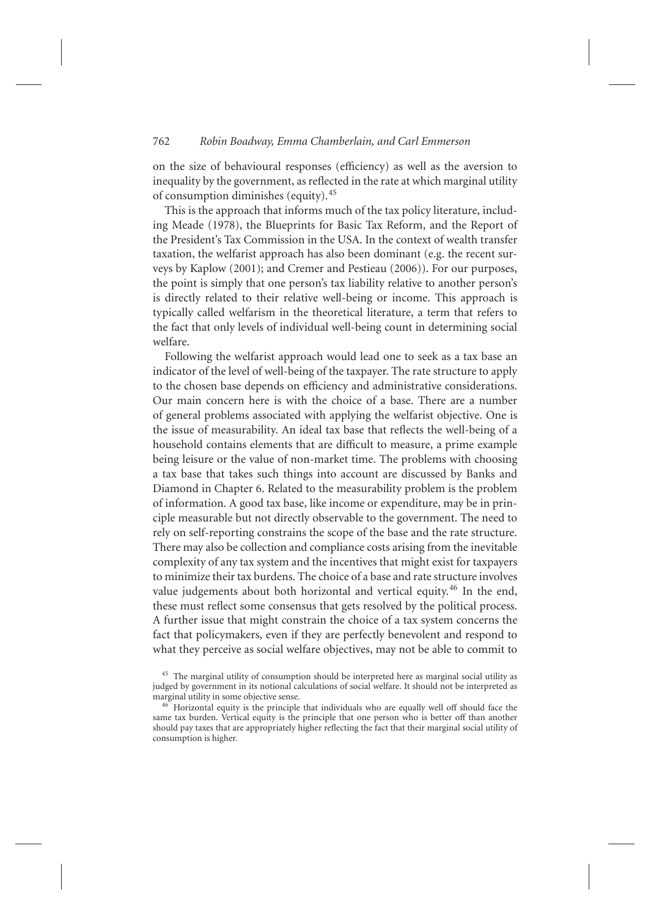on the size of behavioural responses (efficiency) as well as the aversion to inequality by the government, as reflected in the rate at which marginal utility of consumption diminishes (equity).<sup>45</sup>

This is the approach that informs much of the tax policy literature, including Meade (1978), the Blueprints for Basic Tax Reform, and the Report of the President's Tax Commission in the USA. In the context of wealth transfer taxation, the welfarist approach has also been dominant (e.g. the recent surveys by Kaplow (2001); and Cremer and Pestieau (2006)). For our purposes, the point is simply that one person's tax liability relative to another person's is directly related to their relative well-being or income. This approach is typically called welfarism in the theoretical literature, a term that refers to the fact that only levels of individual well-being count in determining social welfare.

Following the welfarist approach would lead one to seek as a tax base an indicator of the level of well-being of the taxpayer. The rate structure to apply to the chosen base depends on efficiency and administrative considerations. Our main concern here is with the choice of a base. There are a number of general problems associated with applying the welfarist objective. One is the issue of measurability. An ideal tax base that reflects the well-being of a household contains elements that are difficult to measure, a prime example being leisure or the value of non-market time. The problems with choosing a tax base that takes such things into account are discussed by Banks and Diamond in Chapter 6. Related to the measurability problem is the problem of information. A good tax base, like income or expenditure, may be in principle measurable but not directly observable to the government. The need to rely on self-reporting constrains the scope of the base and the rate structure. There may also be collection and compliance costs arising from the inevitable complexity of any tax system and the incentives that might exist for taxpayers to minimize their tax burdens. The choice of a base and rate structure involves value judgements about both horizontal and vertical equity.<sup>46</sup> In the end, these must reflect some consensus that gets resolved by the political process. A further issue that might constrain the choice of a tax system concerns the fact that policymakers, even if they are perfectly benevolent and respond to what they perceive as social welfare objectives, may not be able to commit to

<sup>&</sup>lt;sup>45</sup> The marginal utility of consumption should be interpreted here as marginal social utility as judged by government in its notional calculations of social welfare. It should not be interpreted as marginal utility in some objective sense.

<sup>&</sup>lt;sup>46</sup> Horizontal equity is the principle that individuals who are equally well off should face the same tax burden. Vertical equity is the principle that one person who is better off than another should pay taxes that are appropriately higher reflecting the fact that their marginal social utility of consumption is higher.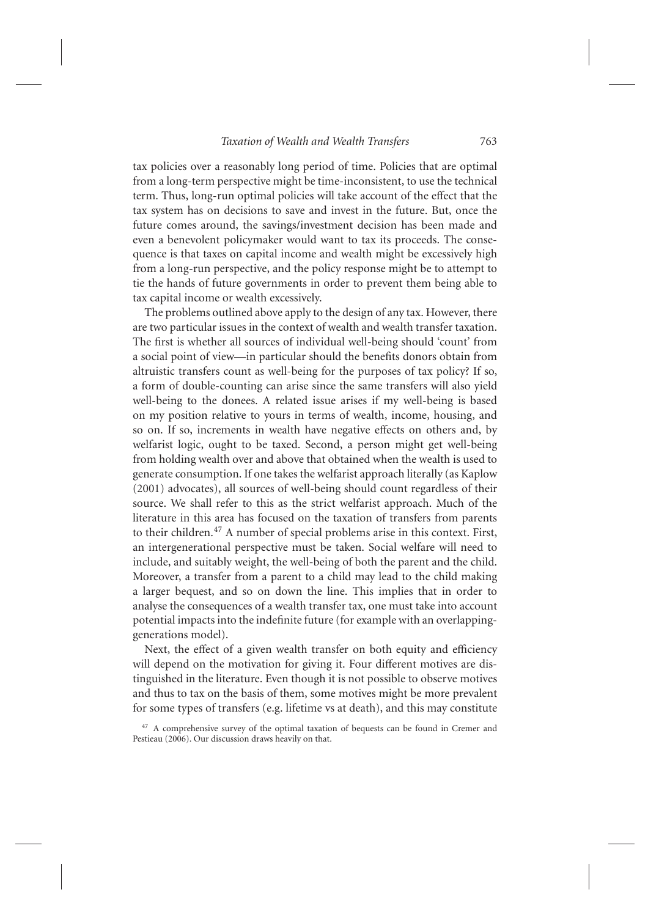tax policies over a reasonably long period of time. Policies that are optimal from a long-term perspective might be time-inconsistent, to use the technical term. Thus, long-run optimal policies will take account of the effect that the tax system has on decisions to save and invest in the future. But, once the future comes around, the savings/investment decision has been made and even a benevolent policymaker would want to tax its proceeds. The consequence is that taxes on capital income and wealth might be excessively high from a long-run perspective, and the policy response might be to attempt to tie the hands of future governments in order to prevent them being able to tax capital income or wealth excessively.

The problems outlined above apply to the design of any tax. However, there are two particular issues in the context of wealth and wealth transfer taxation. The first is whether all sources of individual well-being should 'count' from a social point of view—in particular should the benefits donors obtain from altruistic transfers count as well-being for the purposes of tax policy? If so, a form of double-counting can arise since the same transfers will also yield well-being to the donees. A related issue arises if my well-being is based on my position relative to yours in terms of wealth, income, housing, and so on. If so, increments in wealth have negative effects on others and, by welfarist logic, ought to be taxed. Second, a person might get well-being from holding wealth over and above that obtained when the wealth is used to generate consumption. If one takes the welfarist approach literally (as Kaplow (2001) advocates), all sources of well-being should count regardless of their source. We shall refer to this as the strict welfarist approach. Much of the literature in this area has focused on the taxation of transfers from parents to their children.<sup>47</sup> A number of special problems arise in this context. First, an intergenerational perspective must be taken. Social welfare will need to include, and suitably weight, the well-being of both the parent and the child. Moreover, a transfer from a parent to a child may lead to the child making a larger bequest, and so on down the line. This implies that in order to analyse the consequences of a wealth transfer tax, one must take into account potential impacts into the indefinite future (for example with an overlappinggenerations model).

Next, the effect of a given wealth transfer on both equity and efficiency will depend on the motivation for giving it. Four different motives are distinguished in the literature. Even though it is not possible to observe motives and thus to tax on the basis of them, some motives might be more prevalent for some types of transfers (e.g. lifetime vs at death), and this may constitute

<sup>&</sup>lt;sup>47</sup> A comprehensive survey of the optimal taxation of bequests can be found in Cremer and Pestieau (2006). Our discussion draws heavily on that.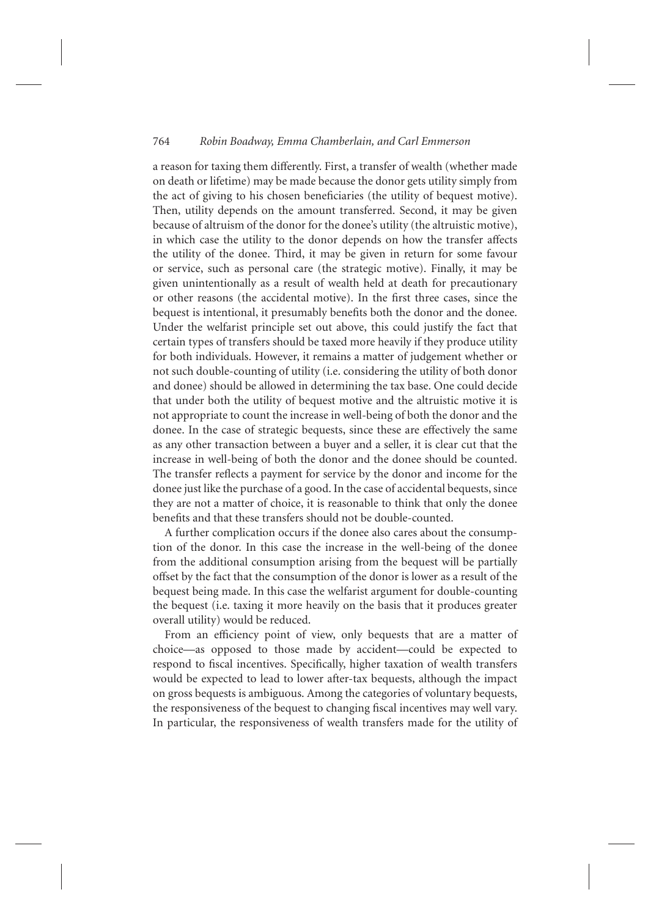a reason for taxing them differently. First, a transfer of wealth (whether made on death or lifetime) may be made because the donor gets utility simply from the act of giving to his chosen beneficiaries (the utility of bequest motive). Then, utility depends on the amount transferred. Second, it may be given because of altruism of the donor for the donee's utility (the altruistic motive), in which case the utility to the donor depends on how the transfer affects the utility of the donee. Third, it may be given in return for some favour or service, such as personal care (the strategic motive). Finally, it may be given unintentionally as a result of wealth held at death for precautionary or other reasons (the accidental motive). In the first three cases, since the bequest is intentional, it presumably benefits both the donor and the donee. Under the welfarist principle set out above, this could justify the fact that certain types of transfers should be taxed more heavily if they produce utility for both individuals. However, it remains a matter of judgement whether or not such double-counting of utility (i.e. considering the utility of both donor and donee) should be allowed in determining the tax base. One could decide that under both the utility of bequest motive and the altruistic motive it is not appropriate to count the increase in well-being of both the donor and the donee. In the case of strategic bequests, since these are effectively the same as any other transaction between a buyer and a seller, it is clear cut that the increase in well-being of both the donor and the donee should be counted. The transfer reflects a payment for service by the donor and income for the donee just like the purchase of a good. In the case of accidental bequests, since they are not a matter of choice, it is reasonable to think that only the donee benefits and that these transfers should not be double-counted.

A further complication occurs if the donee also cares about the consumption of the donor. In this case the increase in the well-being of the donee from the additional consumption arising from the bequest will be partially offset by the fact that the consumption of the donor is lower as a result of the bequest being made. In this case the welfarist argument for double-counting the bequest (i.e. taxing it more heavily on the basis that it produces greater overall utility) would be reduced.

From an efficiency point of view, only bequests that are a matter of choice—as opposed to those made by accident—could be expected to respond to fiscal incentives. Specifically, higher taxation of wealth transfers would be expected to lead to lower after-tax bequests, although the impact on gross bequests is ambiguous. Among the categories of voluntary bequests, the responsiveness of the bequest to changing fiscal incentives may well vary. In particular, the responsiveness of wealth transfers made for the utility of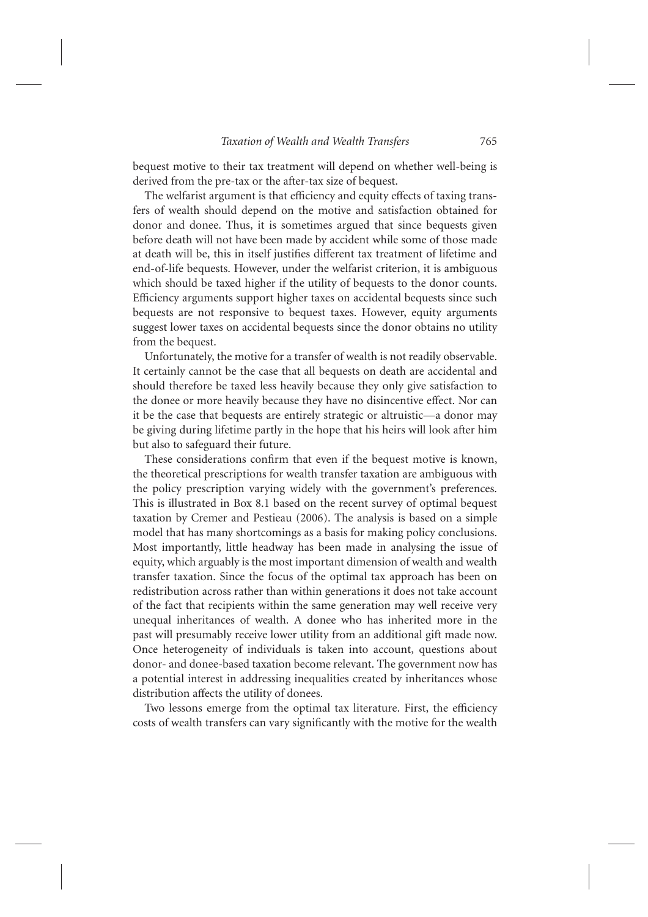bequest motive to their tax treatment will depend on whether well-being is derived from the pre-tax or the after-tax size of bequest.

The welfarist argument is that efficiency and equity effects of taxing transfers of wealth should depend on the motive and satisfaction obtained for donor and donee. Thus, it is sometimes argued that since bequests given before death will not have been made by accident while some of those made at death will be, this in itself justifies different tax treatment of lifetime and end-of-life bequests. However, under the welfarist criterion, it is ambiguous which should be taxed higher if the utility of bequests to the donor counts. Efficiency arguments support higher taxes on accidental bequests since such bequests are not responsive to bequest taxes. However, equity arguments suggest lower taxes on accidental bequests since the donor obtains no utility from the bequest.

Unfortunately, the motive for a transfer of wealth is not readily observable. It certainly cannot be the case that all bequests on death are accidental and should therefore be taxed less heavily because they only give satisfaction to the donee or more heavily because they have no disincentive effect. Nor can it be the case that bequests are entirely strategic or altruistic—a donor may be giving during lifetime partly in the hope that his heirs will look after him but also to safeguard their future.

These considerations confirm that even if the bequest motive is known, the theoretical prescriptions for wealth transfer taxation are ambiguous with the policy prescription varying widely with the government's preferences. This is illustrated in Box 8.1 based on the recent survey of optimal bequest taxation by Cremer and Pestieau (2006). The analysis is based on a simple model that has many shortcomings as a basis for making policy conclusions. Most importantly, little headway has been made in analysing the issue of equity, which arguably is the most important dimension of wealth and wealth transfer taxation. Since the focus of the optimal tax approach has been on redistribution across rather than within generations it does not take account of the fact that recipients within the same generation may well receive very unequal inheritances of wealth. A donee who has inherited more in the past will presumably receive lower utility from an additional gift made now. Once heterogeneity of individuals is taken into account, questions about donor- and donee-based taxation become relevant. The government now has a potential interest in addressing inequalities created by inheritances whose distribution affects the utility of donees.

Two lessons emerge from the optimal tax literature. First, the efficiency costs of wealth transfers can vary significantly with the motive for the wealth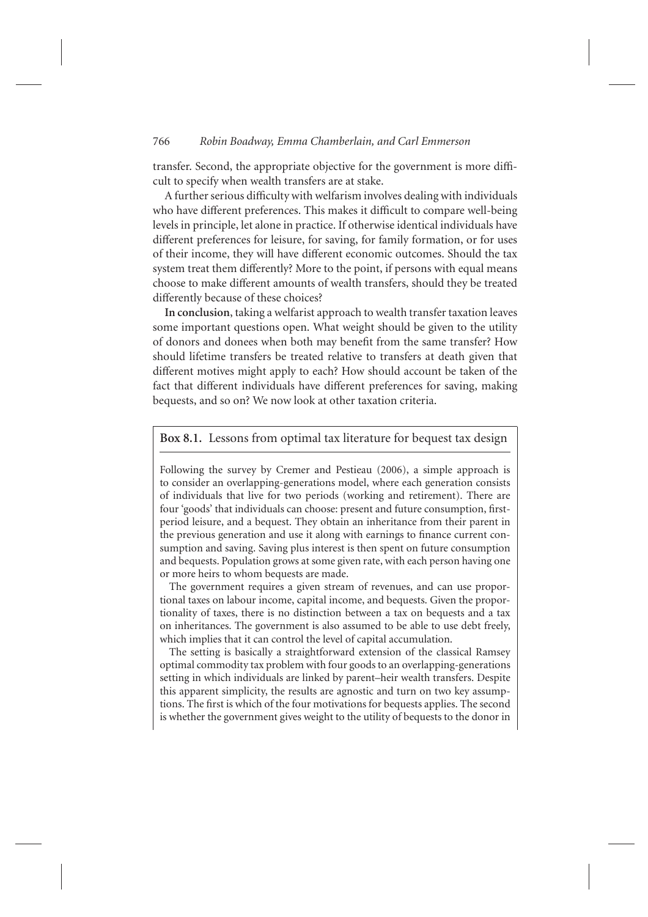transfer. Second, the appropriate objective for the government is more difficult to specify when wealth transfers are at stake.

A further serious difficulty with welfarism involves dealing with individuals who have different preferences. This makes it difficult to compare well-being levels in principle, let alone in practice. If otherwise identical individuals have different preferences for leisure, for saving, for family formation, or for uses of their income, they will have different economic outcomes. Should the tax system treat them differently? More to the point, if persons with equal means choose to make different amounts of wealth transfers, should they be treated differently because of these choices?

**In conclusion**, taking a welfarist approach to wealth transfer taxation leaves some important questions open. What weight should be given to the utility of donors and donees when both may benefit from the same transfer? How should lifetime transfers be treated relative to transfers at death given that different motives might apply to each? How should account be taken of the fact that different individuals have different preferences for saving, making bequests, and so on? We now look at other taxation criteria.

#### **Box 8.1.** Lessons from optimal tax literature for bequest tax design

Following the survey by Cremer and Pestieau (2006), a simple approach is to consider an overlapping-generations model, where each generation consists of individuals that live for two periods (working and retirement). There are four 'goods' that individuals can choose: present and future consumption, firstperiod leisure, and a bequest. They obtain an inheritance from their parent in the previous generation and use it along with earnings to finance current consumption and saving. Saving plus interest is then spent on future consumption and bequests. Population grows at some given rate, with each person having one or more heirs to whom bequests are made.

The government requires a given stream of revenues, and can use proportional taxes on labour income, capital income, and bequests. Given the proportionality of taxes, there is no distinction between a tax on bequests and a tax on inheritances. The government is also assumed to be able to use debt freely, which implies that it can control the level of capital accumulation.

The setting is basically a straightforward extension of the classical Ramsey optimal commodity tax problem with four goods to an overlapping-generations setting in which individuals are linked by parent–heir wealth transfers. Despite this apparent simplicity, the results are agnostic and turn on two key assumptions. The first is which of the four motivations for bequests applies. The second is whether the government gives weight to the utility of bequests to the donor in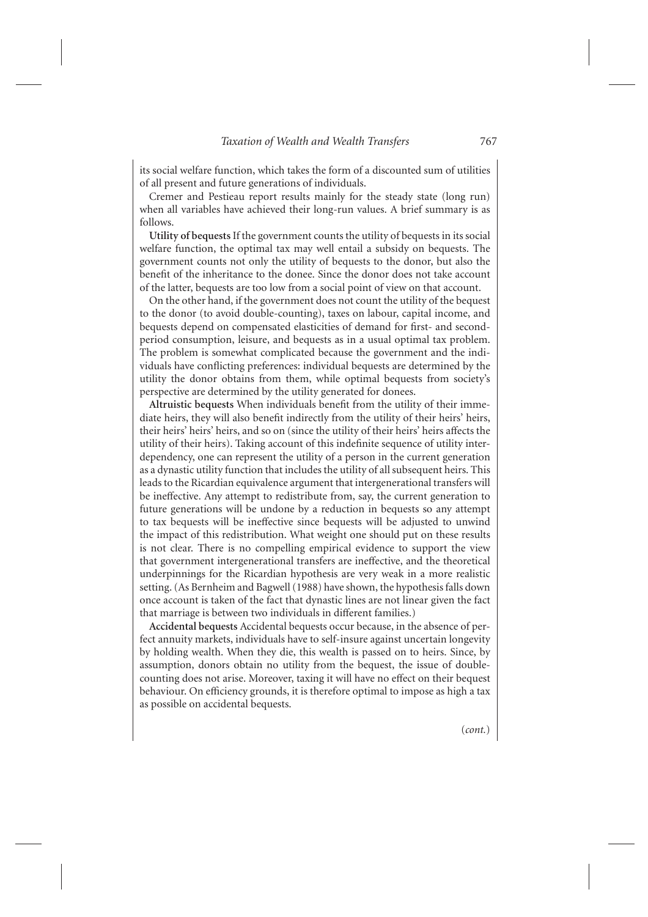its social welfare function, which takes the form of a discounted sum of utilities of all present and future generations of individuals.

Cremer and Pestieau report results mainly for the steady state (long run) when all variables have achieved their long-run values. A brief summary is as follows.

**Utility of bequests** If the government counts the utility of bequests in its social welfare function, the optimal tax may well entail a subsidy on bequests. The government counts not only the utility of bequests to the donor, but also the benefit of the inheritance to the donee. Since the donor does not take account of the latter, bequests are too low from a social point of view on that account.

On the other hand, if the government does not count the utility of the bequest to the donor (to avoid double-counting), taxes on labour, capital income, and bequests depend on compensated elasticities of demand for first- and secondperiod consumption, leisure, and bequests as in a usual optimal tax problem. The problem is somewhat complicated because the government and the individuals have conflicting preferences: individual bequests are determined by the utility the donor obtains from them, while optimal bequests from society's perspective are determined by the utility generated for donees.

**Altruistic bequests** When individuals benefit from the utility of their immediate heirs, they will also benefit indirectly from the utility of their heirs' heirs, their heirs' heirs' heirs, and so on (since the utility of their heirs' heirs affects the utility of their heirs). Taking account of this indefinite sequence of utility interdependency, one can represent the utility of a person in the current generation as a dynastic utility function that includes the utility of all subsequent heirs. This leads to the Ricardian equivalence argument that intergenerational transfers will be ineffective. Any attempt to redistribute from, say, the current generation to future generations will be undone by a reduction in bequests so any attempt to tax bequests will be ineffective since bequests will be adjusted to unwind the impact of this redistribution. What weight one should put on these results is not clear. There is no compelling empirical evidence to support the view that government intergenerational transfers are ineffective, and the theoretical underpinnings for the Ricardian hypothesis are very weak in a more realistic setting. (As Bernheim and Bagwell (1988) have shown, the hypothesis falls down once account is taken of the fact that dynastic lines are not linear given the fact that marriage is between two individuals in different families.)

**Accidental bequests** Accidental bequests occur because, in the absence of perfect annuity markets, individuals have to self-insure against uncertain longevity by holding wealth. When they die, this wealth is passed on to heirs. Since, by assumption, donors obtain no utility from the bequest, the issue of doublecounting does not arise. Moreover, taxing it will have no effect on their bequest behaviour. On efficiency grounds, it is therefore optimal to impose as high a tax as possible on accidental bequests.

(*cont.*)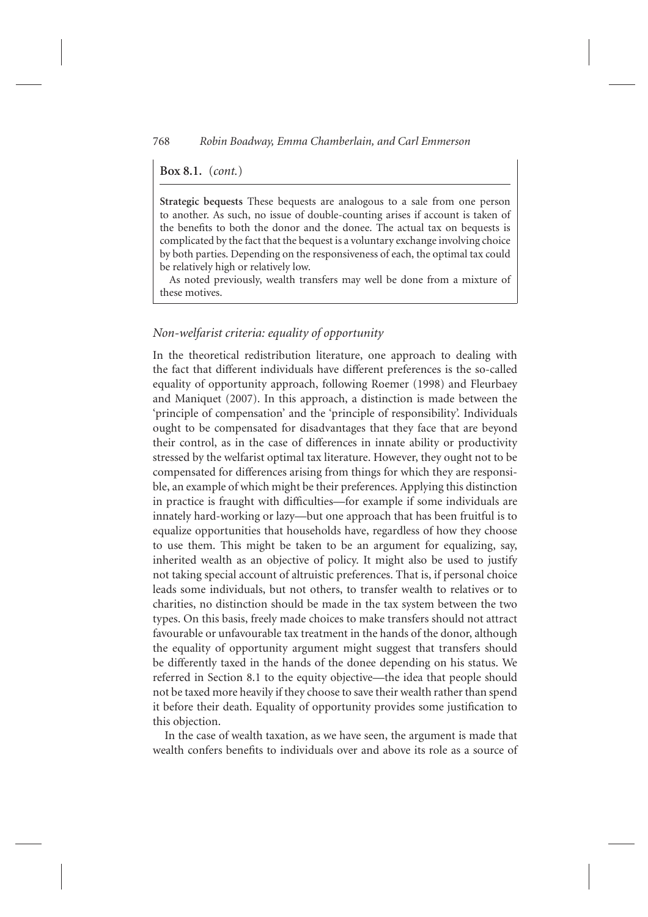#### **Box 8.1.** (*cont.*)

**Strategic bequests** These bequests are analogous to a sale from one person to another. As such, no issue of double-counting arises if account is taken of the benefits to both the donor and the donee. The actual tax on bequests is complicated by the fact that the bequest is a voluntary exchange involving choice by both parties. Depending on the responsiveness of each, the optimal tax could be relatively high or relatively low.

As noted previously, wealth transfers may well be done from a mixture of these motives.

#### *Non-welfarist criteria: equality of opportunity*

In the theoretical redistribution literature, one approach to dealing with the fact that different individuals have different preferences is the so-called equality of opportunity approach, following Roemer (1998) and Fleurbaey and Maniquet (2007). In this approach, a distinction is made between the 'principle of compensation' and the 'principle of responsibility'. Individuals ought to be compensated for disadvantages that they face that are beyond their control, as in the case of differences in innate ability or productivity stressed by the welfarist optimal tax literature. However, they ought not to be compensated for differences arising from things for which they are responsible, an example of which might be their preferences. Applying this distinction in practice is fraught with difficulties—for example if some individuals are innately hard-working or lazy—but one approach that has been fruitful is to equalize opportunities that households have, regardless of how they choose to use them. This might be taken to be an argument for equalizing, say, inherited wealth as an objective of policy. It might also be used to justify not taking special account of altruistic preferences. That is, if personal choice leads some individuals, but not others, to transfer wealth to relatives or to charities, no distinction should be made in the tax system between the two types. On this basis, freely made choices to make transfers should not attract favourable or unfavourable tax treatment in the hands of the donor, although the equality of opportunity argument might suggest that transfers should be differently taxed in the hands of the donee depending on his status. We referred in Section 8.1 to the equity objective—the idea that people should not be taxed more heavily if they choose to save their wealth rather than spend it before their death. Equality of opportunity provides some justification to this objection.

In the case of wealth taxation, as we have seen, the argument is made that wealth confers benefits to individuals over and above its role as a source of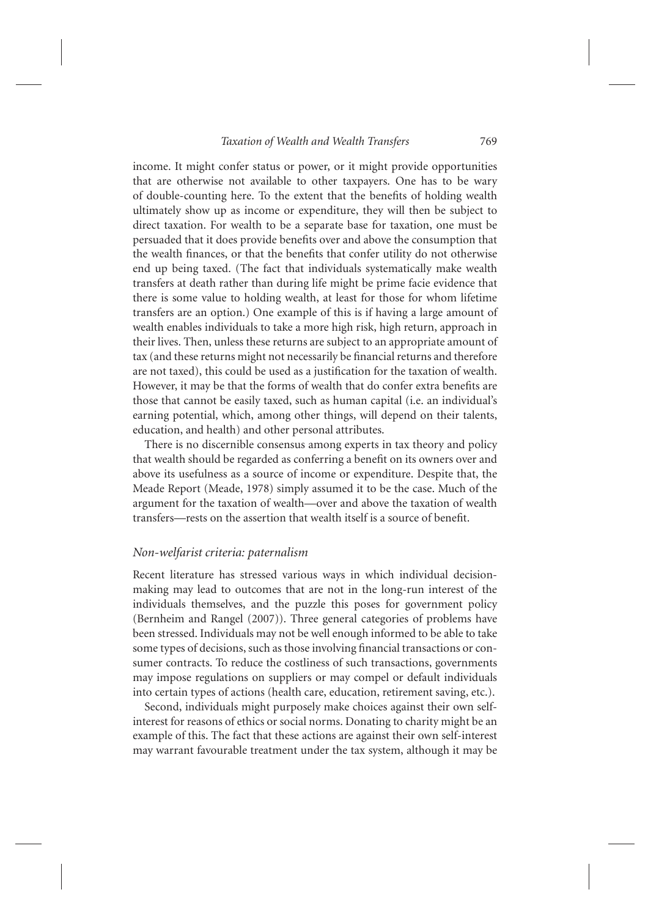income. It might confer status or power, or it might provide opportunities that are otherwise not available to other taxpayers. One has to be wary of double-counting here. To the extent that the benefits of holding wealth ultimately show up as income or expenditure, they will then be subject to direct taxation. For wealth to be a separate base for taxation, one must be persuaded that it does provide benefits over and above the consumption that the wealth finances, or that the benefits that confer utility do not otherwise end up being taxed. (The fact that individuals systematically make wealth transfers at death rather than during life might be prime facie evidence that there is some value to holding wealth, at least for those for whom lifetime transfers are an option.) One example of this is if having a large amount of wealth enables individuals to take a more high risk, high return, approach in their lives. Then, unless these returns are subject to an appropriate amount of tax (and these returns might not necessarily be financial returns and therefore are not taxed), this could be used as a justification for the taxation of wealth. However, it may be that the forms of wealth that do confer extra benefits are those that cannot be easily taxed, such as human capital (i.e. an individual's earning potential, which, among other things, will depend on their talents, education, and health) and other personal attributes.

There is no discernible consensus among experts in tax theory and policy that wealth should be regarded as conferring a benefit on its owners over and above its usefulness as a source of income or expenditure. Despite that, the Meade Report (Meade, 1978) simply assumed it to be the case. Much of the argument for the taxation of wealth—over and above the taxation of wealth transfers—rests on the assertion that wealth itself is a source of benefit.

#### *Non-welfarist criteria: paternalism*

Recent literature has stressed various ways in which individual decisionmaking may lead to outcomes that are not in the long-run interest of the individuals themselves, and the puzzle this poses for government policy (Bernheim and Rangel (2007)). Three general categories of problems have been stressed. Individuals may not be well enough informed to be able to take some types of decisions, such as those involving financial transactions or consumer contracts. To reduce the costliness of such transactions, governments may impose regulations on suppliers or may compel or default individuals into certain types of actions (health care, education, retirement saving, etc.).

Second, individuals might purposely make choices against their own selfinterest for reasons of ethics or social norms. Donating to charity might be an example of this. The fact that these actions are against their own self-interest may warrant favourable treatment under the tax system, although it may be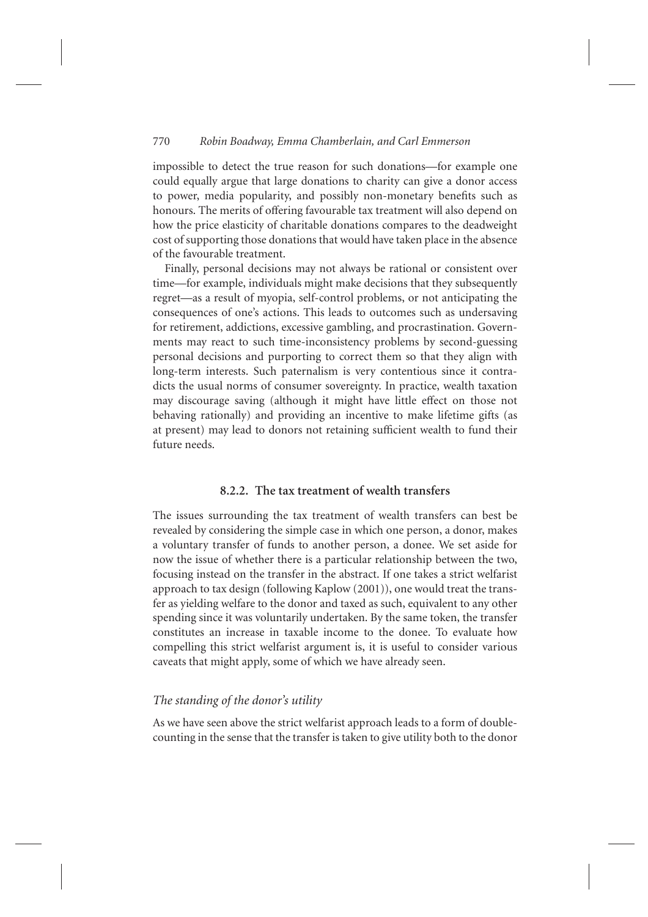impossible to detect the true reason for such donations—for example one could equally argue that large donations to charity can give a donor access to power, media popularity, and possibly non-monetary benefits such as honours. The merits of offering favourable tax treatment will also depend on how the price elasticity of charitable donations compares to the deadweight cost of supporting those donations that would have taken place in the absence of the favourable treatment.

Finally, personal decisions may not always be rational or consistent over time—for example, individuals might make decisions that they subsequently regret—as a result of myopia, self-control problems, or not anticipating the consequences of one's actions. This leads to outcomes such as undersaving for retirement, addictions, excessive gambling, and procrastination. Governments may react to such time-inconsistency problems by second-guessing personal decisions and purporting to correct them so that they align with long-term interests. Such paternalism is very contentious since it contradicts the usual norms of consumer sovereignty. In practice, wealth taxation may discourage saving (although it might have little effect on those not behaving rationally) and providing an incentive to make lifetime gifts (as at present) may lead to donors not retaining sufficient wealth to fund their future needs.

# **8.2.2. The tax treatment of wealth transfers**

The issues surrounding the tax treatment of wealth transfers can best be revealed by considering the simple case in which one person, a donor, makes a voluntary transfer of funds to another person, a donee. We set aside for now the issue of whether there is a particular relationship between the two, focusing instead on the transfer in the abstract. If one takes a strict welfarist approach to tax design (following Kaplow (2001)), one would treat the transfer as yielding welfare to the donor and taxed as such, equivalent to any other spending since it was voluntarily undertaken. By the same token, the transfer constitutes an increase in taxable income to the donee. To evaluate how compelling this strict welfarist argument is, it is useful to consider various caveats that might apply, some of which we have already seen.

#### *The standing of the donor's utility*

As we have seen above the strict welfarist approach leads to a form of doublecounting in the sense that the transfer is taken to give utility both to the donor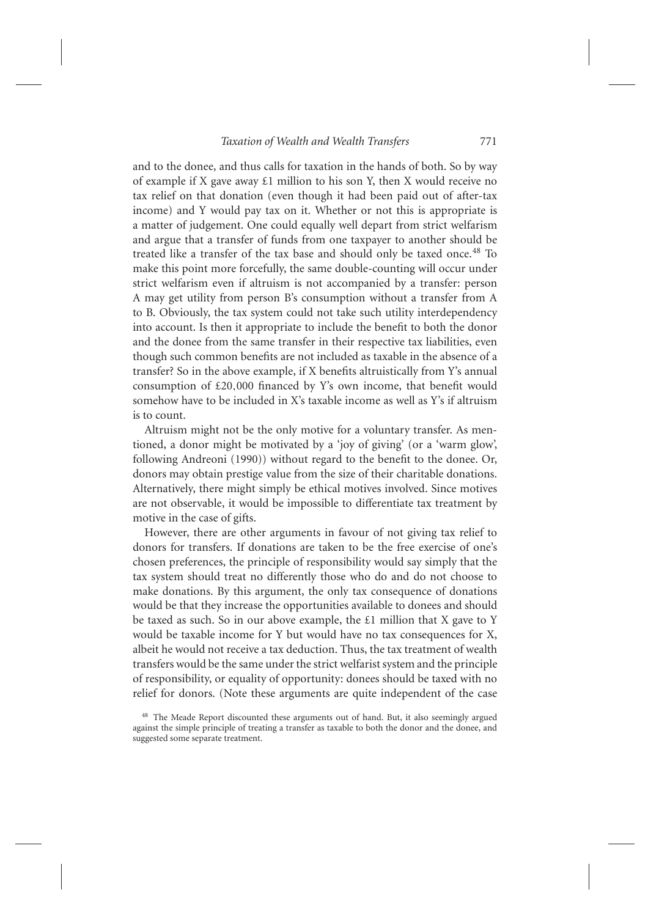and to the donee, and thus calls for taxation in the hands of both. So by way of example if X gave away £1 million to his son Y, then X would receive no tax relief on that donation (even though it had been paid out of after-tax income) and Y would pay tax on it. Whether or not this is appropriate is a matter of judgement. One could equally well depart from strict welfarism and argue that a transfer of funds from one taxpayer to another should be treated like a transfer of the tax base and should only be taxed once.<sup>48</sup> To make this point more forcefully, the same double-counting will occur under strict welfarism even if altruism is not accompanied by a transfer: person A may get utility from person B's consumption without a transfer from A to B. Obviously, the tax system could not take such utility interdependency into account. Is then it appropriate to include the benefit to both the donor and the donee from the same transfer in their respective tax liabilities, even though such common benefits are not included as taxable in the absence of a transfer? So in the above example, if X benefits altruistically from Y's annual consumption of £20,000 financed by Y's own income, that benefit would somehow have to be included in X's taxable income as well as Y's if altruism is to count.

Altruism might not be the only motive for a voluntary transfer. As mentioned, a donor might be motivated by a 'joy of giving' (or a 'warm glow', following Andreoni (1990)) without regard to the benefit to the donee. Or, donors may obtain prestige value from the size of their charitable donations. Alternatively, there might simply be ethical motives involved. Since motives are not observable, it would be impossible to differentiate tax treatment by motive in the case of gifts.

However, there are other arguments in favour of not giving tax relief to donors for transfers. If donations are taken to be the free exercise of one's chosen preferences, the principle of responsibility would say simply that the tax system should treat no differently those who do and do not choose to make donations. By this argument, the only tax consequence of donations would be that they increase the opportunities available to donees and should be taxed as such. So in our above example, the £1 million that X gave to Y would be taxable income for Y but would have no tax consequences for X, albeit he would not receive a tax deduction. Thus, the tax treatment of wealth transfers would be the same under the strict welfarist system and the principle of responsibility, or equality of opportunity: donees should be taxed with no relief for donors. (Note these arguments are quite independent of the case

<sup>48</sup> The Meade Report discounted these arguments out of hand. But, it also seemingly argued against the simple principle of treating a transfer as taxable to both the donor and the donee, and suggested some separate treatment.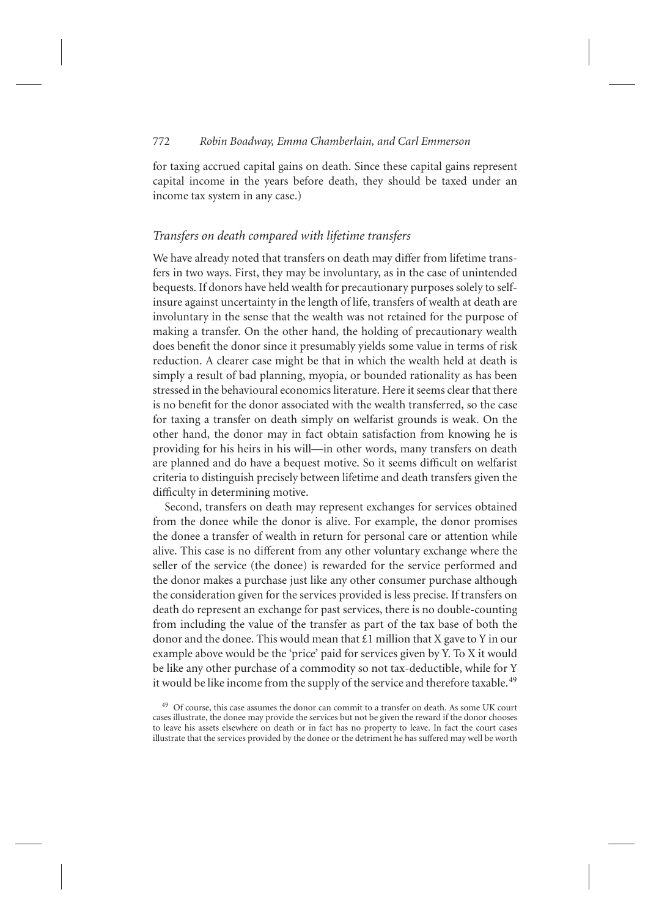for taxing accrued capital gains on death. Since these capital gains represent capital income in the years before death, they should be taxed under an income tax system in any case.)

#### *Transfers on death compared with lifetime transfers*

We have already noted that transfers on death may differ from lifetime transfers in two ways. First, they may be involuntary, as in the case of unintended bequests. If donors have held wealth for precautionary purposes solely to selfinsure against uncertainty in the length of life, transfers of wealth at death are involuntary in the sense that the wealth was not retained for the purpose of making a transfer. On the other hand, the holding of precautionary wealth does benefit the donor since it presumably yields some value in terms of risk reduction. A clearer case might be that in which the wealth held at death is simply a result of bad planning, myopia, or bounded rationality as has been stressed in the behavioural economics literature. Here it seems clear that there is no benefit for the donor associated with the wealth transferred, so the case for taxing a transfer on death simply on welfarist grounds is weak. On the other hand, the donor may in fact obtain satisfaction from knowing he is providing for his heirs in his will—in other words, many transfers on death are planned and do have a bequest motive. So it seems difficult on welfarist criteria to distinguish precisely between lifetime and death transfers given the difficulty in determining motive.

Second, transfers on death may represent exchanges for services obtained from the donee while the donor is alive. For example, the donor promises the donee a transfer of wealth in return for personal care or attention while alive. This case is no different from any other voluntary exchange where the seller of the service (the donee) is rewarded for the service performed and the donor makes a purchase just like any other consumer purchase although the consideration given for the services provided is less precise. If transfers on death do represent an exchange for past services, there is no double-counting from including the value of the transfer as part of the tax base of both the donor and the donee. This would mean that  $£1$  million that X gave to Y in our example above would be the 'price' paid for services given by Y. To X it would be like any other purchase of a commodity so not tax-deductible, while for Y it would be like income from the supply of the service and therefore taxable.<sup>49</sup>

<sup>&</sup>lt;sup>49</sup> Of course, this case assumes the donor can commit to a transfer on death. As some UK court cases illustrate, the donee may provide the services but not be given the reward if the donor chooses to leave his assets elsewhere on death or in fact has no property to leave. In fact the court cases illustrate that the services provided by the donee or the detriment he has suffered may well be worth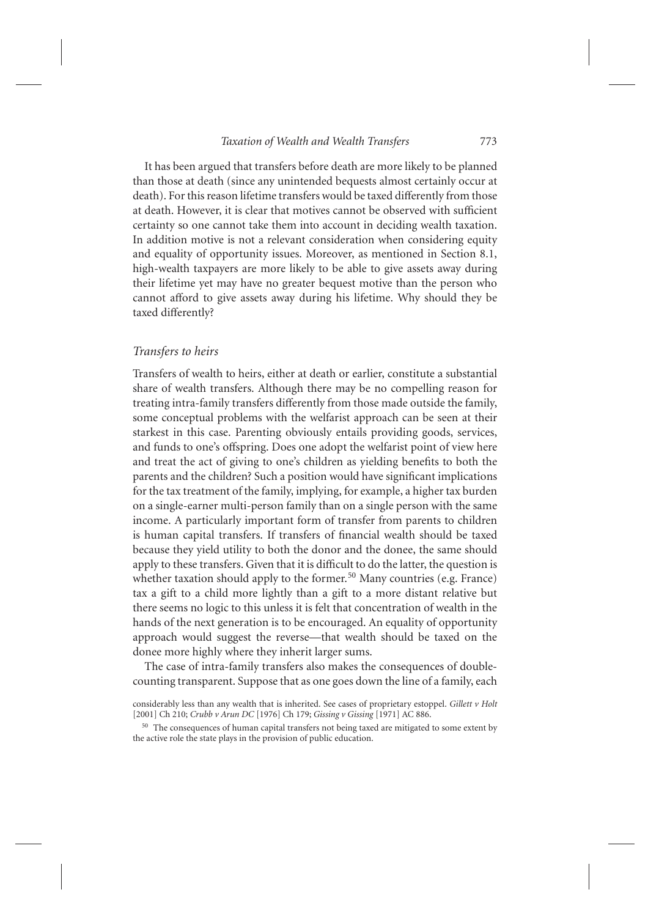It has been argued that transfers before death are more likely to be planned than those at death (since any unintended bequests almost certainly occur at death). For this reason lifetime transfers would be taxed differently from those at death. However, it is clear that motives cannot be observed with sufficient certainty so one cannot take them into account in deciding wealth taxation. In addition motive is not a relevant consideration when considering equity and equality of opportunity issues. Moreover, as mentioned in Section 8.1, high-wealth taxpayers are more likely to be able to give assets away during their lifetime yet may have no greater bequest motive than the person who cannot afford to give assets away during his lifetime. Why should they be taxed differently?

# *Transfers to heirs*

Transfers of wealth to heirs, either at death or earlier, constitute a substantial share of wealth transfers. Although there may be no compelling reason for treating intra-family transfers differently from those made outside the family, some conceptual problems with the welfarist approach can be seen at their starkest in this case. Parenting obviously entails providing goods, services, and funds to one's offspring. Does one adopt the welfarist point of view here and treat the act of giving to one's children as yielding benefits to both the parents and the children? Such a position would have significant implications for the tax treatment of the family, implying, for example, a higher tax burden on a single-earner multi-person family than on a single person with the same income. A particularly important form of transfer from parents to children is human capital transfers. If transfers of financial wealth should be taxed because they yield utility to both the donor and the donee, the same should apply to these transfers. Given that it is difficult to do the latter, the question is whether taxation should apply to the former.<sup>50</sup> Many countries (e.g. France) tax a gift to a child more lightly than a gift to a more distant relative but there seems no logic to this unless it is felt that concentration of wealth in the hands of the next generation is to be encouraged. An equality of opportunity approach would suggest the reverse—that wealth should be taxed on the donee more highly where they inherit larger sums.

The case of intra-family transfers also makes the consequences of doublecounting transparent. Suppose that as one goes down the line of a family, each

considerably less than any wealth that is inherited. See cases of proprietary estoppel. *Gillett v Holt* [2001] Ch 210; *Crubb v Arun DC* [1976] Ch 179; *Gissing v Gissing* [1971] AC 886.

 $50$  The consequences of human capital transfers not being taxed are mitigated to some extent by the active role the state plays in the provision of public education.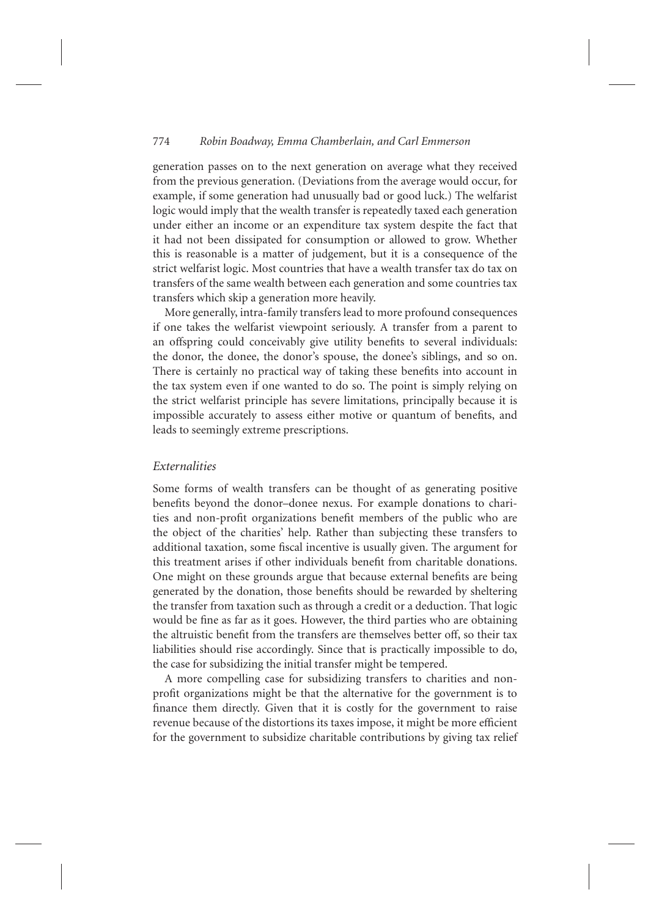generation passes on to the next generation on average what they received from the previous generation. (Deviations from the average would occur, for example, if some generation had unusually bad or good luck.) The welfarist logic would imply that the wealth transfer is repeatedly taxed each generation under either an income or an expenditure tax system despite the fact that it had not been dissipated for consumption or allowed to grow. Whether this is reasonable is a matter of judgement, but it is a consequence of the strict welfarist logic. Most countries that have a wealth transfer tax do tax on transfers of the same wealth between each generation and some countries tax transfers which skip a generation more heavily.

More generally, intra-family transfers lead to more profound consequences if one takes the welfarist viewpoint seriously. A transfer from a parent to an offspring could conceivably give utility benefits to several individuals: the donor, the donee, the donor's spouse, the donee's siblings, and so on. There is certainly no practical way of taking these benefits into account in the tax system even if one wanted to do so. The point is simply relying on the strict welfarist principle has severe limitations, principally because it is impossible accurately to assess either motive or quantum of benefits, and leads to seemingly extreme prescriptions.

### *Externalities*

Some forms of wealth transfers can be thought of as generating positive benefits beyond the donor–donee nexus. For example donations to charities and non-profit organizations benefit members of the public who are the object of the charities' help. Rather than subjecting these transfers to additional taxation, some fiscal incentive is usually given. The argument for this treatment arises if other individuals benefit from charitable donations. One might on these grounds argue that because external benefits are being generated by the donation, those benefits should be rewarded by sheltering the transfer from taxation such as through a credit or a deduction. That logic would be fine as far as it goes. However, the third parties who are obtaining the altruistic benefit from the transfers are themselves better off, so their tax liabilities should rise accordingly. Since that is practically impossible to do, the case for subsidizing the initial transfer might be tempered.

A more compelling case for subsidizing transfers to charities and nonprofit organizations might be that the alternative for the government is to finance them directly. Given that it is costly for the government to raise revenue because of the distortions its taxes impose, it might be more efficient for the government to subsidize charitable contributions by giving tax relief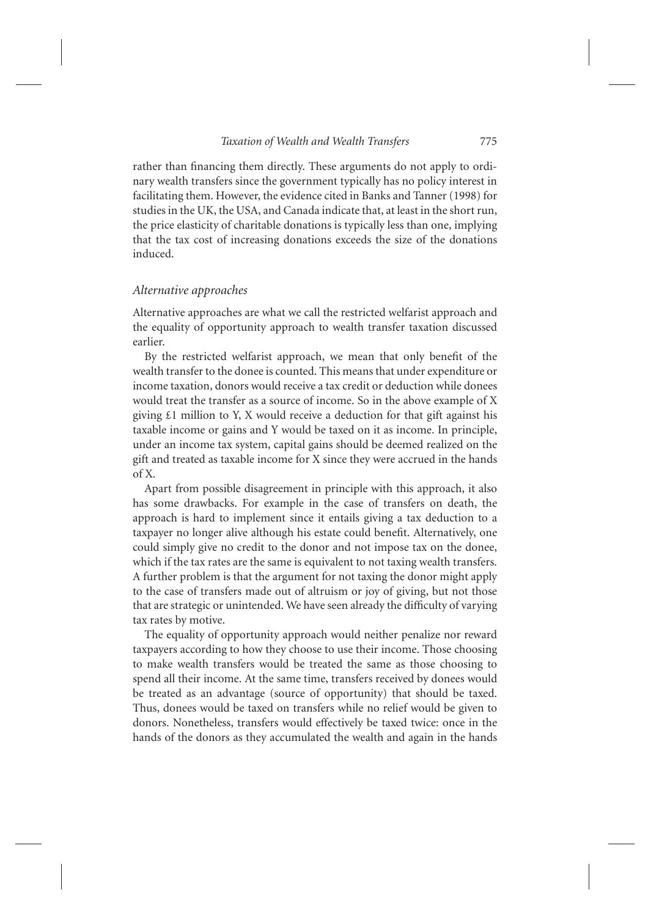rather than financing them directly. These arguments do not apply to ordinary wealth transfers since the government typically has no policy interest in facilitating them. However, the evidence cited in Banks and Tanner (1998) for studies in the UK, the USA, and Canada indicate that, at least in the short run, the price elasticity of charitable donations is typically less than one, implying that the tax cost of increasing donations exceeds the size of the donations induced.

### *Alternative approaches*

Alternative approaches are what we call the restricted welfarist approach and the equality of opportunity approach to wealth transfer taxation discussed earlier.

By the restricted welfarist approach, we mean that only benefit of the wealth transfer to the donee is counted. This means that under expenditure or income taxation, donors would receive a tax credit or deduction while donees would treat the transfer as a source of income. So in the above example of X giving £1 million to Y, X would receive a deduction for that gift against his taxable income or gains and Y would be taxed on it as income. In principle, under an income tax system, capital gains should be deemed realized on the gift and treated as taxable income for X since they were accrued in the hands of X.

Apart from possible disagreement in principle with this approach, it also has some drawbacks. For example in the case of transfers on death, the approach is hard to implement since it entails giving a tax deduction to a taxpayer no longer alive although his estate could benefit. Alternatively, one could simply give no credit to the donor and not impose tax on the donee, which if the tax rates are the same is equivalent to not taxing wealth transfers. A further problem is that the argument for not taxing the donor might apply to the case of transfers made out of altruism or joy of giving, but not those that are strategic or unintended. We have seen already the difficulty of varying tax rates by motive.

The equality of opportunity approach would neither penalize nor reward taxpayers according to how they choose to use their income. Those choosing to make wealth transfers would be treated the same as those choosing to spend all their income. At the same time, transfers received by donees would be treated as an advantage (source of opportunity) that should be taxed. Thus, donees would be taxed on transfers while no relief would be given to donors. Nonetheless, transfers would effectively be taxed twice: once in the hands of the donors as they accumulated the wealth and again in the hands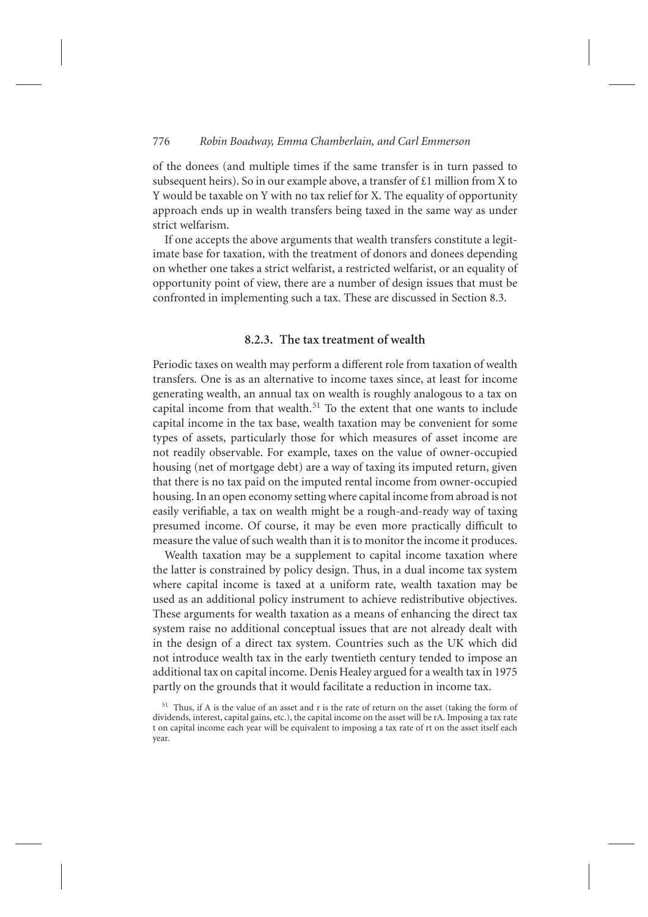of the donees (and multiple times if the same transfer is in turn passed to subsequent heirs). So in our example above, a transfer of £1 million from X to Y would be taxable on Y with no tax relief for X. The equality of opportunity approach ends up in wealth transfers being taxed in the same way as under strict welfarism.

If one accepts the above arguments that wealth transfers constitute a legitimate base for taxation, with the treatment of donors and donees depending on whether one takes a strict welfarist, a restricted welfarist, or an equality of opportunity point of view, there are a number of design issues that must be confronted in implementing such a tax. These are discussed in Section 8.3.

# **8.2.3. The tax treatment of wealth**

Periodic taxes on wealth may perform a different role from taxation of wealth transfers. One is as an alternative to income taxes since, at least for income generating wealth, an annual tax on wealth is roughly analogous to a tax on capital income from that wealth.<sup>51</sup> To the extent that one wants to include capital income in the tax base, wealth taxation may be convenient for some types of assets, particularly those for which measures of asset income are not readily observable. For example, taxes on the value of owner-occupied housing (net of mortgage debt) are a way of taxing its imputed return, given that there is no tax paid on the imputed rental income from owner-occupied housing. In an open economy setting where capital income from abroad is not easily verifiable, a tax on wealth might be a rough-and-ready way of taxing presumed income. Of course, it may be even more practically difficult to measure the value of such wealth than it is to monitor the income it produces.

Wealth taxation may be a supplement to capital income taxation where the latter is constrained by policy design. Thus, in a dual income tax system where capital income is taxed at a uniform rate, wealth taxation may be used as an additional policy instrument to achieve redistributive objectives. These arguments for wealth taxation as a means of enhancing the direct tax system raise no additional conceptual issues that are not already dealt with in the design of a direct tax system. Countries such as the UK which did not introduce wealth tax in the early twentieth century tended to impose an additional tax on capital income. Denis Healey argued for a wealth tax in 1975 partly on the grounds that it would facilitate a reduction in income tax.

<sup>51</sup> Thus, if A is the value of an asset and r is the rate of return on the asset (taking the form of dividends, interest, capital gains, etc.), the capital income on the asset will be rA. Imposing a tax rate t on capital income each year will be equivalent to imposing a tax rate of rt on the asset itself each year.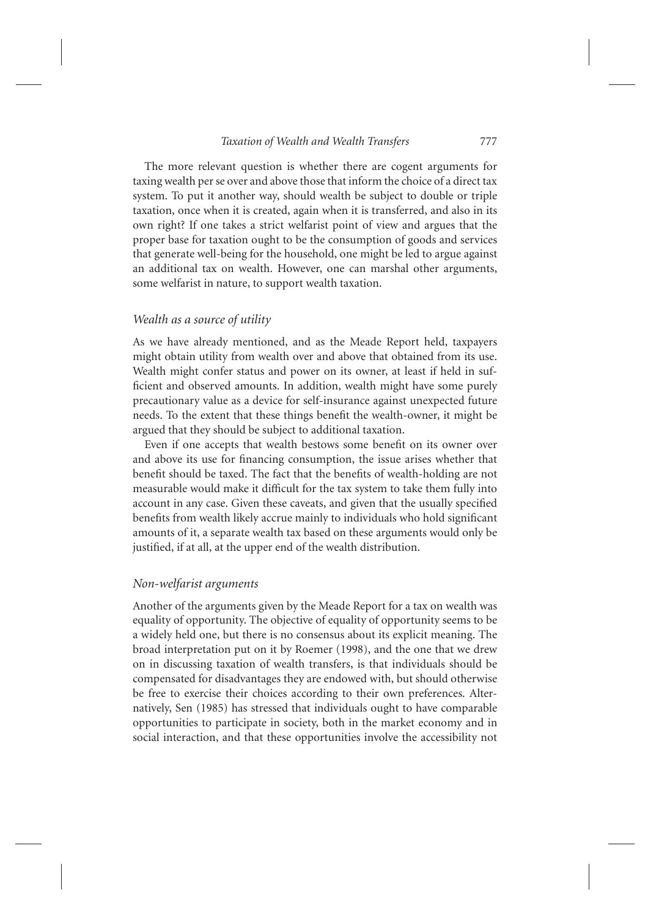The more relevant question is whether there are cogent arguments for taxing wealth per se over and above those that inform the choice of a direct tax system. To put it another way, should wealth be subject to double or triple taxation, once when it is created, again when it is transferred, and also in its own right? If one takes a strict welfarist point of view and argues that the proper base for taxation ought to be the consumption of goods and services that generate well-being for the household, one might be led to argue against an additional tax on wealth. However, one can marshal other arguments, some welfarist in nature, to support wealth taxation.

## *Wealth as a source of utility*

As we have already mentioned, and as the Meade Report held, taxpayers might obtain utility from wealth over and above that obtained from its use. Wealth might confer status and power on its owner, at least if held in sufficient and observed amounts. In addition, wealth might have some purely precautionary value as a device for self-insurance against unexpected future needs. To the extent that these things benefit the wealth-owner, it might be argued that they should be subject to additional taxation.

Even if one accepts that wealth bestows some benefit on its owner over and above its use for financing consumption, the issue arises whether that benefit should be taxed. The fact that the benefits of wealth-holding are not measurable would make it difficult for the tax system to take them fully into account in any case. Given these caveats, and given that the usually specified benefits from wealth likely accrue mainly to individuals who hold significant amounts of it, a separate wealth tax based on these arguments would only be justified, if at all, at the upper end of the wealth distribution.

### *Non-welfarist arguments*

Another of the arguments given by the Meade Report for a tax on wealth was equality of opportunity. The objective of equality of opportunity seems to be a widely held one, but there is no consensus about its explicit meaning. The broad interpretation put on it by Roemer (1998), and the one that we drew on in discussing taxation of wealth transfers, is that individuals should be compensated for disadvantages they are endowed with, but should otherwise be free to exercise their choices according to their own preferences. Alternatively, Sen (1985) has stressed that individuals ought to have comparable opportunities to participate in society, both in the market economy and in social interaction, and that these opportunities involve the accessibility not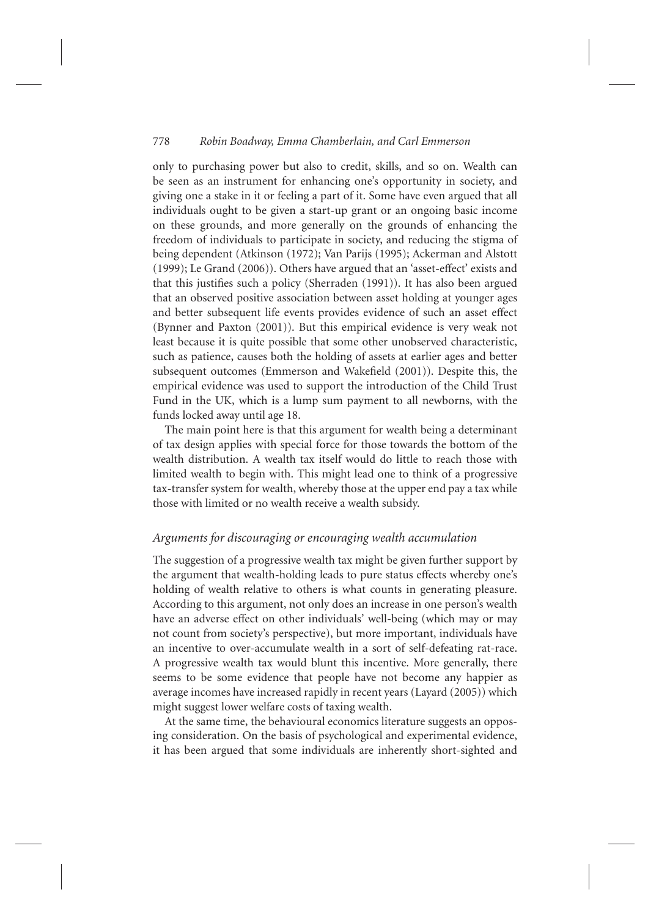only to purchasing power but also to credit, skills, and so on. Wealth can be seen as an instrument for enhancing one's opportunity in society, and giving one a stake in it or feeling a part of it. Some have even argued that all individuals ought to be given a start-up grant or an ongoing basic income on these grounds, and more generally on the grounds of enhancing the freedom of individuals to participate in society, and reducing the stigma of being dependent (Atkinson (1972); Van Parijs (1995); Ackerman and Alstott (1999); Le Grand (2006)). Others have argued that an 'asset-effect' exists and that this justifies such a policy (Sherraden (1991)). It has also been argued that an observed positive association between asset holding at younger ages and better subsequent life events provides evidence of such an asset effect (Bynner and Paxton (2001)). But this empirical evidence is very weak not least because it is quite possible that some other unobserved characteristic, such as patience, causes both the holding of assets at earlier ages and better subsequent outcomes (Emmerson and Wakefield (2001)). Despite this, the empirical evidence was used to support the introduction of the Child Trust Fund in the UK, which is a lump sum payment to all newborns, with the funds locked away until age 18.

The main point here is that this argument for wealth being a determinant of tax design applies with special force for those towards the bottom of the wealth distribution. A wealth tax itself would do little to reach those with limited wealth to begin with. This might lead one to think of a progressive tax-transfer system for wealth, whereby those at the upper end pay a tax while those with limited or no wealth receive a wealth subsidy.

### *Arguments for discouraging or encouraging wealth accumulation*

The suggestion of a progressive wealth tax might be given further support by the argument that wealth-holding leads to pure status effects whereby one's holding of wealth relative to others is what counts in generating pleasure. According to this argument, not only does an increase in one person's wealth have an adverse effect on other individuals' well-being (which may or may not count from society's perspective), but more important, individuals have an incentive to over-accumulate wealth in a sort of self-defeating rat-race. A progressive wealth tax would blunt this incentive. More generally, there seems to be some evidence that people have not become any happier as average incomes have increased rapidly in recent years (Layard (2005)) which might suggest lower welfare costs of taxing wealth.

At the same time, the behavioural economics literature suggests an opposing consideration. On the basis of psychological and experimental evidence, it has been argued that some individuals are inherently short-sighted and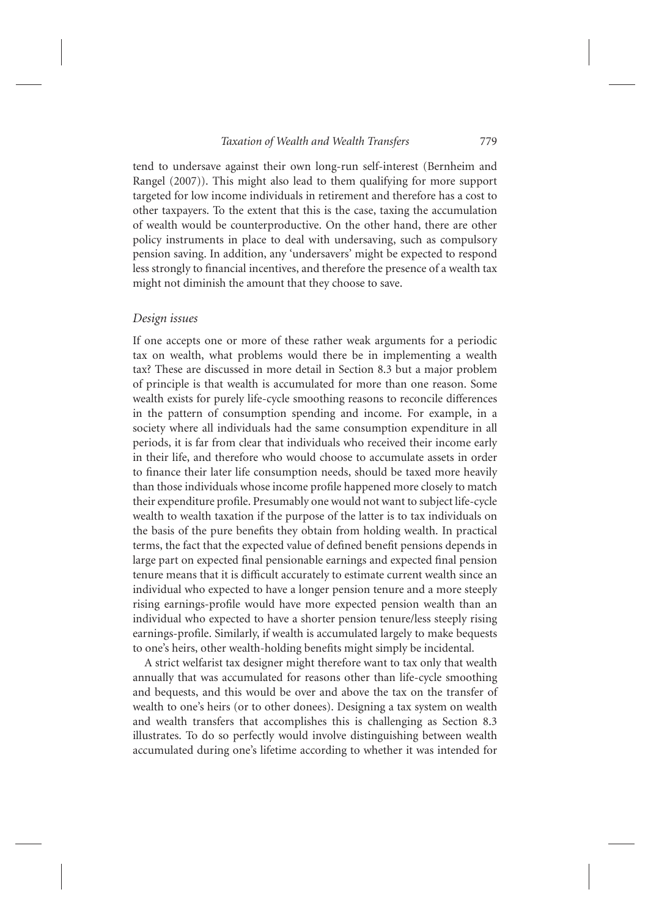tend to undersave against their own long-run self-interest (Bernheim and Rangel (2007)). This might also lead to them qualifying for more support targeted for low income individuals in retirement and therefore has a cost to other taxpayers. To the extent that this is the case, taxing the accumulation of wealth would be counterproductive. On the other hand, there are other policy instruments in place to deal with undersaving, such as compulsory pension saving. In addition, any 'undersavers' might be expected to respond less strongly to financial incentives, and therefore the presence of a wealth tax might not diminish the amount that they choose to save.

### *Design issues*

If one accepts one or more of these rather weak arguments for a periodic tax on wealth, what problems would there be in implementing a wealth tax? These are discussed in more detail in Section 8.3 but a major problem of principle is that wealth is accumulated for more than one reason. Some wealth exists for purely life-cycle smoothing reasons to reconcile differences in the pattern of consumption spending and income. For example, in a society where all individuals had the same consumption expenditure in all periods, it is far from clear that individuals who received their income early in their life, and therefore who would choose to accumulate assets in order to finance their later life consumption needs, should be taxed more heavily than those individuals whose income profile happened more closely to match their expenditure profile. Presumably one would not want to subject life-cycle wealth to wealth taxation if the purpose of the latter is to tax individuals on the basis of the pure benefits they obtain from holding wealth. In practical terms, the fact that the expected value of defined benefit pensions depends in large part on expected final pensionable earnings and expected final pension tenure means that it is difficult accurately to estimate current wealth since an individual who expected to have a longer pension tenure and a more steeply rising earnings-profile would have more expected pension wealth than an individual who expected to have a shorter pension tenure/less steeply rising earnings-profile. Similarly, if wealth is accumulated largely to make bequests to one's heirs, other wealth-holding benefits might simply be incidental.

A strict welfarist tax designer might therefore want to tax only that wealth annually that was accumulated for reasons other than life-cycle smoothing and bequests, and this would be over and above the tax on the transfer of wealth to one's heirs (or to other donees). Designing a tax system on wealth and wealth transfers that accomplishes this is challenging as Section 8.3 illustrates. To do so perfectly would involve distinguishing between wealth accumulated during one's lifetime according to whether it was intended for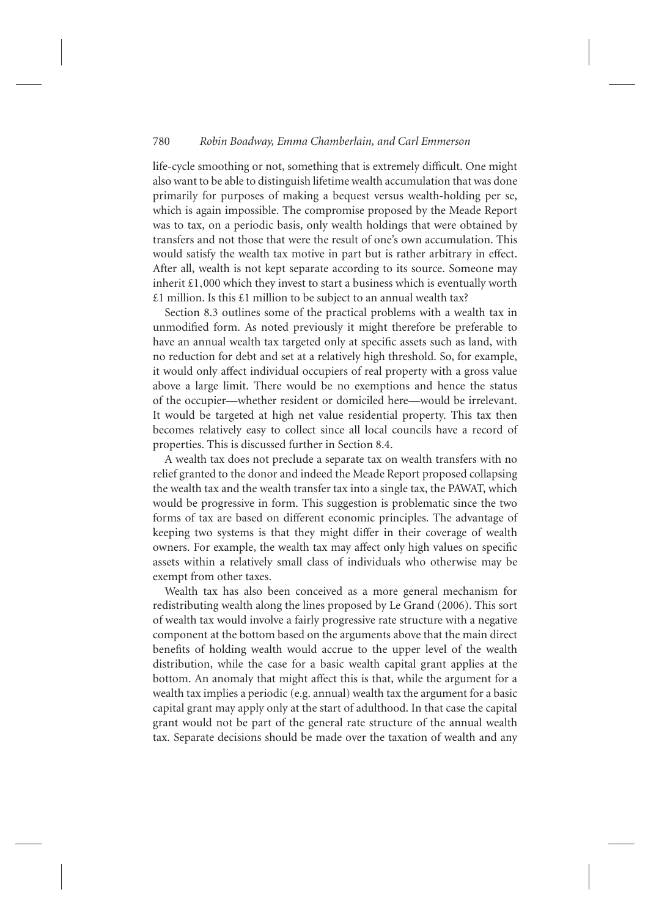life-cycle smoothing or not, something that is extremely difficult. One might also want to be able to distinguish lifetime wealth accumulation that was done primarily for purposes of making a bequest versus wealth-holding per se, which is again impossible. The compromise proposed by the Meade Report was to tax, on a periodic basis, only wealth holdings that were obtained by transfers and not those that were the result of one's own accumulation. This would satisfy the wealth tax motive in part but is rather arbitrary in effect. After all, wealth is not kept separate according to its source. Someone may inherit £1,000 which they invest to start a business which is eventually worth  $£1$  million. Is this £1 million to be subject to an annual wealth tax?

Section 8.3 outlines some of the practical problems with a wealth tax in unmodified form. As noted previously it might therefore be preferable to have an annual wealth tax targeted only at specific assets such as land, with no reduction for debt and set at a relatively high threshold. So, for example, it would only affect individual occupiers of real property with a gross value above a large limit. There would be no exemptions and hence the status of the occupier—whether resident or domiciled here—would be irrelevant. It would be targeted at high net value residential property. This tax then becomes relatively easy to collect since all local councils have a record of properties. This is discussed further in Section 8.4.

A wealth tax does not preclude a separate tax on wealth transfers with no relief granted to the donor and indeed the Meade Report proposed collapsing the wealth tax and the wealth transfer tax into a single tax, the PAWAT, which would be progressive in form. This suggestion is problematic since the two forms of tax are based on different economic principles. The advantage of keeping two systems is that they might differ in their coverage of wealth owners. For example, the wealth tax may affect only high values on specific assets within a relatively small class of individuals who otherwise may be exempt from other taxes.

Wealth tax has also been conceived as a more general mechanism for redistributing wealth along the lines proposed by Le Grand (2006). This sort of wealth tax would involve a fairly progressive rate structure with a negative component at the bottom based on the arguments above that the main direct benefits of holding wealth would accrue to the upper level of the wealth distribution, while the case for a basic wealth capital grant applies at the bottom. An anomaly that might affect this is that, while the argument for a wealth tax implies a periodic (e.g. annual) wealth tax the argument for a basic capital grant may apply only at the start of adulthood. In that case the capital grant would not be part of the general rate structure of the annual wealth tax. Separate decisions should be made over the taxation of wealth and any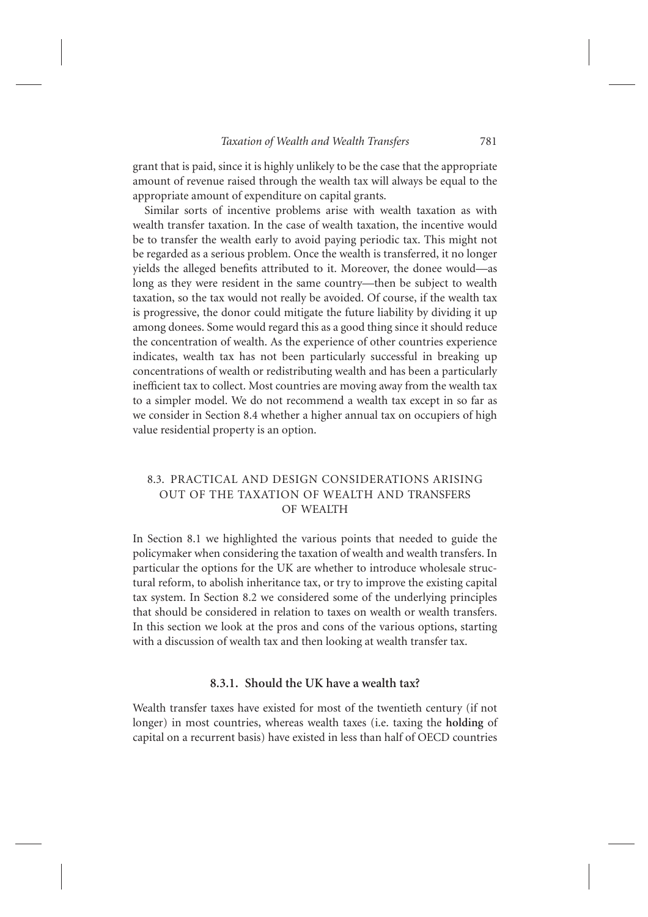grant that is paid, since it is highly unlikely to be the case that the appropriate amount of revenue raised through the wealth tax will always be equal to the appropriate amount of expenditure on capital grants.

Similar sorts of incentive problems arise with wealth taxation as with wealth transfer taxation. In the case of wealth taxation, the incentive would be to transfer the wealth early to avoid paying periodic tax. This might not be regarded as a serious problem. Once the wealth is transferred, it no longer yields the alleged benefits attributed to it. Moreover, the donee would—as long as they were resident in the same country—then be subject to wealth taxation, so the tax would not really be avoided. Of course, if the wealth tax is progressive, the donor could mitigate the future liability by dividing it up among donees. Some would regard this as a good thing since it should reduce the concentration of wealth. As the experience of other countries experience indicates, wealth tax has not been particularly successful in breaking up concentrations of wealth or redistributing wealth and has been a particularly inefficient tax to collect. Most countries are moving away from the wealth tax to a simpler model. We do not recommend a wealth tax except in so far as we consider in Section 8.4 whether a higher annual tax on occupiers of high value residential property is an option.

# 8.3. PRACTICAL AND DESIGN CONSIDERATIONS ARISING OUT OF THE TAXATION OF WEALTH AND TRANSFERS OF WEALTH

In Section 8.1 we highlighted the various points that needed to guide the policymaker when considering the taxation of wealth and wealth transfers. In particular the options for the UK are whether to introduce wholesale structural reform, to abolish inheritance tax, or try to improve the existing capital tax system. In Section 8.2 we considered some of the underlying principles that should be considered in relation to taxes on wealth or wealth transfers. In this section we look at the pros and cons of the various options, starting with a discussion of wealth tax and then looking at wealth transfer tax.

# **8.3.1. Should the UK have a wealth tax?**

Wealth transfer taxes have existed for most of the twentieth century (if not longer) in most countries, whereas wealth taxes (i.e. taxing the **holding** of capital on a recurrent basis) have existed in less than half of OECD countries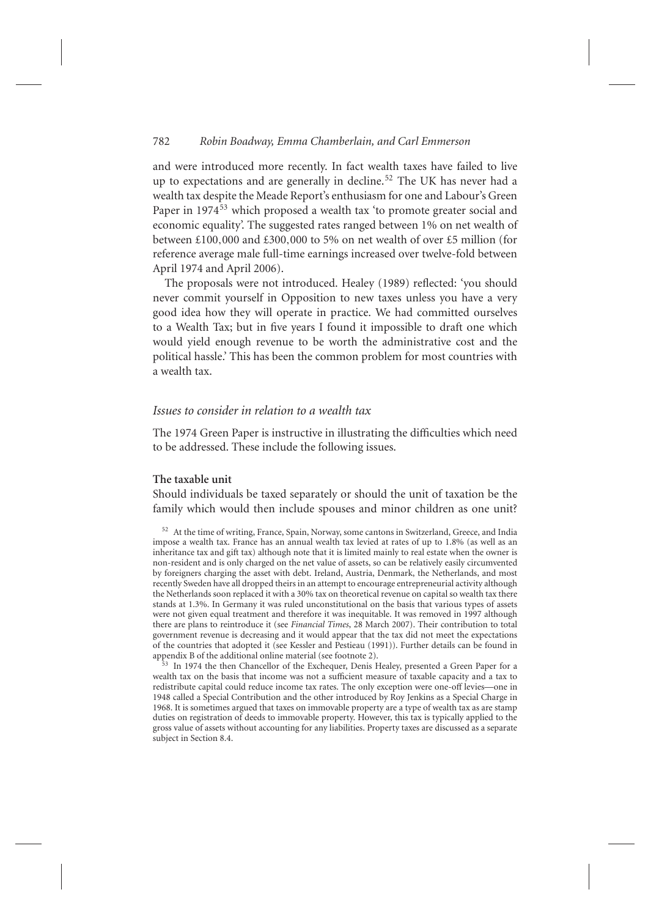and were introduced more recently. In fact wealth taxes have failed to live up to expectations and are generally in decline.<sup>52</sup> The UK has never had a wealth tax despite the Meade Report's enthusiasm for one and Labour's Green Paper in 1974<sup>53</sup> which proposed a wealth tax 'to promote greater social and economic equality'. The suggested rates ranged between 1% on net wealth of between £100,000 and £300,000 to 5% on net wealth of over £5 million (for reference average male full-time earnings increased over twelve-fold between April 1974 and April 2006).

The proposals were not introduced. Healey (1989) reflected: 'you should never commit yourself in Opposition to new taxes unless you have a very good idea how they will operate in practice. We had committed ourselves to a Wealth Tax; but in five years I found it impossible to draft one which would yield enough revenue to be worth the administrative cost and the political hassle.' This has been the common problem for most countries with a wealth tax.

## *Issues to consider in relation to a wealth tax*

The 1974 Green Paper is instructive in illustrating the difficulties which need to be addressed. These include the following issues.

#### **The taxable unit**

Should individuals be taxed separately or should the unit of taxation be the family which would then include spouses and minor children as one unit?

<sup>52</sup> At the time of writing, France, Spain, Norway, some cantons in Switzerland, Greece, and India impose a wealth tax. France has an annual wealth tax levied at rates of up to 1.8% (as well as an inheritance tax and gift tax) although note that it is limited mainly to real estate when the owner is non-resident and is only charged on the net value of assets, so can be relatively easily circumvented by foreigners charging the asset with debt. Ireland, Austria, Denmark, the Netherlands, and most recently Sweden have all dropped theirs in an attempt to encourage entrepreneurial activity although the Netherlands soon replaced it with a 30% tax on theoretical revenue on capital so wealth tax there stands at 1.3%. In Germany it was ruled unconstitutional on the basis that various types of assets were not given equal treatment and therefore it was inequitable. It was removed in 1997 although there are plans to reintroduce it (see *Financial Times*, 28 March 2007). Their contribution to total government revenue is decreasing and it would appear that the tax did not meet the expectations of the countries that adopted it (see Kessler and Pestieau (1991)). Further details can be found in appendix B of the additional online material (see footnote 2).

<sup>53</sup> In 1974 the then Chancellor of the Exchequer, Denis Healey, presented a Green Paper for a wealth tax on the basis that income was not a sufficient measure of taxable capacity and a tax to redistribute capital could reduce income tax rates. The only exception were one-off levies—one in 1948 called a Special Contribution and the other introduced by Roy Jenkins as a Special Charge in 1968. It is sometimes argued that taxes on immovable property are a type of wealth tax as are stamp duties on registration of deeds to immovable property. However, this tax is typically applied to the gross value of assets without accounting for any liabilities. Property taxes are discussed as a separate subject in Section 8.4.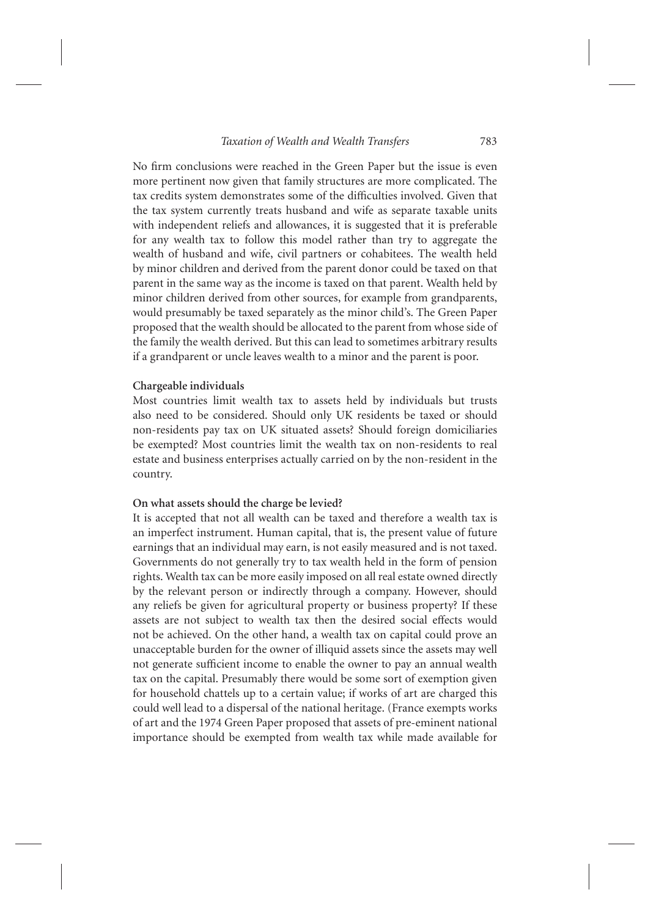No firm conclusions were reached in the Green Paper but the issue is even more pertinent now given that family structures are more complicated. The tax credits system demonstrates some of the difficulties involved. Given that the tax system currently treats husband and wife as separate taxable units with independent reliefs and allowances, it is suggested that it is preferable for any wealth tax to follow this model rather than try to aggregate the wealth of husband and wife, civil partners or cohabitees. The wealth held by minor children and derived from the parent donor could be taxed on that parent in the same way as the income is taxed on that parent. Wealth held by minor children derived from other sources, for example from grandparents, would presumably be taxed separately as the minor child's. The Green Paper proposed that the wealth should be allocated to the parent from whose side of the family the wealth derived. But this can lead to sometimes arbitrary results if a grandparent or uncle leaves wealth to a minor and the parent is poor.

#### **Chargeable individuals**

Most countries limit wealth tax to assets held by individuals but trusts also need to be considered. Should only UK residents be taxed or should non-residents pay tax on UK situated assets? Should foreign domiciliaries be exempted? Most countries limit the wealth tax on non-residents to real estate and business enterprises actually carried on by the non-resident in the country.

### **On what assets should the charge be levied?**

It is accepted that not all wealth can be taxed and therefore a wealth tax is an imperfect instrument. Human capital, that is, the present value of future earnings that an individual may earn, is not easily measured and is not taxed. Governments do not generally try to tax wealth held in the form of pension rights. Wealth tax can be more easily imposed on all real estate owned directly by the relevant person or indirectly through a company. However, should any reliefs be given for agricultural property or business property? If these assets are not subject to wealth tax then the desired social effects would not be achieved. On the other hand, a wealth tax on capital could prove an unacceptable burden for the owner of illiquid assets since the assets may well not generate sufficient income to enable the owner to pay an annual wealth tax on the capital. Presumably there would be some sort of exemption given for household chattels up to a certain value; if works of art are charged this could well lead to a dispersal of the national heritage. (France exempts works of art and the 1974 Green Paper proposed that assets of pre-eminent national importance should be exempted from wealth tax while made available for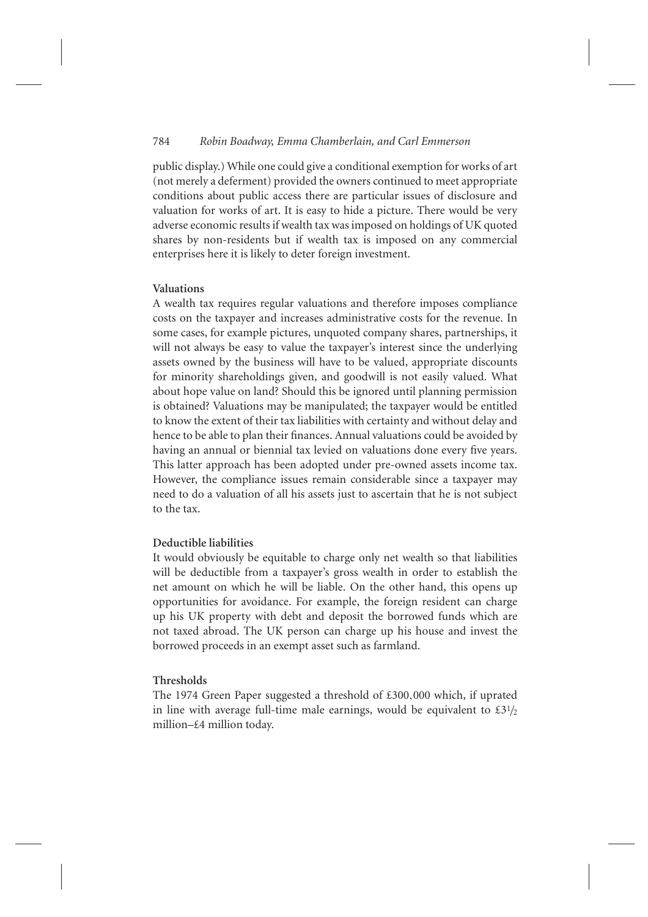public display.) While one could give a conditional exemption for works of art (not merely a deferment) provided the owners continued to meet appropriate conditions about public access there are particular issues of disclosure and valuation for works of art. It is easy to hide a picture. There would be very adverse economic results if wealth tax was imposed on holdings of UK quoted shares by non-residents but if wealth tax is imposed on any commercial enterprises here it is likely to deter foreign investment.

#### **Valuations**

A wealth tax requires regular valuations and therefore imposes compliance costs on the taxpayer and increases administrative costs for the revenue. In some cases, for example pictures, unquoted company shares, partnerships, it will not always be easy to value the taxpayer's interest since the underlying assets owned by the business will have to be valued, appropriate discounts for minority shareholdings given, and goodwill is not easily valued. What about hope value on land? Should this be ignored until planning permission is obtained? Valuations may be manipulated; the taxpayer would be entitled to know the extent of their tax liabilities with certainty and without delay and hence to be able to plan their finances. Annual valuations could be avoided by having an annual or biennial tax levied on valuations done every five years. This latter approach has been adopted under pre-owned assets income tax. However, the compliance issues remain considerable since a taxpayer may need to do a valuation of all his assets just to ascertain that he is not subject to the tax.

### **Deductible liabilities**

It would obviously be equitable to charge only net wealth so that liabilities will be deductible from a taxpayer's gross wealth in order to establish the net amount on which he will be liable. On the other hand, this opens up opportunities for avoidance. For example, the foreign resident can charge up his UK property with debt and deposit the borrowed funds which are not taxed abroad. The UK person can charge up his house and invest the borrowed proceeds in an exempt asset such as farmland.

### **Thresholds**

The 1974 Green Paper suggested a threshold of £300,000 which, if uprated in line with average full-time male earnings, would be equivalent to  $\text{\pounds}31/2$ million–£4 million today.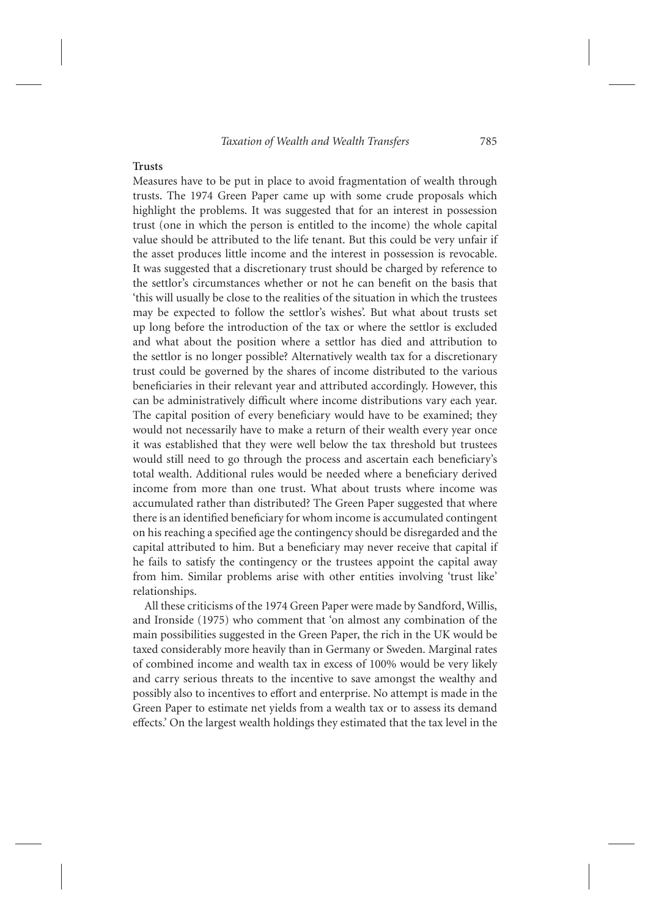### **Trusts**

Measures have to be put in place to avoid fragmentation of wealth through trusts. The 1974 Green Paper came up with some crude proposals which highlight the problems. It was suggested that for an interest in possession trust (one in which the person is entitled to the income) the whole capital value should be attributed to the life tenant. But this could be very unfair if the asset produces little income and the interest in possession is revocable. It was suggested that a discretionary trust should be charged by reference to the settlor's circumstances whether or not he can benefit on the basis that 'this will usually be close to the realities of the situation in which the trustees may be expected to follow the settlor's wishes'. But what about trusts set up long before the introduction of the tax or where the settlor is excluded and what about the position where a settlor has died and attribution to the settlor is no longer possible? Alternatively wealth tax for a discretionary trust could be governed by the shares of income distributed to the various beneficiaries in their relevant year and attributed accordingly. However, this can be administratively difficult where income distributions vary each year. The capital position of every beneficiary would have to be examined; they would not necessarily have to make a return of their wealth every year once it was established that they were well below the tax threshold but trustees would still need to go through the process and ascertain each beneficiary's total wealth. Additional rules would be needed where a beneficiary derived income from more than one trust. What about trusts where income was accumulated rather than distributed? The Green Paper suggested that where there is an identified beneficiary for whom income is accumulated contingent on his reaching a specified age the contingency should be disregarded and the capital attributed to him. But a beneficiary may never receive that capital if he fails to satisfy the contingency or the trustees appoint the capital away from him. Similar problems arise with other entities involving 'trust like' relationships.

All these criticisms of the 1974 Green Paper were made by Sandford, Willis, and Ironside (1975) who comment that 'on almost any combination of the main possibilities suggested in the Green Paper, the rich in the UK would be taxed considerably more heavily than in Germany or Sweden. Marginal rates of combined income and wealth tax in excess of 100% would be very likely and carry serious threats to the incentive to save amongst the wealthy and possibly also to incentives to effort and enterprise. No attempt is made in the Green Paper to estimate net yields from a wealth tax or to assess its demand effects.' On the largest wealth holdings they estimated that the tax level in the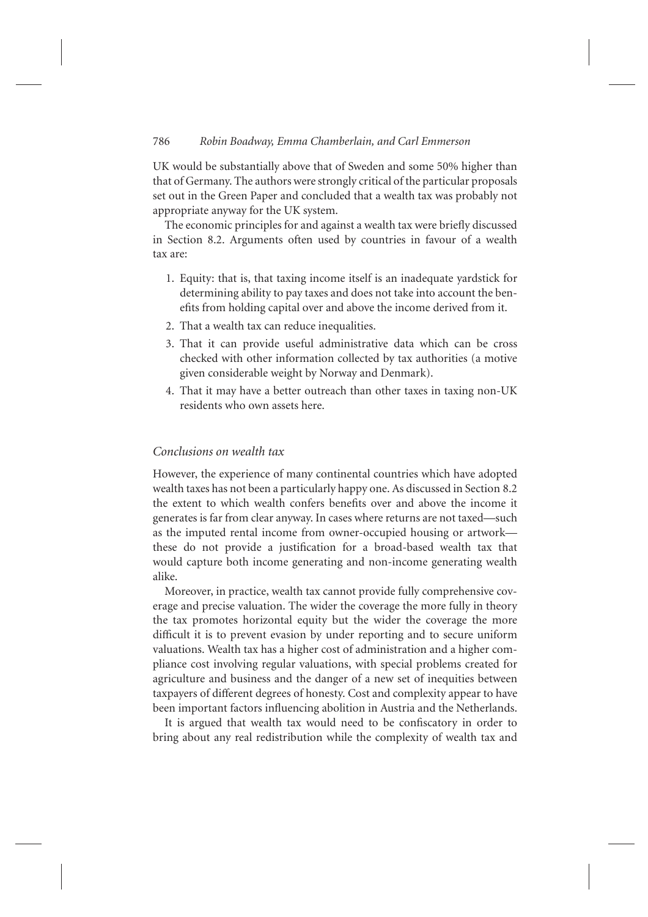UK would be substantially above that of Sweden and some 50% higher than that of Germany. The authors were strongly critical of the particular proposals set out in the Green Paper and concluded that a wealth tax was probably not appropriate anyway for the UK system.

The economic principles for and against a wealth tax were briefly discussed in Section 8.2. Arguments often used by countries in favour of a wealth tax are:

- 1. Equity: that is, that taxing income itself is an inadequate yardstick for determining ability to pay taxes and does not take into account the benefits from holding capital over and above the income derived from it.
- 2. That a wealth tax can reduce inequalities.
- 3. That it can provide useful administrative data which can be cross checked with other information collected by tax authorities (a motive given considerable weight by Norway and Denmark).
- 4. That it may have a better outreach than other taxes in taxing non-UK residents who own assets here.

### *Conclusions on wealth tax*

However, the experience of many continental countries which have adopted wealth taxes has not been a particularly happy one. As discussed in Section 8.2 the extent to which wealth confers benefits over and above the income it generates is far from clear anyway. In cases where returns are not taxed—such as the imputed rental income from owner-occupied housing or artwork these do not provide a justification for a broad-based wealth tax that would capture both income generating and non-income generating wealth alike.

Moreover, in practice, wealth tax cannot provide fully comprehensive coverage and precise valuation. The wider the coverage the more fully in theory the tax promotes horizontal equity but the wider the coverage the more difficult it is to prevent evasion by under reporting and to secure uniform valuations. Wealth tax has a higher cost of administration and a higher compliance cost involving regular valuations, with special problems created for agriculture and business and the danger of a new set of inequities between taxpayers of different degrees of honesty. Cost and complexity appear to have been important factors influencing abolition in Austria and the Netherlands.

It is argued that wealth tax would need to be confiscatory in order to bring about any real redistribution while the complexity of wealth tax and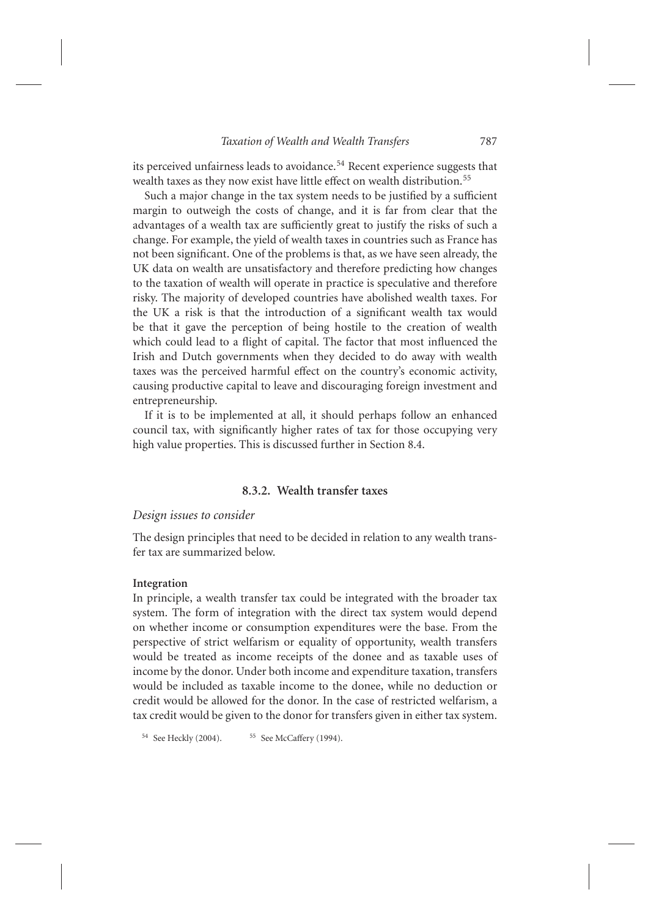its perceived unfairness leads to avoidance.<sup>54</sup> Recent experience suggests that wealth taxes as they now exist have little effect on wealth distribution.<sup>55</sup>

Such a major change in the tax system needs to be justified by a sufficient margin to outweigh the costs of change, and it is far from clear that the advantages of a wealth tax are sufficiently great to justify the risks of such a change. For example, the yield of wealth taxes in countries such as France has not been significant. One of the problems is that, as we have seen already, the UK data on wealth are unsatisfactory and therefore predicting how changes to the taxation of wealth will operate in practice is speculative and therefore risky. The majority of developed countries have abolished wealth taxes. For the UK a risk is that the introduction of a significant wealth tax would be that it gave the perception of being hostile to the creation of wealth which could lead to a flight of capital. The factor that most influenced the Irish and Dutch governments when they decided to do away with wealth taxes was the perceived harmful effect on the country's economic activity, causing productive capital to leave and discouraging foreign investment and entrepreneurship.

If it is to be implemented at all, it should perhaps follow an enhanced council tax, with significantly higher rates of tax for those occupying very high value properties. This is discussed further in Section 8.4.

# **8.3.2. Wealth transfer taxes**

#### *Design issues to consider*

The design principles that need to be decided in relation to any wealth transfer tax are summarized below.

#### **Integration**

In principle, a wealth transfer tax could be integrated with the broader tax system. The form of integration with the direct tax system would depend on whether income or consumption expenditures were the base. From the perspective of strict welfarism or equality of opportunity, wealth transfers would be treated as income receipts of the donee and as taxable uses of income by the donor. Under both income and expenditure taxation, transfers would be included as taxable income to the donee, while no deduction or credit would be allowed for the donor. In the case of restricted welfarism, a tax credit would be given to the donor for transfers given in either tax system.

<sup>54</sup> See Heckly (2004). <sup>55</sup> See McCaffery (1994).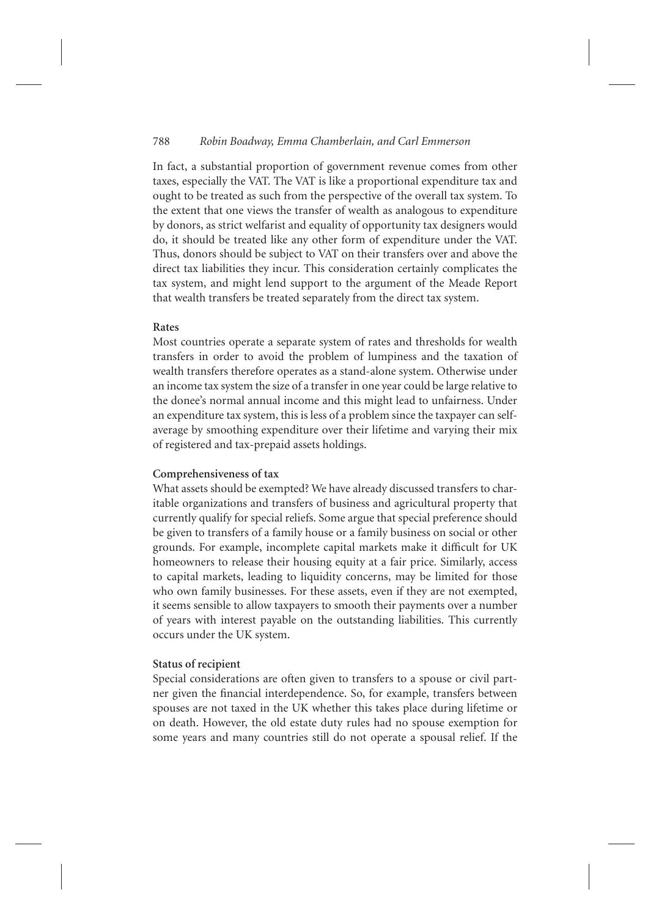In fact, a substantial proportion of government revenue comes from other taxes, especially the VAT. The VAT is like a proportional expenditure tax and ought to be treated as such from the perspective of the overall tax system. To the extent that one views the transfer of wealth as analogous to expenditure by donors, as strict welfarist and equality of opportunity tax designers would do, it should be treated like any other form of expenditure under the VAT. Thus, donors should be subject to VAT on their transfers over and above the direct tax liabilities they incur. This consideration certainly complicates the tax system, and might lend support to the argument of the Meade Report that wealth transfers be treated separately from the direct tax system.

## **Rates**

Most countries operate a separate system of rates and thresholds for wealth transfers in order to avoid the problem of lumpiness and the taxation of wealth transfers therefore operates as a stand-alone system. Otherwise under an income tax system the size of a transfer in one year could be large relative to the donee's normal annual income and this might lead to unfairness. Under an expenditure tax system, this is less of a problem since the taxpayer can selfaverage by smoothing expenditure over their lifetime and varying their mix of registered and tax-prepaid assets holdings.

### **Comprehensiveness of tax**

What assets should be exempted? We have already discussed transfers to charitable organizations and transfers of business and agricultural property that currently qualify for special reliefs. Some argue that special preference should be given to transfers of a family house or a family business on social or other grounds. For example, incomplete capital markets make it difficult for UK homeowners to release their housing equity at a fair price. Similarly, access to capital markets, leading to liquidity concerns, may be limited for those who own family businesses. For these assets, even if they are not exempted, it seems sensible to allow taxpayers to smooth their payments over a number of years with interest payable on the outstanding liabilities. This currently occurs under the UK system.

### **Status of recipient**

Special considerations are often given to transfers to a spouse or civil partner given the financial interdependence. So, for example, transfers between spouses are not taxed in the UK whether this takes place during lifetime or on death. However, the old estate duty rules had no spouse exemption for some years and many countries still do not operate a spousal relief. If the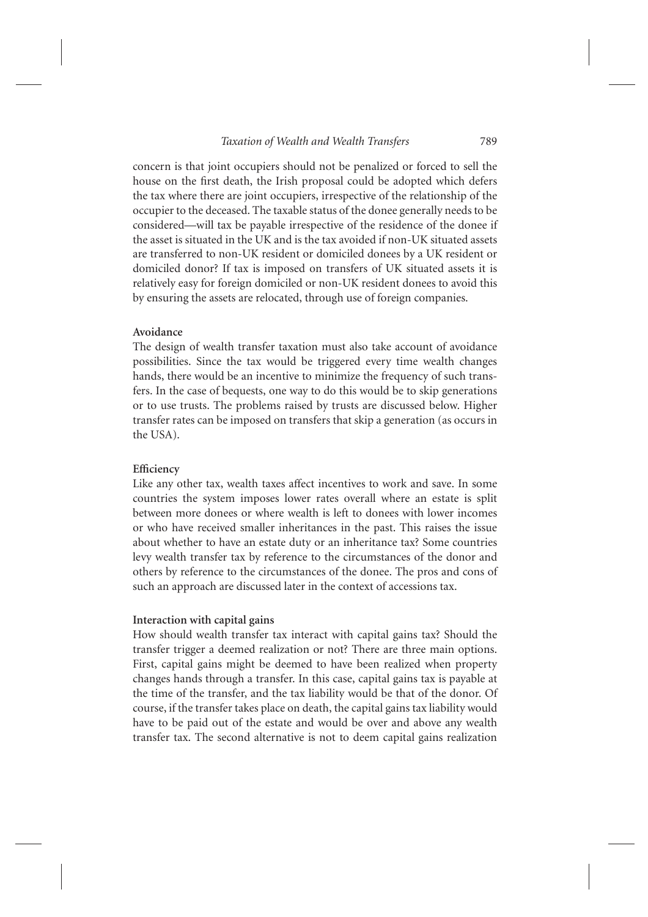concern is that joint occupiers should not be penalized or forced to sell the house on the first death, the Irish proposal could be adopted which defers the tax where there are joint occupiers, irrespective of the relationship of the occupier to the deceased. The taxable status of the donee generally needs to be considered—will tax be payable irrespective of the residence of the donee if the asset is situated in the UK and is the tax avoided if non-UK situated assets are transferred to non-UK resident or domiciled donees by a UK resident or domiciled donor? If tax is imposed on transfers of UK situated assets it is relatively easy for foreign domiciled or non-UK resident donees to avoid this by ensuring the assets are relocated, through use of foreign companies.

#### **Avoidance**

The design of wealth transfer taxation must also take account of avoidance possibilities. Since the tax would be triggered every time wealth changes hands, there would be an incentive to minimize the frequency of such transfers. In the case of bequests, one way to do this would be to skip generations or to use trusts. The problems raised by trusts are discussed below. Higher transfer rates can be imposed on transfers that skip a generation (as occurs in the USA).

### **Efficiency**

Like any other tax, wealth taxes affect incentives to work and save. In some countries the system imposes lower rates overall where an estate is split between more donees or where wealth is left to donees with lower incomes or who have received smaller inheritances in the past. This raises the issue about whether to have an estate duty or an inheritance tax? Some countries levy wealth transfer tax by reference to the circumstances of the donor and others by reference to the circumstances of the donee. The pros and cons of such an approach are discussed later in the context of accessions tax.

#### **Interaction with capital gains**

How should wealth transfer tax interact with capital gains tax? Should the transfer trigger a deemed realization or not? There are three main options. First, capital gains might be deemed to have been realized when property changes hands through a transfer. In this case, capital gains tax is payable at the time of the transfer, and the tax liability would be that of the donor. Of course, if the transfer takes place on death, the capital gains tax liability would have to be paid out of the estate and would be over and above any wealth transfer tax. The second alternative is not to deem capital gains realization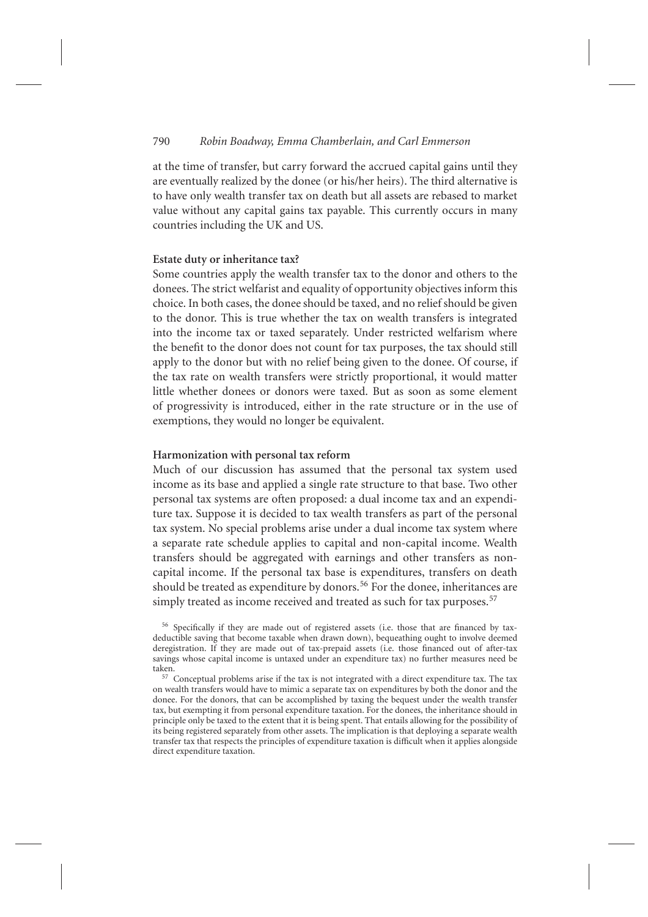at the time of transfer, but carry forward the accrued capital gains until they are eventually realized by the donee (or his/her heirs). The third alternative is to have only wealth transfer tax on death but all assets are rebased to market value without any capital gains tax payable. This currently occurs in many countries including the UK and US.

#### **Estate duty or inheritance tax?**

Some countries apply the wealth transfer tax to the donor and others to the donees. The strict welfarist and equality of opportunity objectives inform this choice. In both cases, the donee should be taxed, and no relief should be given to the donor. This is true whether the tax on wealth transfers is integrated into the income tax or taxed separately. Under restricted welfarism where the benefit to the donor does not count for tax purposes, the tax should still apply to the donor but with no relief being given to the donee. Of course, if the tax rate on wealth transfers were strictly proportional, it would matter little whether donees or donors were taxed. But as soon as some element of progressivity is introduced, either in the rate structure or in the use of exemptions, they would no longer be equivalent.

#### **Harmonization with personal tax reform**

Much of our discussion has assumed that the personal tax system used income as its base and applied a single rate structure to that base. Two other personal tax systems are often proposed: a dual income tax and an expenditure tax. Suppose it is decided to tax wealth transfers as part of the personal tax system. No special problems arise under a dual income tax system where a separate rate schedule applies to capital and non-capital income. Wealth transfers should be aggregated with earnings and other transfers as noncapital income. If the personal tax base is expenditures, transfers on death should be treated as expenditure by donors.<sup>56</sup> For the donee, inheritances are simply treated as income received and treated as such for tax purposes.<sup>57</sup>

<sup>56</sup> Specifically if they are made out of registered assets (i.e. those that are financed by taxdeductible saving that become taxable when drawn down), bequeathing ought to involve deemed deregistration. If they are made out of tax-prepaid assets (i.e. those financed out of after-tax savings whose capital income is untaxed under an expenditure tax) no further measures need be taken.<br><sup>57</sup> Conceptual problems arise if the tax is not integrated with a direct expenditure tax. The tax

on wealth transfers would have to mimic a separate tax on expenditures by both the donor and the donee. For the donors, that can be accomplished by taxing the bequest under the wealth transfer tax, but exempting it from personal expenditure taxation. For the donees, the inheritance should in principle only be taxed to the extent that it is being spent. That entails allowing for the possibility of its being registered separately from other assets. The implication is that deploying a separate wealth transfer tax that respects the principles of expenditure taxation is difficult when it applies alongside direct expenditure taxation.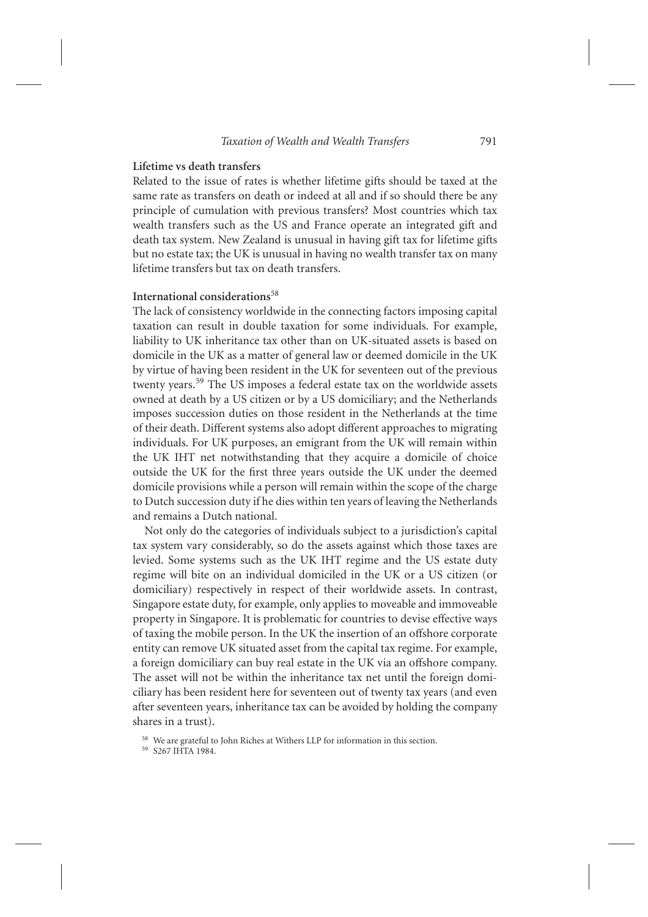### **Lifetime vs death transfers**

Related to the issue of rates is whether lifetime gifts should be taxed at the same rate as transfers on death or indeed at all and if so should there be any principle of cumulation with previous transfers? Most countries which tax wealth transfers such as the US and France operate an integrated gift and death tax system. New Zealand is unusual in having gift tax for lifetime gifts but no estate tax; the UK is unusual in having no wealth transfer tax on many lifetime transfers but tax on death transfers.

## **International considerations**<sup>58</sup>

The lack of consistency worldwide in the connecting factors imposing capital taxation can result in double taxation for some individuals. For example, liability to UK inheritance tax other than on UK-situated assets is based on domicile in the UK as a matter of general law or deemed domicile in the UK by virtue of having been resident in the UK for seventeen out of the previous twenty years.<sup>59</sup> The US imposes a federal estate tax on the worldwide assets owned at death by a US citizen or by a US domiciliary; and the Netherlands imposes succession duties on those resident in the Netherlands at the time of their death. Different systems also adopt different approaches to migrating individuals. For UK purposes, an emigrant from the UK will remain within the UK IHT net notwithstanding that they acquire a domicile of choice outside the UK for the first three years outside the UK under the deemed domicile provisions while a person will remain within the scope of the charge to Dutch succession duty if he dies within ten years of leaving the Netherlands and remains a Dutch national.

Not only do the categories of individuals subject to a jurisdiction's capital tax system vary considerably, so do the assets against which those taxes are levied. Some systems such as the UK IHT regime and the US estate duty regime will bite on an individual domiciled in the UK or a US citizen (or domiciliary) respectively in respect of their worldwide assets. In contrast, Singapore estate duty, for example, only applies to moveable and immoveable property in Singapore. It is problematic for countries to devise effective ways of taxing the mobile person. In the UK the insertion of an offshore corporate entity can remove UK situated asset from the capital tax regime. For example, a foreign domiciliary can buy real estate in the UK via an offshore company. The asset will not be within the inheritance tax net until the foreign domiciliary has been resident here for seventeen out of twenty tax years (and even after seventeen years, inheritance tax can be avoided by holding the company shares in a trust).

<sup>&</sup>lt;sup>58</sup> We are grateful to John Riches at Withers LLP for information in this section.

<sup>59</sup> S267 IHTA 1984.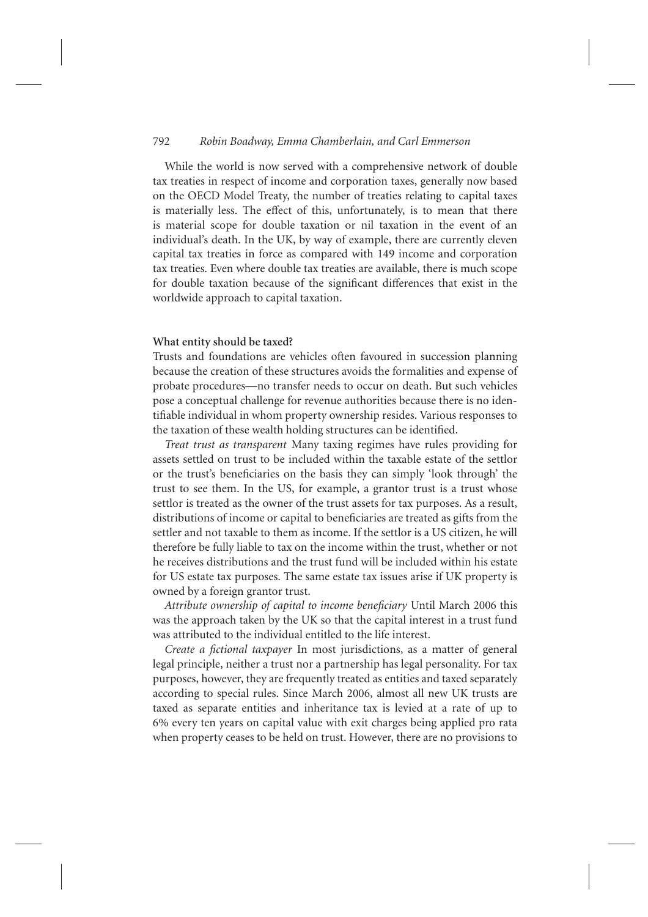While the world is now served with a comprehensive network of double tax treaties in respect of income and corporation taxes, generally now based on the OECD Model Treaty, the number of treaties relating to capital taxes is materially less. The effect of this, unfortunately, is to mean that there is material scope for double taxation or nil taxation in the event of an individual's death. In the UK, by way of example, there are currently eleven capital tax treaties in force as compared with 149 income and corporation tax treaties. Even where double tax treaties are available, there is much scope for double taxation because of the significant differences that exist in the worldwide approach to capital taxation.

### **What entity should be taxed?**

Trusts and foundations are vehicles often favoured in succession planning because the creation of these structures avoids the formalities and expense of probate procedures—no transfer needs to occur on death. But such vehicles pose a conceptual challenge for revenue authorities because there is no identifiable individual in whom property ownership resides. Various responses to the taxation of these wealth holding structures can be identified.

*Treat trust as transparent* Many taxing regimes have rules providing for assets settled on trust to be included within the taxable estate of the settlor or the trust's beneficiaries on the basis they can simply 'look through' the trust to see them. In the US, for example, a grantor trust is a trust whose settlor is treated as the owner of the trust assets for tax purposes. As a result, distributions of income or capital to beneficiaries are treated as gifts from the settler and not taxable to them as income. If the settlor is a US citizen, he will therefore be fully liable to tax on the income within the trust, whether or not he receives distributions and the trust fund will be included within his estate for US estate tax purposes. The same estate tax issues arise if UK property is owned by a foreign grantor trust.

*Attribute ownership of capital to income beneficiary* Until March 2006 this was the approach taken by the UK so that the capital interest in a trust fund was attributed to the individual entitled to the life interest.

*Create a fictional taxpayer* In most jurisdictions, as a matter of general legal principle, neither a trust nor a partnership has legal personality. For tax purposes, however, they are frequently treated as entities and taxed separately according to special rules. Since March 2006, almost all new UK trusts are taxed as separate entities and inheritance tax is levied at a rate of up to 6% every ten years on capital value with exit charges being applied pro rata when property ceases to be held on trust. However, there are no provisions to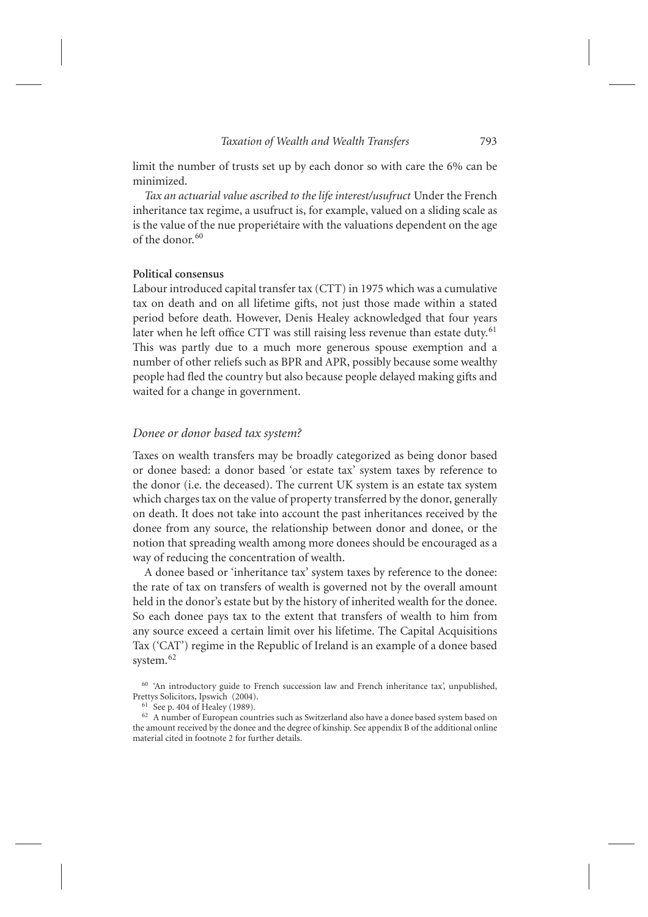limit the number of trusts set up by each donor so with care the 6% can be minimized.

*Tax an actuarial value ascribed to the life interest/usufruct* Under the French inheritance tax regime, a usufruct is, for example, valued on a sliding scale as is the value of the nue properiétaire with the valuations dependent on the age of the donor. $60$ 

## **Political consensus**

Labour introduced capital transfer tax (CTT) in 1975 which was a cumulative tax on death and on all lifetime gifts, not just those made within a stated period before death. However, Denis Healey acknowledged that four years later when he left office CTT was still raising less revenue than estate duty.<sup>61</sup> This was partly due to a much more generous spouse exemption and a number of other reliefs such as BPR and APR, possibly because some wealthy people had fled the country but also because people delayed making gifts and waited for a change in government.

#### *Donee or donor based tax system?*

Taxes on wealth transfers may be broadly categorized as being donor based or donee based: a donor based 'or estate tax' system taxes by reference to the donor (i.e. the deceased). The current UK system is an estate tax system which charges tax on the value of property transferred by the donor, generally on death. It does not take into account the past inheritances received by the donee from any source, the relationship between donor and donee, or the notion that spreading wealth among more donees should be encouraged as a way of reducing the concentration of wealth.

A donee based or 'inheritance tax' system taxes by reference to the donee: the rate of tax on transfers of wealth is governed not by the overall amount held in the donor's estate but by the history of inherited wealth for the donee. So each donee pays tax to the extent that transfers of wealth to him from any source exceed a certain limit over his lifetime. The Capital Acquisitions Tax ('CAT') regime in the Republic of Ireland is an example of a donee based system.<sup>62</sup>

<sup>60</sup> 'An introductory guide to French succession law and French inheritance tax', unpublished, Prettys Solicitors, Ipswich (2004).

 $61$  See p. 404 of Healey (1989).

<sup>&</sup>lt;sup>62</sup> A number of European countries such as Switzerland also have a donee based system based on the amount received by the donee and the degree of kinship. See appendix B of the additional online material cited in footnote 2 for further details.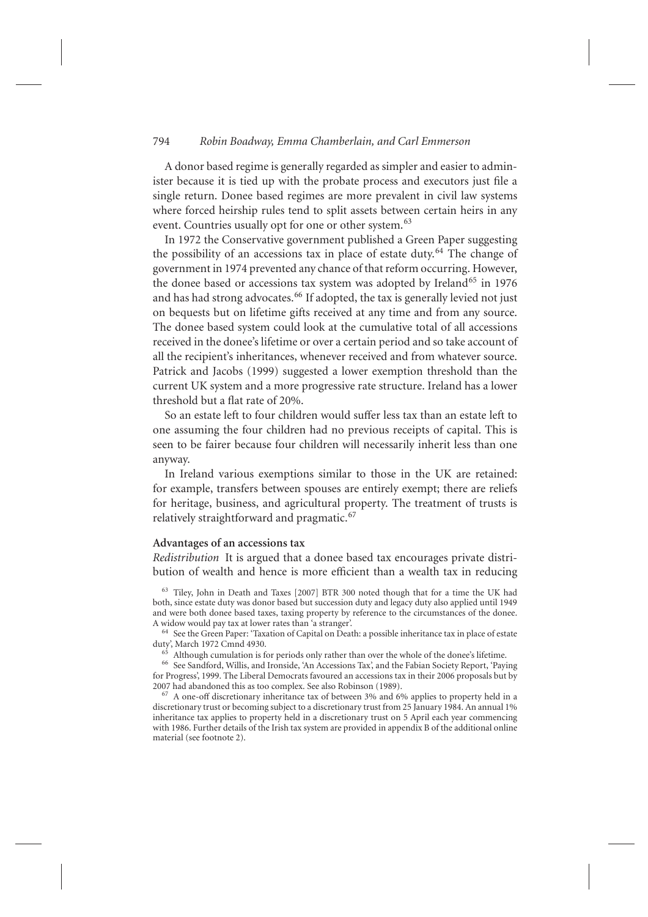A donor based regime is generally regarded as simpler and easier to administer because it is tied up with the probate process and executors just file a single return. Donee based regimes are more prevalent in civil law systems where forced heirship rules tend to split assets between certain heirs in any event. Countries usually opt for one or other system.<sup>63</sup>

In 1972 the Conservative government published a Green Paper suggesting the possibility of an accessions tax in place of estate duty.<sup>64</sup> The change of government in 1974 prevented any chance of that reform occurring. However, the donee based or accessions tax system was adopted by Ireland<sup>65</sup> in 1976 and has had strong advocates.<sup>66</sup> If adopted, the tax is generally levied not just on bequests but on lifetime gifts received at any time and from any source. The donee based system could look at the cumulative total of all accessions received in the donee's lifetime or over a certain period and so take account of all the recipient's inheritances, whenever received and from whatever source. Patrick and Jacobs (1999) suggested a lower exemption threshold than the current UK system and a more progressive rate structure. Ireland has a lower threshold but a flat rate of 20%.

So an estate left to four children would suffer less tax than an estate left to one assuming the four children had no previous receipts of capital. This is seen to be fairer because four children will necessarily inherit less than one anyway.

In Ireland various exemptions similar to those in the UK are retained: for example, transfers between spouses are entirely exempt; there are reliefs for heritage, business, and agricultural property. The treatment of trusts is relatively straightforward and pragmatic.<sup>67</sup>

### **Advantages of an accessions tax**

*Redistribution* It is argued that a donee based tax encourages private distribution of wealth and hence is more efficient than a wealth tax in reducing

<sup>63</sup> Tiley, John in Death and Taxes [2007] BTR 300 noted though that for a time the UK had both, since estate duty was donor based but succession duty and legacy duty also applied until 1949 and were both donee based taxes, taxing property by reference to the circumstances of the donee. A widow would pay tax at lower rates than 'a stranger'.

<sup>64</sup> See the Green Paper: 'Taxation of Capital on Death: a possible inheritance tax in place of estate duty', March 1972 Cmnd 4930.

Although cumulation is for periods only rather than over the whole of the donee's lifetime.

<sup>66</sup> See Sandford, Willis, and Ironside, 'An Accessions Tax', and the Fabian Society Report, 'Paying for Progress', 1999. The Liberal Democrats favoured an accessions tax in their 2006 proposals but by 2007 had abandoned this as too complex. See also Robinson (1989).

<sup>67</sup> A one-off discretionary inheritance tax of between 3% and 6% applies to property held in a discretionary trust or becoming subject to a discretionary trust from 25 January 1984. An annual 1% inheritance tax applies to property held in a discretionary trust on 5 April each year commencing with 1986. Further details of the Irish tax system are provided in appendix B of the additional online material (see footnote 2).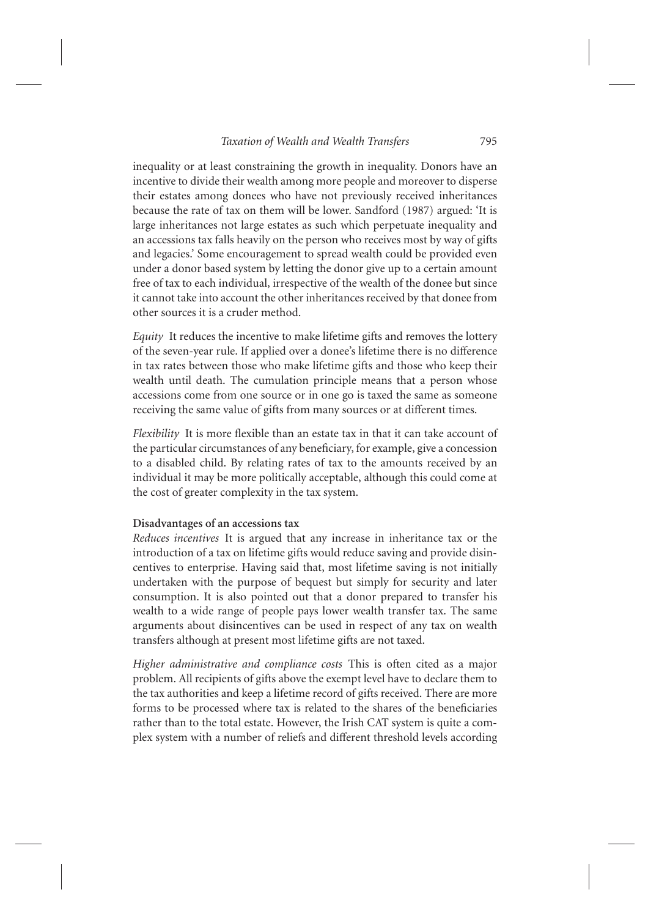inequality or at least constraining the growth in inequality. Donors have an incentive to divide their wealth among more people and moreover to disperse their estates among donees who have not previously received inheritances because the rate of tax on them will be lower. Sandford (1987) argued: 'It is large inheritances not large estates as such which perpetuate inequality and an accessions tax falls heavily on the person who receives most by way of gifts and legacies.' Some encouragement to spread wealth could be provided even under a donor based system by letting the donor give up to a certain amount free of tax to each individual, irrespective of the wealth of the donee but since it cannot take into account the other inheritances received by that donee from other sources it is a cruder method.

*Equity* It reduces the incentive to make lifetime gifts and removes the lottery of the seven-year rule. If applied over a donee's lifetime there is no difference in tax rates between those who make lifetime gifts and those who keep their wealth until death. The cumulation principle means that a person whose accessions come from one source or in one go is taxed the same as someone receiving the same value of gifts from many sources or at different times.

*Flexibility* It is more flexible than an estate tax in that it can take account of the particular circumstances of any beneficiary, for example, give a concession to a disabled child. By relating rates of tax to the amounts received by an individual it may be more politically acceptable, although this could come at the cost of greater complexity in the tax system.

### **Disadvantages of an accessions tax**

*Reduces incentives* It is argued that any increase in inheritance tax or the introduction of a tax on lifetime gifts would reduce saving and provide disincentives to enterprise. Having said that, most lifetime saving is not initially undertaken with the purpose of bequest but simply for security and later consumption. It is also pointed out that a donor prepared to transfer his wealth to a wide range of people pays lower wealth transfer tax. The same arguments about disincentives can be used in respect of any tax on wealth transfers although at present most lifetime gifts are not taxed.

*Higher administrative and compliance costs* This is often cited as a major problem. All recipients of gifts above the exempt level have to declare them to the tax authorities and keep a lifetime record of gifts received. There are more forms to be processed where tax is related to the shares of the beneficiaries rather than to the total estate. However, the Irish CAT system is quite a complex system with a number of reliefs and different threshold levels according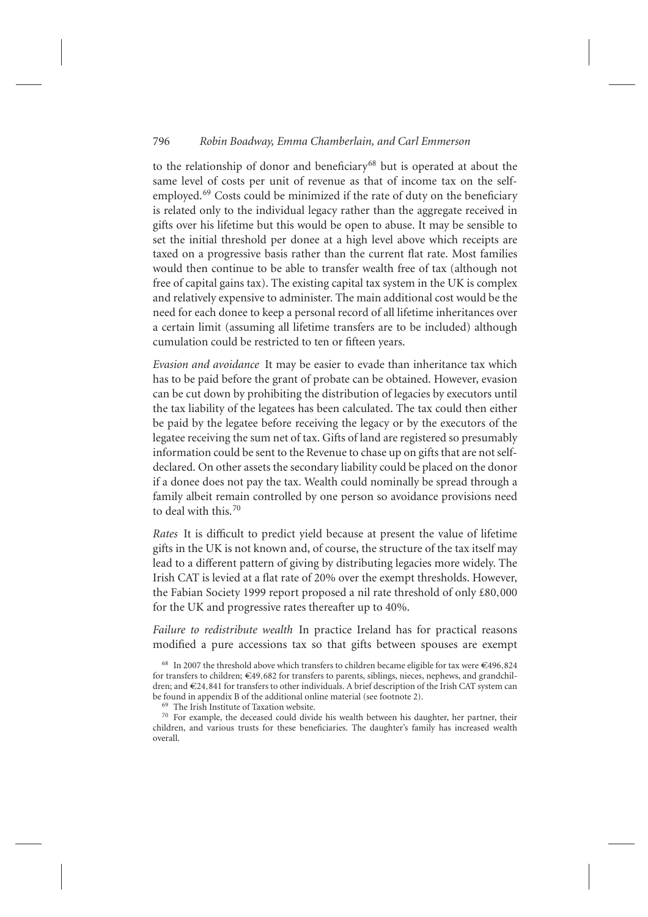to the relationship of donor and beneficiary<sup>68</sup> but is operated at about the same level of costs per unit of revenue as that of income tax on the selfemployed.<sup>69</sup> Costs could be minimized if the rate of duty on the beneficiary is related only to the individual legacy rather than the aggregate received in gifts over his lifetime but this would be open to abuse. It may be sensible to set the initial threshold per donee at a high level above which receipts are taxed on a progressive basis rather than the current flat rate. Most families would then continue to be able to transfer wealth free of tax (although not free of capital gains tax). The existing capital tax system in the UK is complex and relatively expensive to administer. The main additional cost would be the need for each donee to keep a personal record of all lifetime inheritances over a certain limit (assuming all lifetime transfers are to be included) although cumulation could be restricted to ten or fifteen years.

*Evasion and avoidance* It may be easier to evade than inheritance tax which has to be paid before the grant of probate can be obtained. However, evasion can be cut down by prohibiting the distribution of legacies by executors until the tax liability of the legatees has been calculated. The tax could then either be paid by the legatee before receiving the legacy or by the executors of the legatee receiving the sum net of tax. Gifts of land are registered so presumably information could be sent to the Revenue to chase up on gifts that are not selfdeclared. On other assets the secondary liability could be placed on the donor if a donee does not pay the tax. Wealth could nominally be spread through a family albeit remain controlled by one person so avoidance provisions need to deal with this.<sup>70</sup>

*Rates* It is difficult to predict yield because at present the value of lifetime gifts in the UK is not known and, of course, the structure of the tax itself may lead to a different pattern of giving by distributing legacies more widely. The Irish CAT is levied at a flat rate of 20% over the exempt thresholds. However, the Fabian Society 1999 report proposed a nil rate threshold of only £80,000 for the UK and progressive rates thereafter up to 40%.

*Failure to redistribute wealth* In practice Ireland has for practical reasons modified a pure accessions tax so that gifts between spouses are exempt

The Irish Institute of Taxation website.

 $70$  For example, the deceased could divide his wealth between his daughter, her partner, their children, and various trusts for these beneficiaries. The daughter's family has increased wealth overall.

 $^{68}$  In 2007 the threshold above which transfers to children became eligible for tax were  $\mathfrak{C}496,824$ for transfers to children;  $\epsilon$ 49,682 for transfers to parents, siblings, nieces, nephews, and grandchildren; and  $\epsilon$ 24,841 for transfers to other individuals. A brief description of the Irish CAT system can be found in appendix B of the additional online material (see footnote 2).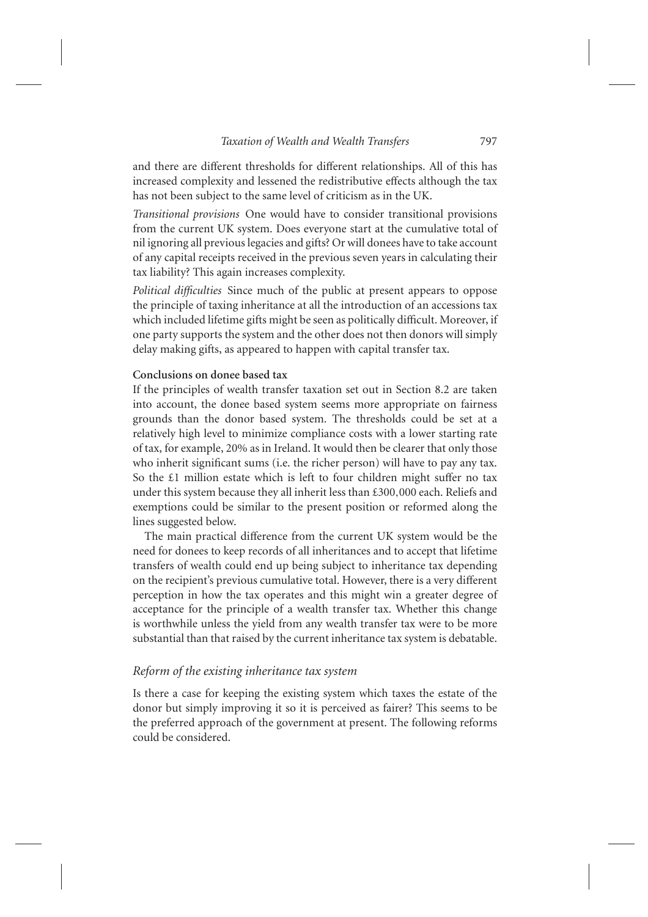and there are different thresholds for different relationships. All of this has increased complexity and lessened the redistributive effects although the tax has not been subject to the same level of criticism as in the UK.

*Transitional provisions* One would have to consider transitional provisions from the current UK system. Does everyone start at the cumulative total of nil ignoring all previous legacies and gifts? Or will donees have to take account of any capital receipts received in the previous seven years in calculating their tax liability? This again increases complexity.

*Political difficulties* Since much of the public at present appears to oppose the principle of taxing inheritance at all the introduction of an accessions tax which included lifetime gifts might be seen as politically difficult. Moreover, if one party supports the system and the other does not then donors will simply delay making gifts, as appeared to happen with capital transfer tax.

### **Conclusions on donee based tax**

If the principles of wealth transfer taxation set out in Section 8.2 are taken into account, the donee based system seems more appropriate on fairness grounds than the donor based system. The thresholds could be set at a relatively high level to minimize compliance costs with a lower starting rate of tax, for example, 20% as in Ireland. It would then be clearer that only those who inherit significant sums (i.e. the richer person) will have to pay any tax. So the £1 million estate which is left to four children might suffer no tax under this system because they all inherit less than £300,000 each. Reliefs and exemptions could be similar to the present position or reformed along the lines suggested below.

The main practical difference from the current UK system would be the need for donees to keep records of all inheritances and to accept that lifetime transfers of wealth could end up being subject to inheritance tax depending on the recipient's previous cumulative total. However, there is a very different perception in how the tax operates and this might win a greater degree of acceptance for the principle of a wealth transfer tax. Whether this change is worthwhile unless the yield from any wealth transfer tax were to be more substantial than that raised by the current inheritance tax system is debatable.

## *Reform of the existing inheritance tax system*

Is there a case for keeping the existing system which taxes the estate of the donor but simply improving it so it is perceived as fairer? This seems to be the preferred approach of the government at present. The following reforms could be considered.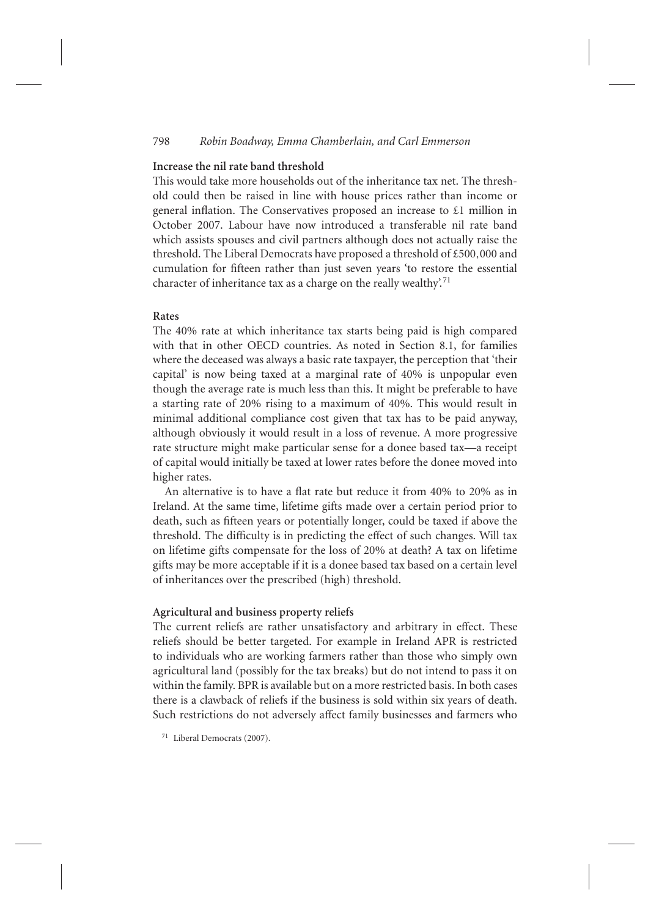### **Increase the nil rate band threshold**

This would take more households out of the inheritance tax net. The threshold could then be raised in line with house prices rather than income or general inflation. The Conservatives proposed an increase to £1 million in October 2007. Labour have now introduced a transferable nil rate band which assists spouses and civil partners although does not actually raise the threshold. The Liberal Democrats have proposed a threshold of £500,000 and cumulation for fifteen rather than just seven years 'to restore the essential character of inheritance tax as a charge on the really wealthy'.<sup>71</sup>

#### **Rates**

The 40% rate at which inheritance tax starts being paid is high compared with that in other OECD countries. As noted in Section 8.1, for families where the deceased was always a basic rate taxpayer, the perception that 'their capital' is now being taxed at a marginal rate of 40% is unpopular even though the average rate is much less than this. It might be preferable to have a starting rate of 20% rising to a maximum of 40%. This would result in minimal additional compliance cost given that tax has to be paid anyway, although obviously it would result in a loss of revenue. A more progressive rate structure might make particular sense for a donee based tax—a receipt of capital would initially be taxed at lower rates before the donee moved into higher rates.

An alternative is to have a flat rate but reduce it from 40% to 20% as in Ireland. At the same time, lifetime gifts made over a certain period prior to death, such as fifteen years or potentially longer, could be taxed if above the threshold. The difficulty is in predicting the effect of such changes. Will tax on lifetime gifts compensate for the loss of 20% at death? A tax on lifetime gifts may be more acceptable if it is a donee based tax based on a certain level of inheritances over the prescribed (high) threshold.

#### **Agricultural and business property reliefs**

The current reliefs are rather unsatisfactory and arbitrary in effect. These reliefs should be better targeted. For example in Ireland APR is restricted to individuals who are working farmers rather than those who simply own agricultural land (possibly for the tax breaks) but do not intend to pass it on within the family. BPR is available but on a more restricted basis. In both cases there is a clawback of reliefs if the business is sold within six years of death. Such restrictions do not adversely affect family businesses and farmers who

<sup>71</sup> Liberal Democrats (2007).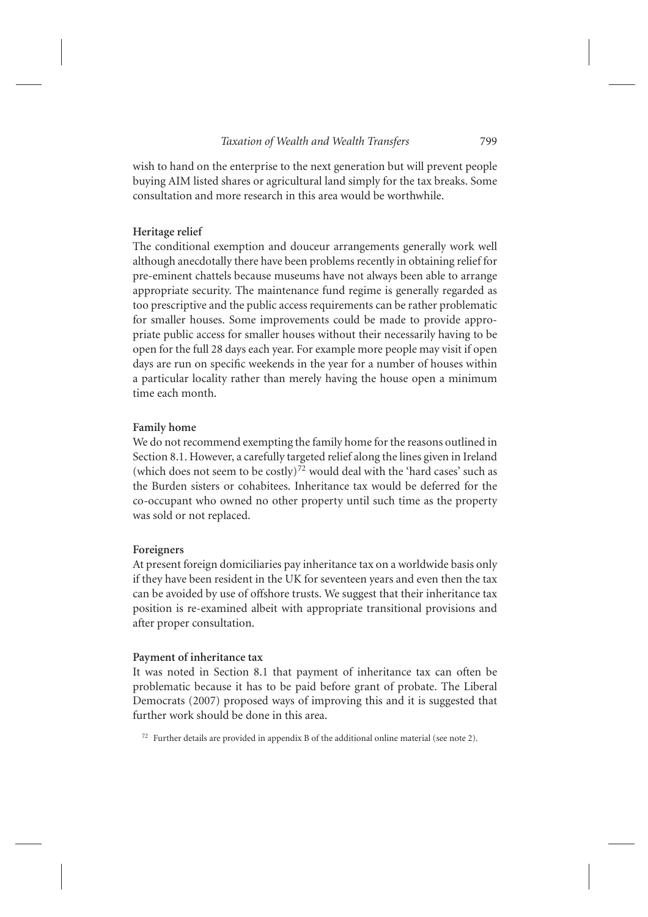wish to hand on the enterprise to the next generation but will prevent people buying AIM listed shares or agricultural land simply for the tax breaks. Some consultation and more research in this area would be worthwhile.

## **Heritage relief**

The conditional exemption and douceur arrangements generally work well although anecdotally there have been problems recently in obtaining relief for pre-eminent chattels because museums have not always been able to arrange appropriate security. The maintenance fund regime is generally regarded as too prescriptive and the public access requirements can be rather problematic for smaller houses. Some improvements could be made to provide appropriate public access for smaller houses without their necessarily having to be open for the full 28 days each year. For example more people may visit if open days are run on specific weekends in the year for a number of houses within a particular locality rather than merely having the house open a minimum time each month.

### **Family home**

We do not recommend exempting the family home for the reasons outlined in Section 8.1. However, a carefully targeted relief along the lines given in Ireland (which does not seem to be costly)<sup>72</sup> would deal with the 'hard cases' such as the Burden sisters or cohabitees. Inheritance tax would be deferred for the co-occupant who owned no other property until such time as the property was sold or not replaced.

#### **Foreigners**

At present foreign domiciliaries pay inheritance tax on a worldwide basis only if they have been resident in the UK for seventeen years and even then the tax can be avoided by use of offshore trusts. We suggest that their inheritance tax position is re-examined albeit with appropriate transitional provisions and after proper consultation.

#### **Payment of inheritance tax**

It was noted in Section 8.1 that payment of inheritance tax can often be problematic because it has to be paid before grant of probate. The Liberal Democrats (2007) proposed ways of improving this and it is suggested that further work should be done in this area.

 $72$  Further details are provided in appendix B of the additional online material (see note 2).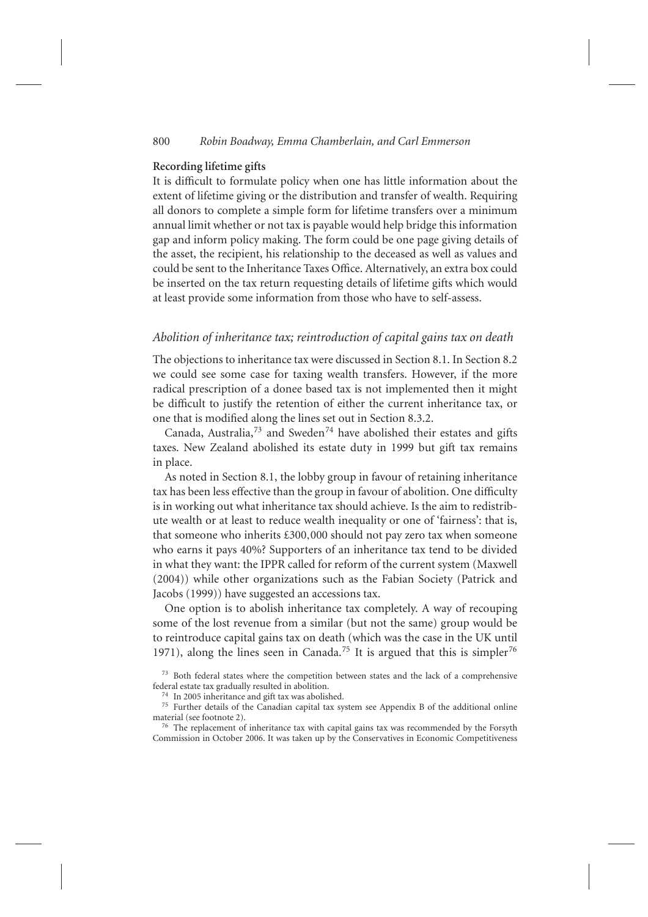#### **Recording lifetime gifts**

It is difficult to formulate policy when one has little information about the extent of lifetime giving or the distribution and transfer of wealth. Requiring all donors to complete a simple form for lifetime transfers over a minimum annual limit whether or not tax is payable would help bridge this information gap and inform policy making. The form could be one page giving details of the asset, the recipient, his relationship to the deceased as well as values and could be sent to the Inheritance Taxes Office. Alternatively, an extra box could be inserted on the tax return requesting details of lifetime gifts which would at least provide some information from those who have to self-assess.

## *Abolition of inheritance tax; reintroduction of capital gains tax on death*

The objections to inheritance tax were discussed in Section 8.1. In Section 8.2 we could see some case for taxing wealth transfers. However, if the more radical prescription of a donee based tax is not implemented then it might be difficult to justify the retention of either the current inheritance tax, or one that is modified along the lines set out in Section 8.3.2.

Canada, Australia, $73$  and Sweden $74$  have abolished their estates and gifts taxes. New Zealand abolished its estate duty in 1999 but gift tax remains in place.

As noted in Section 8.1, the lobby group in favour of retaining inheritance tax has been less effective than the group in favour of abolition. One difficulty is in working out what inheritance tax should achieve. Is the aim to redistribute wealth or at least to reduce wealth inequality or one of 'fairness': that is, that someone who inherits £300,000 should not pay zero tax when someone who earns it pays 40%? Supporters of an inheritance tax tend to be divided in what they want: the IPPR called for reform of the current system (Maxwell (2004)) while other organizations such as the Fabian Society (Patrick and Jacobs (1999)) have suggested an accessions tax.

One option is to abolish inheritance tax completely. A way of recouping some of the lost revenue from a similar (but not the same) group would be to reintroduce capital gains tax on death (which was the case in the UK until 1971), along the lines seen in Canada.<sup>75</sup> It is argued that this is simpler<sup>76</sup>

 $73$  Both federal states where the competition between states and the lack of a comprehensive federal estate tax gradually resulted in abolition.

<sup>74</sup> In 2005 inheritance and gift tax was abolished.<br><sup>75</sup> Further details of the Canadian capital tax system see Appendix B of the additional online material (see footnote 2).

The replacement of inheritance tax with capital gains tax was recommended by the Forsyth Commission in October 2006. It was taken up by the Conservatives in Economic Competitiveness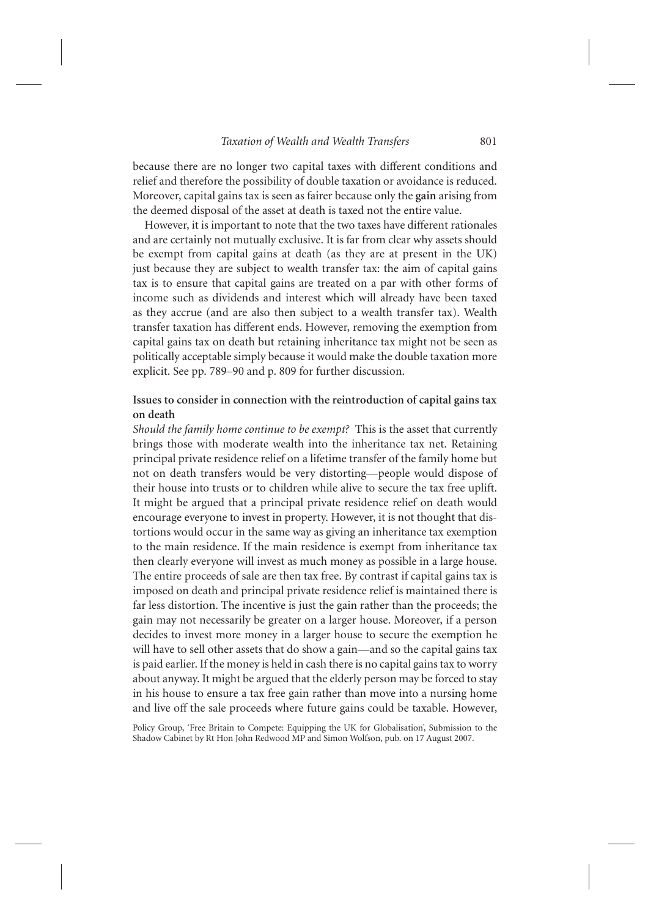because there are no longer two capital taxes with different conditions and relief and therefore the possibility of double taxation or avoidance is reduced. Moreover, capital gains tax is seen as fairer because only the **gain** arising from the deemed disposal of the asset at death is taxed not the entire value.

However, it is important to note that the two taxes have different rationales and are certainly not mutually exclusive. It is far from clear why assets should be exempt from capital gains at death (as they are at present in the UK) just because they are subject to wealth transfer tax: the aim of capital gains tax is to ensure that capital gains are treated on a par with other forms of income such as dividends and interest which will already have been taxed as they accrue (and are also then subject to a wealth transfer tax). Wealth transfer taxation has different ends. However, removing the exemption from capital gains tax on death but retaining inheritance tax might not be seen as politically acceptable simply because it would make the double taxation more explicit. See pp. 789–90 and p. 809 for further discussion.

# **Issues to consider in connection with the reintroduction of capital gains tax on death**

*Should the family home continue to be exempt?* This is the asset that currently brings those with moderate wealth into the inheritance tax net. Retaining principal private residence relief on a lifetime transfer of the family home but not on death transfers would be very distorting—people would dispose of their house into trusts or to children while alive to secure the tax free uplift. It might be argued that a principal private residence relief on death would encourage everyone to invest in property. However, it is not thought that distortions would occur in the same way as giving an inheritance tax exemption to the main residence. If the main residence is exempt from inheritance tax then clearly everyone will invest as much money as possible in a large house. The entire proceeds of sale are then tax free. By contrast if capital gains tax is imposed on death and principal private residence relief is maintained there is far less distortion. The incentive is just the gain rather than the proceeds; the gain may not necessarily be greater on a larger house. Moreover, if a person decides to invest more money in a larger house to secure the exemption he will have to sell other assets that do show a gain—and so the capital gains tax is paid earlier. If the money is held in cash there is no capital gains tax to worry about anyway. It might be argued that the elderly person may be forced to stay in his house to ensure a tax free gain rather than move into a nursing home and live off the sale proceeds where future gains could be taxable. However,

Policy Group, 'Free Britain to Compete: Equipping the UK for Globalisation', Submission to the Shadow Cabinet by Rt Hon John Redwood MP and Simon Wolfson, pub. on 17 August 2007.